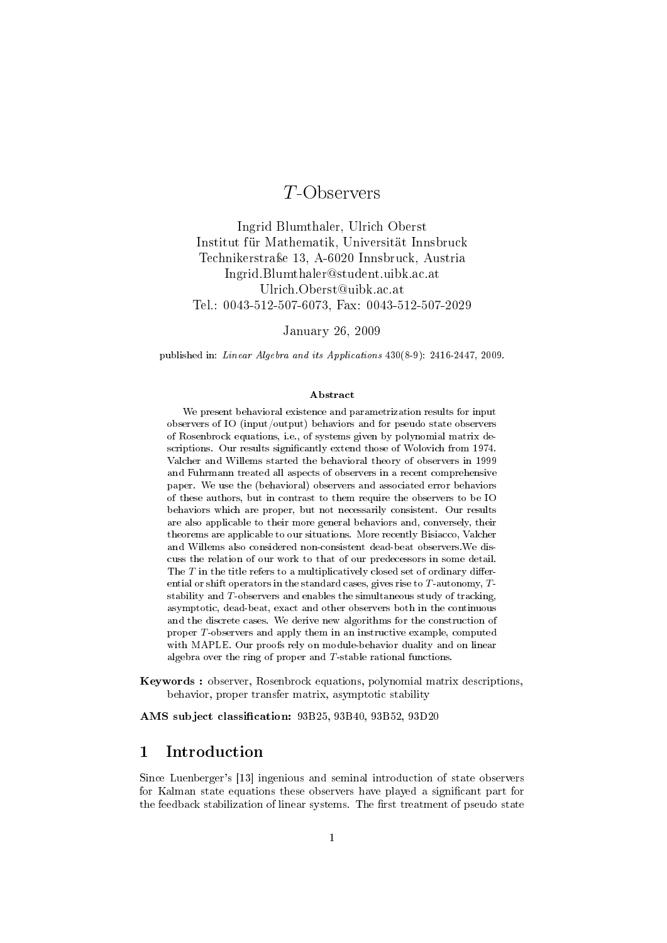# T-Observers

Ingrid Blumthaler, Ulrich Oberst Institut für Mathematik, Universität Innsbruck Technikerstraÿe 13, A-6020 Innsbruck, Austria Ingrid.Blumthaler@student.uibk.ac.at Ulrich.Oberst@uibk.ac.at Tel.: 0043-512-507-6073, Fax: 0043-512-507-2029

January 26, 2009

published in: Linear Algebra and its Applications 430(8-9): 2416-2447, 2009.

#### Abstract

We present behavioral existence and parametrization results for input observers of IO (input/output) behaviors and for pseudo state observers of Rosenbrock equations, i.e., of systems given by polynomial matrix descriptions. Our results signicantly extend those of Wolovich from 1974. Valcher and Willems started the behavioral theory of observers in 1999 and Fuhrmann treated all aspects of observers in a recent comprehensive paper. We use the (behavioral) observers and associated error behaviors of these authors, but in contrast to them require the observers to be IO behaviors which are proper, but not necessarily consistent. Our results are also applicable to their more general behaviors and, conversely, their theorems are applicable to our situations. More recently Bisiacco, Valcher and Willems also considered non-consistent dead-beat observers.We discuss the relation of our work to that of our predecessors in some detail. The  $T$  in the title refers to a multiplicatively closed set of ordinary differential or shift operators in the standard cases, gives rise to  $T$ -autonomy,  $T$ stability and  $T$ -observers and enables the simultaneous study of tracking, asymptotic, dead-beat, exact and other observers both in the continuous and the discrete cases. We derive new algorithms for the construction of proper T-observers and apply them in an instructive example, computed with MAPLE. Our proofs rely on module-behavior duality and on linear algebra over the ring of proper and T-stable rational functions.

Keywords : observer, Rosenbrock equations, polynomial matrix descriptions, behavior, proper transfer matrix, asymptotic stability

AMS subject classification: 93B25, 93B40, 93B52, 93D20

### 1 Introduction

Since Luenberger's [\[13\]](#page-38-0) ingenious and seminal introduction of state observers for Kalman state equations these observers have played a signicant part for the feedback stabilization of linear systems. The first treatment of pseudo state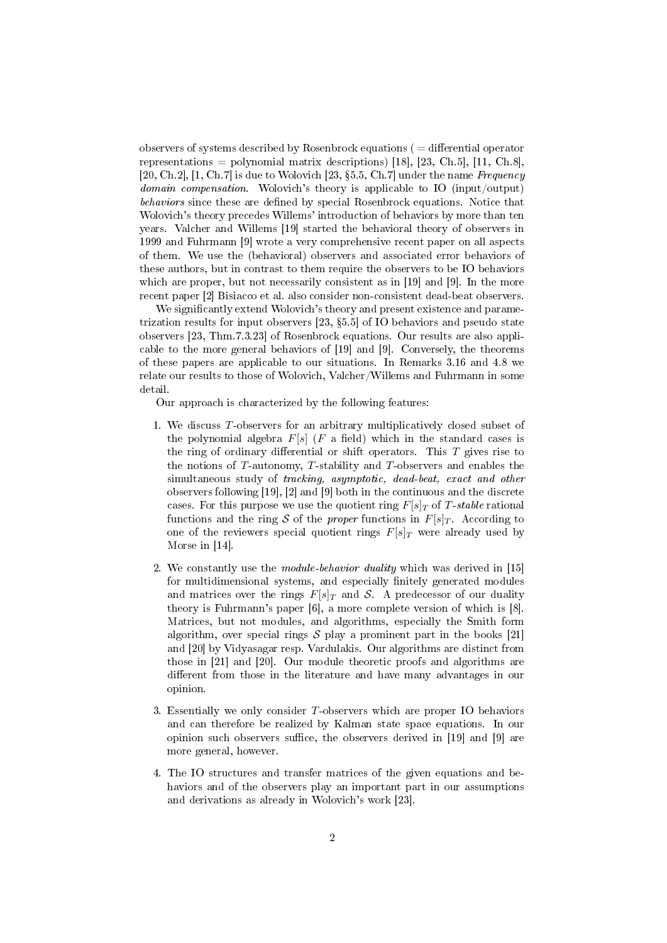observers of systems described by Rosenbrock equations ( $=$  differential operator representations = polynomial matrix descriptions) [\[18\]](#page-38-1), [\[23,](#page-38-2) Ch.5], [\[11,](#page-38-3) Ch.8], [\[20,](#page-38-4) Ch.2], [\[1,](#page-37-0) Ch.7] is due to Wolovich [\[23,](#page-38-2) §5.5, Ch.7] under the name Frequency domain compensation. Wolovich's theory is applicable to IO (input/output) behaviors since these are defined by special Rosenbrock equations. Notice that Wolovich's theory precedes Willems' introduction of behaviors by more than ten years. Valcher and Willems [\[19\]](#page-38-5) started the behavioral theory of observers in 1999 and Fuhrmann [\[9\]](#page-38-6) wrote a very comprehensive recent paper on all aspects of them. We use the (behavioral) observers and associated error behaviors of these authors, but in contrast to them require the observers to be IO behaviors which are proper, but not necessarily consistent as in [\[19\]](#page-38-5) and [\[9\]](#page-38-6). In the more recent paper [\[2\]](#page-37-1) Bisiacco et al. also consider non-consistent dead-beat observers.

We significantly extend Wolovich's theory and present existence and parametrization results for input observers  $[23, §5.5]$  $[23, §5.5]$  of IO behaviors and pseudo state observers [\[23,](#page-38-2) Thm.7.3.23] of Rosenbrock equations. Our results are also applicable to the more general behaviors of [\[19\]](#page-38-5) and [\[9\]](#page-38-6). Conversely, the theorems of these papers are applicable to our situations. In Remarks [3.16](#page-24-0) and [4.8](#page-32-0) we relate our results to those of Wolovich, Valcher/Willems and Fuhrmann in some detail.

Our approach is characterized by the following features:

- 1. We discuss T-observers for an arbitrary multiplicatively closed subset of the polynomial algebra  $F[s]$  (F a field) which in the standard cases is the ring of ordinary differential or shift operators. This  $T$  gives rise to the notions of T-autonomy, T-stability and T-observers and enables the simultaneous study of tracking, asymptotic, dead-beat, exact and other observers following [\[19\]](#page-38-5), [\[2\]](#page-37-1) and [\[9\]](#page-38-6) both in the continuous and the discrete cases. For this purpose we use the quotient ring  $F[s]_T$  of T-stable rational functions and the ring S of the proper functions in  $F[s]_T$ . According to one of the reviewers special quotient rings  $F[s]_T$  were already used by Morse in [\[14\]](#page-38-7).
- 2. We constantly use the *module-behavior duality* which was derived in [\[15\]](#page-38-8) for multidimensional systems, and especially finitely generated modules and matrices over the rings  $F[s]_T$  and S. A predecessor of our duality theory is Fuhrmann's paper [\[6\]](#page-38-9), a more complete version of which is [\[8\]](#page-38-10). Matrices, but not modules, and algorithms, especially the Smith form algorithm, over special rings  $S$  play a prominent part in the books [\[21\]](#page-38-11) and [\[20\]](#page-38-4) by Vidyasagar resp. Vardulakis. Our algorithms are distinct from those in [\[21\]](#page-38-11) and [\[20\]](#page-38-4). Our module theoretic proofs and algorithms are different from those in the literature and have many advantages in our opinion.
- 3. Essentially we only consider T-observers which are proper IO behaviors and can therefore be realized by Kalman state space equations. In our opinion such observers suffice, the observers derived in  $[19]$  and  $[9]$  are more general, however.
- 4. The IO structures and transfer matrices of the given equations and behaviors and of the observers play an important part in our assumptions and derivations as already in Wolovich's work [\[23\]](#page-38-2).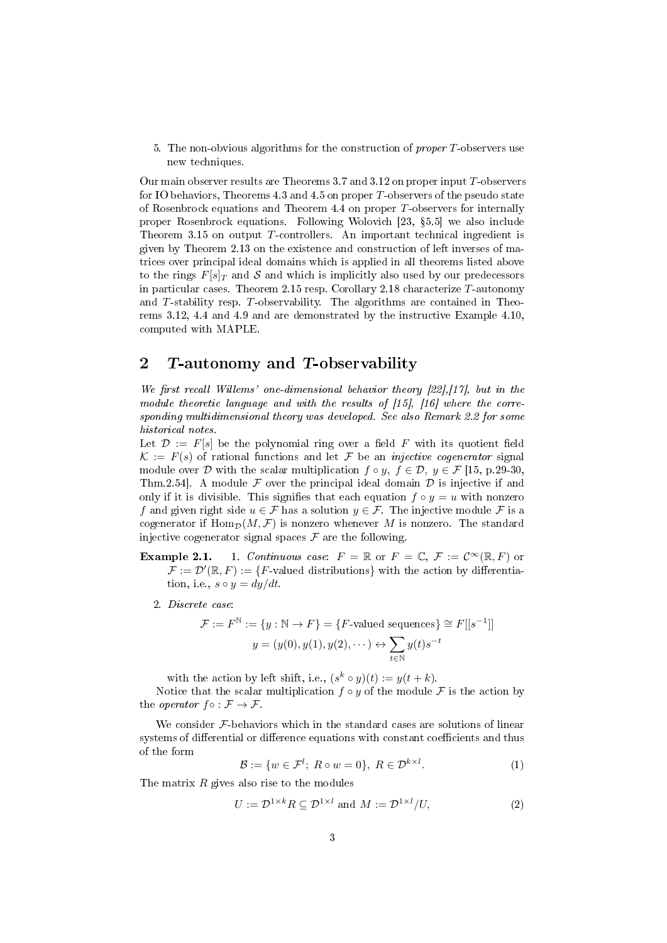5. The non-obvious algorithms for the construction of *proper T*-observers use new techniques.

Our main observer results are Theorems [3.7](#page-18-0) and [3.12](#page-22-0) on proper input T-observers for IO behaviors, Theorems [4.3](#page-27-0) and [4.5](#page-29-0) on proper T-observers of the pseudo state of Rosenbrock equations and Theorem [4.4](#page-28-0) on proper T-observers for internally proper Rosenbrock equations. Following Wolovich [\[23,](#page-38-2) 5.5] we also include Theorem [3.15](#page-24-1) on output T-controllers. An important technical ingredient is given by Theorem [2.13](#page-8-0) on the existence and construction of left inverses of matrices over principal ideal domains which is applied in all theorems listed above to the rings  $F[s]_T$  and S and which is implicitly also used by our predecessors in particular cases. Theorem [2.15](#page-11-0) resp. Corollary [2.18](#page-13-0) characterize T-autonomy and T-stability resp. T-observability. The algorithms are contained in Theorems [3.12,](#page-22-0) [4.4](#page-28-0) and [4.9](#page-34-0) and are demonstrated by the instructive Example [4.10,](#page-35-0) computed with MAPLE.

### 2 T-autonomy and T-observability

We first recall Willems' one-dimensional behavior theory  $[22]$ ,[\[17\]](#page-38-13), but in the module theoretic language and with the results of [\[15\]](#page-38-8), [\[16\]](#page-38-14) where the corresponding multidimensional theory was developed. See also Remark [2.2](#page-3-0) for some historical notes.

Let  $\mathcal{D} := F[s]$  be the polynomial ring over a field F with its quotient field  $\mathcal{K} := F(s)$  of rational functions and let F be an *injective cogenerator* signal module over D with the scalar multiplication  $f \circ y$ ,  $f \in \mathcal{D}$ ,  $y \in \mathcal{F}$  [\[15,](#page-38-8) p.29-30, Thm.2.54]. A module  $\mathcal F$  over the principal ideal domain  $\mathcal D$  is injective if and only if it is divisible. This signifies that each equation  $f \circ y = u$  with nonzero f and given right side  $u \in \mathcal{F}$  has a solution  $y \in \mathcal{F}$ . The injective module  $\mathcal F$  is a cogenerator if  $\text{Hom}_{\mathcal{D}}(M, \mathcal{F})$  is nonzero whenever M is nonzero. The standard injective cogenerator signal spaces  $\mathcal F$  are the following.

- **Example 2.1.** 1. Continuous case:  $F = \mathbb{R}$  or  $F = \mathbb{C}, \mathcal{F} := \mathcal{C}^{\infty}(\mathbb{R}, F)$  or  $\mathcal{F} := \mathcal{D}'(\mathbb{R}, F) := \{F\text{-valued distributions}\}\$  with the action by differentiation, i.e.,  $s \circ y = dy/dt$ .
	- 2. Discrete case:

$$
\mathcal{F} := F^{\mathbb{N}} := \{ y : \mathbb{N} \to F \} = \{ F\text{-valued sequences} \} \cong F[[s^{-1}]]
$$

$$
y = (y(0), y(1), y(2), \dots) \leftrightarrow \sum_{t \in \mathbb{N}} y(t) s^{-t}
$$

with the action by left shift, i.e.,  $(s^k \circ y)(t) := y(t + k)$ .

Notice that the scalar multiplication  $f \circ y$  of the module F is the action by the *operator*  $f \circ : \mathcal{F} \to \mathcal{F}$ .

We consider  $F$ -behaviors which in the standard cases are solutions of linear systems of differential or difference equations with constant coefficients and thus of the form

$$
\mathcal{B} := \{ w \in \mathcal{F}^l; \ R \circ w = 0 \}, \ R \in \mathcal{D}^{k \times l}.
$$
 (1)

The matrix  $R$  gives also rise to the modules

$$
U := \mathcal{D}^{1 \times k} R \subseteq \mathcal{D}^{1 \times l} \text{ and } M := \mathcal{D}^{1 \times l} / U,
$$
 (2)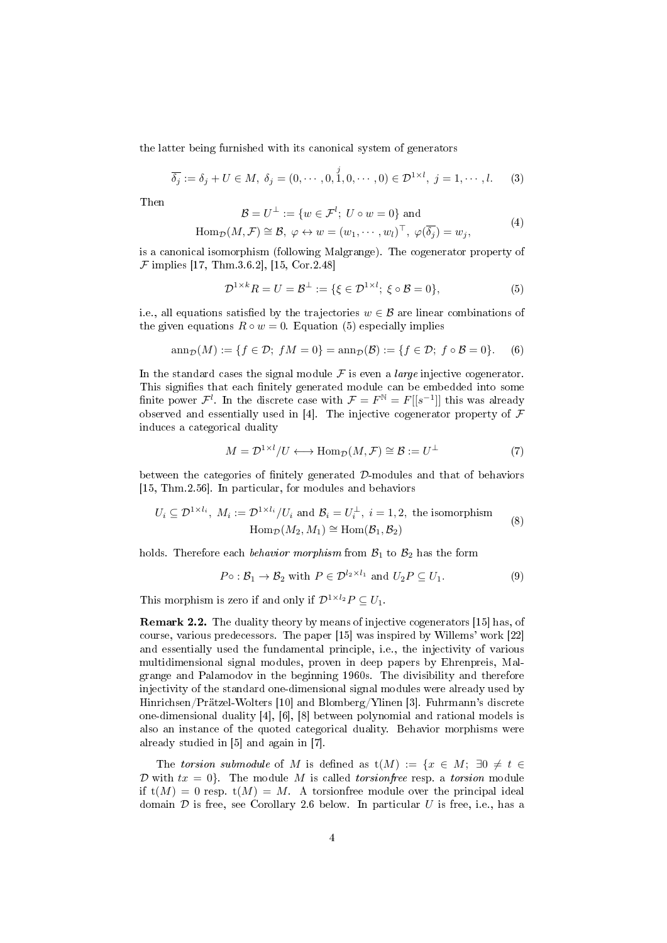the latter being furnished with its canonical system of generators

$$
\overline{\delta_j} := \delta_j + U \in M, \ \delta_j = (0, \cdots, 0, \stackrel{j}{1}, 0, \cdots, 0) \in \mathcal{D}^{1 \times l}, \ j = 1, \cdots, l. \tag{3}
$$

Then

$$
\mathcal{B} = U^{\perp} := \{ w \in \mathcal{F}^l; U \circ w = 0 \}
$$
 and

$$
\text{Hom}_{\mathcal{D}}(M,\mathcal{F}) \cong \mathcal{B}, \ \varphi \leftrightarrow w = (w_1,\cdots,w_l)^\top, \ \varphi(\overline{\delta_j}) = w_j,
$$

is a canonical isomorphism (following Malgrange). The cogenerator property of  $\mathcal F$  implies [\[17,](#page-38-13) Thm.3.6.2], [\[15,](#page-38-8) Cor.2.48]

<span id="page-3-1"></span>
$$
\mathcal{D}^{1 \times k} R = U = \mathcal{B}^{\perp} := \{ \xi \in \mathcal{D}^{1 \times l}; \ \xi \circ \mathcal{B} = 0 \},\tag{5}
$$

 $(4)$ 

i.e., all equations satisfied by the trajectories  $w \in \mathcal{B}$  are linear combinations of the given equations  $R \circ w = 0$ . Equation [\(5\)](#page-3-1) especially implies

$$
\operatorname{ann}_{\mathcal{D}}(M) := \{ f \in \mathcal{D}; \ fM = 0 \} = \operatorname{ann}_{\mathcal{D}}(\mathcal{B}) := \{ f \in \mathcal{D}; \ f \circ \mathcal{B} = 0 \}.
$$
 (6)

In the standard cases the signal module  $\mathcal F$  is even a *large* injective cogenerator. This signifies that each finitely generated module can be embedded into some finite power  $\mathcal{F}^l$ . In the discrete case with  $\mathcal{F} = F^{\mathbb{N}} = F[[s^{-1}]]$  this was already observed and essentially used in [\[4\]](#page-37-2). The injective cogenerator property of  $\overline{\mathcal{F}}$ induces a categorical duality

$$
M = \mathcal{D}^{1 \times l} / U \longleftrightarrow \text{Hom}_{\mathcal{D}}(M, \mathcal{F}) \cong \mathcal{B} := U^{\perp}
$$
 (7)

between the categories of finitely generated  $D$ -modules and that of behaviors [\[15,](#page-38-8) Thm.2.56]. In particular, for modules and behaviors

$$
U_i \subseteq \mathcal{D}^{1 \times l_i}, \ M_i := \mathcal{D}^{1 \times l_i} / U_i \text{ and } \mathcal{B}_i = U_i^{\perp}, \ i = 1, 2, \text{ the isomorphism}
$$

$$
\text{Hom}_{\mathcal{D}}(M_2, M_1) \cong \text{Hom}(\mathcal{B}_1, \mathcal{B}_2)
$$
(8)

holds. Therefore each *behavior morphism* from  $B_1$  to  $B_2$  has the form

$$
P \circ : \mathcal{B}_1 \to \mathcal{B}_2 \text{ with } P \in \mathcal{D}^{l_2 \times l_1} \text{ and } U_2 P \subseteq U_1. \tag{9}
$$

This morphism is zero if and only if  $\mathcal{D}^{1 \times l_2} P \subseteq U_1$ .

<span id="page-3-0"></span>Remark 2.2. The duality theory by means of injective cogenerators [\[15\]](#page-38-8) has, of course, various predecessors. The paper [\[15\]](#page-38-8) was inspired by Willems' work [\[22\]](#page-38-12) and essentially used the fundamental principle, i.e., the injectivity of various multidimensional signal modules, proven in deep papers by Ehrenpreis, Malgrange and Palamodov in the beginning 1960s. The divisibility and therefore injectivity of the standard one-dimensional signal modules were already used by Hinrichsen/Prätzel-Wolters [\[10\]](#page-38-15) and Blomberg/Ylinen [\[3\]](#page-37-3). Fuhrmann's discrete one-dimensional duality [\[4\]](#page-37-2), [\[6\]](#page-38-9), [\[8\]](#page-38-10) between polynomial and rational models is also an instance of the quoted categorical duality. Behavior morphisms were already studied in [\[5\]](#page-37-4) and again in [\[7\]](#page-38-16).

The torsion submodule of M is defined as  $t(M) := \{x \in M; \exists 0 \neq t \in$ D with  $tx = 0$ . The module M is called *torsionfree* resp. a *torsion* module if  $t(M) = 0$  resp.  $t(M) = M$ . A torsion free module over the principal ideal domain  $D$  is free, see Corollary [2.6](#page-5-0) below. In particular U is free, i.e., has a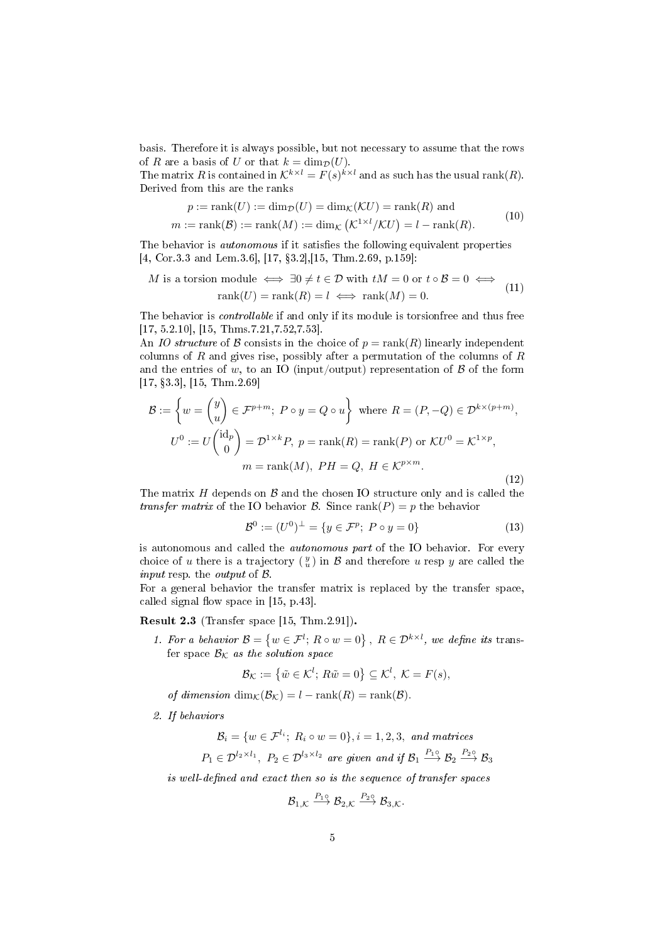basis. Therefore it is always possible, but not necessary to assume that the rows of R are a basis of U or that  $k = \dim_{\mathcal{D}}(U)$ .

The matrix R is contained in  $\mathcal{K}^{k \times l} = F(s)^{k \times l}$  and as such has the usual rank $(R)$ . Derived from this are the ranks

$$
p := \text{rank}(U) := \dim_{\mathcal{D}}(U) = \dim_{\mathcal{K}}(\mathcal{K}U) = \text{rank}(R) \text{ and}
$$

$$
m := \text{rank}(\mathcal{B}) := \text{rank}(M) := \dim_{\mathcal{K}}(\mathcal{K}^{1 \times l}/\mathcal{K}U) = l - \text{rank}(R).
$$
(10)

The behavior is *autonomous* if it satisfies the following equivalent properties [\[4,](#page-37-2) Cor.3.3 and Lem.3.6], [\[17,](#page-38-13) 3.2],[\[15,](#page-38-8) Thm.2.69, p.159]:

$$
M \text{ is a torsion module} \iff \exists 0 \neq t \in \mathcal{D} \text{ with } tM = 0 \text{ or } t \circ \mathcal{B} = 0 \iff \text{rank}(U) = \text{rank}(R) = l \iff \text{rank}(M) = 0. \tag{11}
$$

The behavior is *controllable* if and only if its module is torsionfree and thus free [\[17,](#page-38-13) 5.2.10], [\[15,](#page-38-8) Thms.7.21,7.52,7.53].

An IO structure of B consists in the choice of  $p = \text{rank}(R)$  linearly independent columns of  $R$  and gives rise, possibly after a permutation of the columns of  $R$ and the entries of w, to an IO (input/output) representation of  $\mathcal B$  of the form [\[17,](#page-38-13) 3.3], [\[15,](#page-38-8) Thm.2.69]

$$
\mathcal{B} := \left\{ w = \begin{pmatrix} y \\ u \end{pmatrix} \in \mathcal{F}^{p+m}; \ P \circ y = Q \circ u \right\} \text{ where } R = (P, -Q) \in \mathcal{D}^{k \times (p+m)},
$$

$$
U^0 := U \begin{pmatrix} \mathrm{id}_p \\ 0 \end{pmatrix} = \mathcal{D}^{1 \times k} P, \ p = \mathrm{rank}(R) = \mathrm{rank}(P) \text{ or } \mathcal{K} U^0 = \mathcal{K}^{1 \times p},
$$

$$
m = \mathrm{rank}(M), \ PH = Q, \ H \in \mathcal{K}^{p \times m}.
$$
(12)

The matrix  $H$  depends on  $\beta$  and the chosen IO structure only and is called the transfer matrix of the IO behavior  $\mathcal{B}$ . Since rank $(P) = p$  the behavior

$$
\mathcal{B}^0 := (U^0)^{\perp} = \{ y \in \mathcal{F}^p; \ P \circ y = 0 \}
$$
 (13)

is autonomous and called the autonomous part of the IO behavior. For every choice of u there is a trajectory  $\left(\frac{y}{u}\right)$  in  $\mathcal B$  and therefore u resp y are called the *input* resp. the *output* of  $\beta$ .

For a general behavior the transfer matrix is replaced by the transfer space, called signal flow space in  $[15, p.43]$  $[15, p.43]$ .

<span id="page-4-0"></span>Result 2.3 (Transfer space [\[15,](#page-38-8) Thm.2.91]).

1. For a behavior  $\mathcal{B} = \{w \in \mathcal{F}^l; R \circ w = 0\}, R \in \mathcal{D}^{k \times l}$ , we define its transfer space  $\mathcal{B}_{\mathcal{K}}$  as the solution space

$$
\mathcal{B}_{\mathcal{K}} := \left\{ \tilde{w} \in \mathcal{K}^l; R\tilde{w} = 0 \right\} \subseteq \mathcal{K}^l, \ \mathcal{K} = F(s),
$$

of dimension  $\dim_{\mathcal{K}}(\mathcal{B}_{\mathcal{K}}) = l - \text{rank}(R) = \text{rank}(\mathcal{B}).$ 

2. If behaviors

$$
\mathcal{B}_i = \{ w \in \mathcal{F}^{l_i}; \ R_i \circ w = 0 \}, i = 1, 2, 3, \text{ and matrices}
$$

$$
P_1 \in \mathcal{D}^{l_2 \times l_1}, \ P_2 \in \mathcal{D}^{l_3 \times l_2} \text{ are given and if } \mathcal{B}_1 \xrightarrow{P_1 \circ} \mathcal{B}_2 \xrightarrow{P_2 \circ} \mathcal{B}_3
$$

is well-defined and exact then so is the sequence of transfer spaces

$$
\mathcal{B}_{1,\mathcal{K}} \stackrel{P_1 \circ}{\longrightarrow} \mathcal{B}_{2,\mathcal{K}} \stackrel{P_2 \circ}{\longrightarrow} \mathcal{B}_{3,\mathcal{K}}.
$$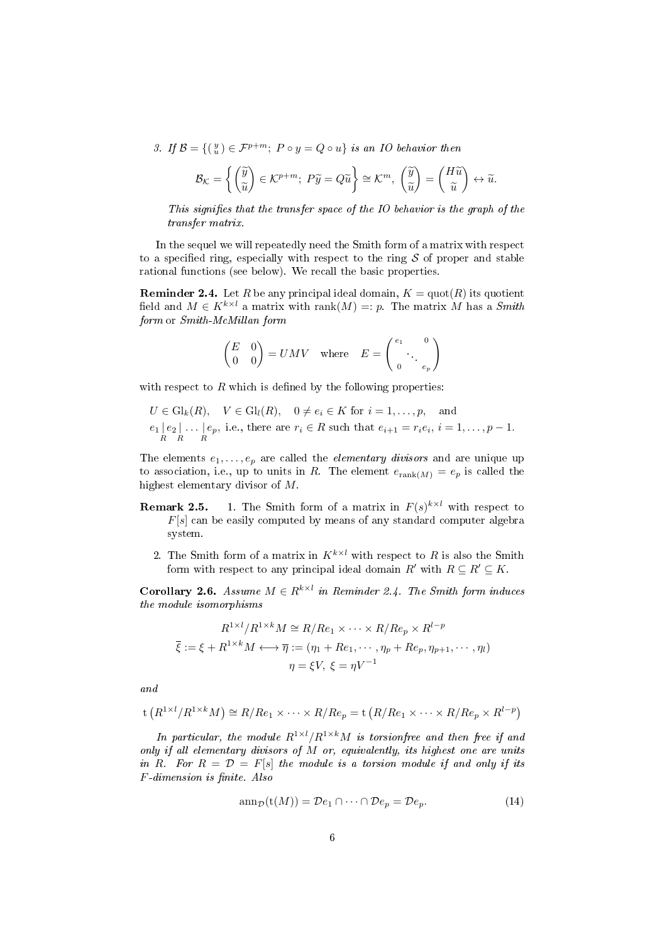3. If  $\mathcal{B} = \{(\begin{smallmatrix}y\\ u\end{smallmatrix}) \in \mathcal{F}^{p+m};\; P\circ y = Q\circ u\}$  is an IO behavior then

$$
\mathcal{B}_{\mathcal{K}} = \left\{ \begin{pmatrix} \widetilde{y} \\ \widetilde{u} \end{pmatrix} \in \mathcal{K}^{p+m}; \ P\widetilde{y} = Q\widetilde{u} \right\} \cong \mathcal{K}^m, \ \begin{pmatrix} \widetilde{y} \\ \widetilde{u} \end{pmatrix} = \begin{pmatrix} H\widetilde{u} \\ \widetilde{u} \end{pmatrix} \leftrightarrow \widetilde{u}.
$$

This signifies that the transfer space of the IO behavior is the graph of the transfer matrix.

In the sequel we will repeatedly need the Smith form of a matrix with respect to a specified ring, especially with respect to the ring  $S$  of proper and stable rational functions (see below). We recall the basic properties.

<span id="page-5-1"></span>**Reminder 2.4.** Let R be any principal ideal domain,  $K = \text{quot}(R)$  its quotient field and  $M \in K^{k \times l}$  a matrix with rank $(M) =: p$ . The matrix M has a Smith form or Smith-McMillan form

$$
\begin{pmatrix} E & 0 \\ 0 & 0 \end{pmatrix} = UMV \quad \text{where} \quad E = \begin{pmatrix} e_1 & 0 \\ 0 & e_p \end{pmatrix}
$$

with respect to  $R$  which is defined by the following properties:

 $U \in Gl_k(R)$ ,  $V \in Gl_l(R)$ ,  $0 \neq e_i \in K$  for  $i = 1, \ldots, p$ , and  $e_1 \left| \begin{array}{c} e_2 \\ R \end{array} \right|$ . . . |  $\big| e_p$ , i.e., there are  $r_i \in R$  such that  $e_{i+1} = r_i e_i$ ,  $i = 1, \ldots, p-1$ .

The elements  $e_1, \ldots, e_p$  are called the *elementary divisors* and are unique up to association, i.e., up to units in R. The element  $e_{\text{rank}(M)} = e_p$  is called the highest elementary divisor of M.

- **Remark 2.5.** 1. The Smith form of a matrix in  $F(s)^{k \times l}$  with respect to  $F[s]$  can be easily computed by means of any standard computer algebra system.
	- 2. The Smith form of a matrix in  $K^{k \times l}$  with respect to R is also the Smith form with respect to any principal ideal domain  $R'$  with  $R \subseteq R' \subseteq K$ .

<span id="page-5-0"></span>**Corollary 2.6.** Assume  $M \in \mathbb{R}^{k \times l}$  in Reminder [2.4.](#page-5-1) The Smith form induces the module isomorphisms

$$
R^{1 \times l} / R^{1 \times k} M \cong R / Re_1 \times \cdots \times R / Re_p \times R^{l-p}
$$
  

$$
\overline{\xi} := \xi + R^{1 \times k} M \longleftrightarrow \overline{\eta} := (\eta_1 + Re_1, \cdots, \eta_p + Re_p, \eta_{p+1}, \cdots, \eta_l)
$$
  

$$
\eta = \xi V, \ \xi = \eta V^{-1}
$$

and

$$
t(R^{1 \times l}/R^{1 \times k}M) \cong R/Re_1 \times \cdots \times R/Re_p = t(R/Re_1 \times \cdots \times R/Re_p \times R^{l-p})
$$

In particular, the module  $R^{1\times l}/R^{1\times k}M$  is torsionfree and then free if and only if all elementary divisors of  $M$  or, equivalently, its highest one are units in R. For  $R = \mathcal{D} = F[s]$  the module is a torsion module if and only if its  $F$ -dimension is finite. Also

$$
\operatorname{ann}_{\mathcal{D}}(\mathsf{t}(M)) = \mathcal{D}e_1 \cap \dots \cap \mathcal{D}e_p = \mathcal{D}e_p. \tag{14}
$$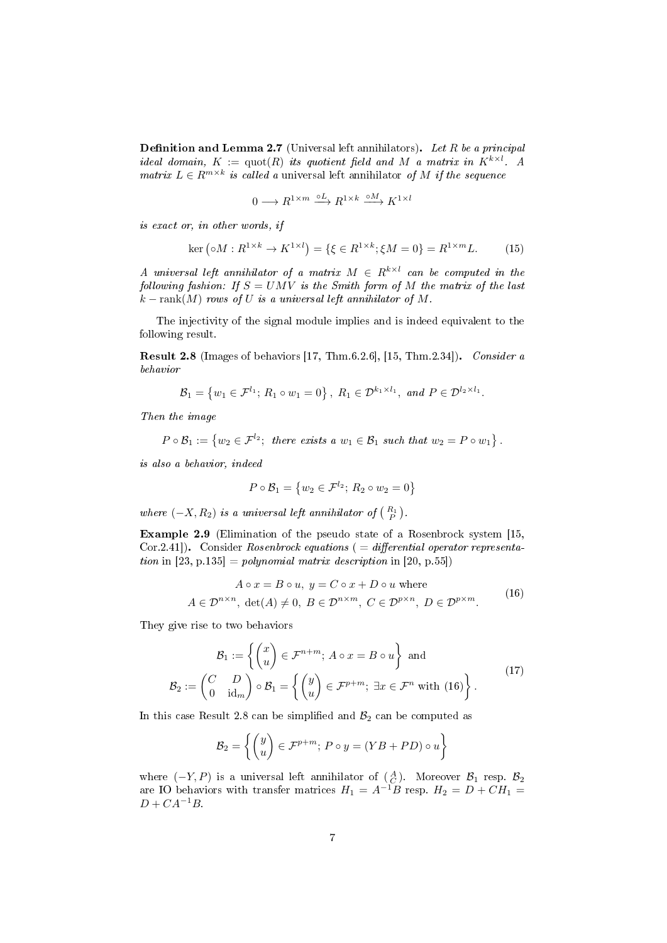<span id="page-6-2"></span>**Definition and Lemma 2.7** (Universal left annihilators). Let R be a principal ideal domain,  $K := \text{quot}(R)$  its quotient field and M a matrix in  $K^{k \times l}$ . A matrix  $L \in R^{m \times k}$  is called a universal left annihilator of M if the sequence

$$
0 \longrightarrow R^{1 \times m} \xrightarrow{\circ L} R^{1 \times k} \xrightarrow{\circ M} K^{1 \times l}
$$

is exact or, in other words, if

$$
\ker\left(\circ M: R^{1\times k} \to K^{1\times l}\right) = \{\xi \in R^{1\times k}; \xi M = 0\} = R^{1\times m}L. \tag{15}
$$

A universal left annihilator of a matrix  $M \in R^{k \times l}$  can be computed in the following fashion: If  $S = UMV$  is the Smith form of M the matrix of the last  $k - \text{rank}(M)$  rows of U is a universal left annihilator of M.

The injectivity of the signal module implies and is indeed equivalent to the following result.

<span id="page-6-1"></span>Result 2.8 (Images of behaviors [\[17,](#page-38-13) Thm.6.2.6], [\[15,](#page-38-8) Thm.2.34]). Consider a behavior

$$
\mathcal{B}_1 = \left\{ w_1 \in \mathcal{F}^{l_1}; \, R_1 \circ w_1 = 0 \right\}, \, R_1 \in \mathcal{D}^{k_1 \times l_1}, \text{ and } P \in \mathcal{D}^{l_2 \times l_1}.
$$

Then the image

$$
P \circ \mathcal{B}_1 := \{ w_2 \in \mathcal{F}^{l_2}; \text{ there exists a } w_1 \in \mathcal{B}_1 \text{ such that } w_2 = P \circ w_1 \}.
$$

is also a behavior, indeed

$$
P \circ \mathcal{B}_1 = \{w_2 \in \mathcal{F}^{l_2}; R_2 \circ w_2 = 0\}
$$

where  $(-X, R_2)$  is a universal left annihilator of  $\begin{pmatrix} R_1 \ R_P \end{pmatrix}$ .

<span id="page-6-3"></span>Example 2.9 (Elimination of the pseudo state of a Rosenbrock system [\[15,](#page-38-8)  $Cor.2.41$ ). Consider Rosenbrock equations ( = differential operator representation in  $[23, p.135] = polynomial matrix description in [20, p.55])$  $[23, p.135] = polynomial matrix description in [20, p.55])$  $[23, p.135] = polynomial matrix description in [20, p.55])$  $[23, p.135] = polynomial matrix description in [20, p.55])$ 

<span id="page-6-0"></span>
$$
A \circ x = B \circ u, \ y = C \circ x + D \circ u \text{ where}
$$
  

$$
A \in \mathcal{D}^{n \times n}, \ \det(A) \neq 0, \ B \in \mathcal{D}^{n \times m}, \ C \in \mathcal{D}^{p \times n}, \ D \in \mathcal{D}^{p \times m}.
$$
 (16)

They give rise to two behaviors

$$
\mathcal{B}_1 := \left\{ \begin{pmatrix} x \\ u \end{pmatrix} \in \mathcal{F}^{n+m}; A \circ x = B \circ u \right\} \text{ and}
$$
\n
$$
\mathcal{B}_2 := \begin{pmatrix} C & D \\ 0 & \text{id}_m \end{pmatrix} \circ \mathcal{B}_1 = \left\{ \begin{pmatrix} y \\ u \end{pmatrix} \in \mathcal{F}^{p+m}; \exists x \in \mathcal{F}^n \text{ with (16)} \right\}.
$$
\n(17)

In this case Result [2.8](#page-6-1) can be simplified and  $\mathcal{B}_2$  can be computed as

$$
\mathcal{B}_2 = \left\{ \begin{pmatrix} y \\ u \end{pmatrix} \in \mathcal{F}^{p+m}; \ P \circ y = (YB + PD) \circ u \right\}
$$

where  $(-Y, P)$  is a universal left annihilator of  $\begin{pmatrix} A \\ C \end{pmatrix}$ . Moreover  $\mathcal{B}_1$  resp.  $\mathcal{B}_2$ are IO behaviors with transfer matrices  $H_1 = A^{-1}B$  resp.  $H_2 = D + CH_1 =$  $D + CA^{-1}B$ .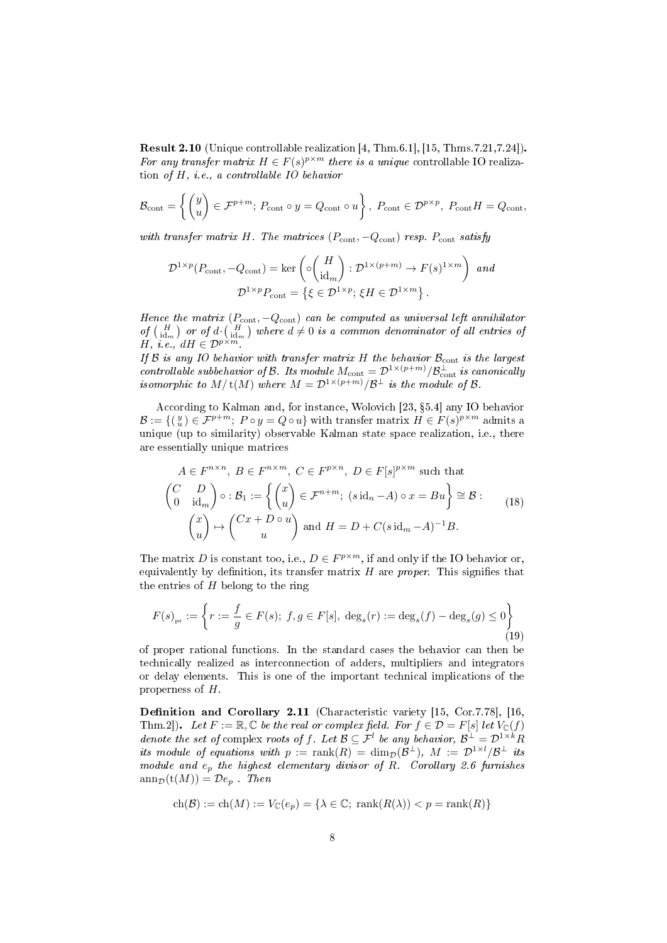<span id="page-7-1"></span>Result 2.10 (Unique controllable realization [\[4,](#page-37-2) Thm.6.1], [\[15,](#page-38-8) Thms.7.21,7.24]). For any transfer matrix  $H \in F(s)^{p \times m}$  there is a unique controllable IO realization of H, i.e., a controllable IO behavior

$$
\mathcal{B}_{\text{cont}} = \left\{ \begin{pmatrix} y \\ u \end{pmatrix} \in \mathcal{F}^{p+m}; \ P_{\text{cont}} \circ y = Q_{\text{cont}} \circ u \right\}, \ P_{\text{cont}} \in \mathcal{D}^{p \times p}, \ P_{\text{cont}}H = Q_{\text{cont}},
$$

with transfer matrix H. The matrices  $(P_{\text{cont}}, -Q_{\text{cont}})$  resp.  $P_{\text{cont}}$  satisfy

$$
\mathcal{D}^{1 \times p}(P_{\text{cont}}, -Q_{\text{cont}}) = \ker \left( \circ \left( \frac{H}{\text{id}_m} \right) : \mathcal{D}^{1 \times (p+m)} \to F(s)^{1 \times m} \right) \text{ and}
$$

$$
\mathcal{D}^{1 \times p}P_{\text{cont}} = \{ \xi \in \mathcal{D}^{1 \times p}; \, \xi H \in \mathcal{D}^{1 \times m} \}.
$$

Hence the matrix  $(P_{\text{cont}}, -Q_{\text{cont}})$  can be computed as universal left annihilator of  $\binom{H}{\mathrm{id}_{m}}$  or of  $d \cdot \binom{H}{\mathrm{id}_{m}}$  where  $d \neq 0$  is a common denominator of all entries of H, i.e.,  $dH \in \mathcal{D}^{p \times m}$ 

If  $\mathcal B$  is any IO behavior with transfer matrix H the behavior  $\mathcal B_{\text{cont}}$  is the largest controllable subbehavior of B. Its module  $M_{\text{cont}} = \mathcal{D}^{1 \times (p+m)}/\mathcal{B}_{\text{cont}}^{\perp}$  is canonically isomorphic to  $M/\text{t}(M)$  where  $M = \mathcal{D}^{1 \times (p+m)}/\mathcal{B}^{\perp}$  is the module of  $\mathcal{B}$ .

According to Kalman and, for instance, Wolovich [\[23,](#page-38-2) 5.4] any IO behavior  $\mathcal{B} := \{ (\begin{smallmatrix} y \\ u \end{smallmatrix}) \in \mathcal{F}^{p+m};\; P\circ y = Q\circ u\}$  with transfer matrix  $H \in F(s)^{p\times m}$  admits a unique (up to similarity) observable Kalman state space realization, i.e., there are essentially unique matrices

<span id="page-7-2"></span>
$$
A \in F^{n \times n}, B \in F^{n \times m}, C \in F^{p \times n}, D \in F[s]^{p \times m} \text{ such that}
$$
  
\n
$$
\begin{pmatrix} C & D \\ 0 & \text{id}_m \end{pmatrix} \circ : B_1 := \left\{ \begin{pmatrix} x \\ u \end{pmatrix} \in \mathcal{F}^{n+m}; (s \text{id}_n - A) \circ x = Bu \right\} \cong B :
$$
  
\n
$$
\begin{pmatrix} x \\ u \end{pmatrix} \mapsto \begin{pmatrix} Cx + D \circ u \\ u \end{pmatrix} \text{ and } H = D + C(s \text{id}_m - A)^{-1}B.
$$
  
\n(18)

The matrix D is constant too, i.e.,  $D \in F^{p \times m}$ , if and only if the IO behavior or, equivalently by definition, its transfer matrix  $H$  are proper. This signifies that the entries of  $H$  belong to the ring

$$
F(s)_{\text{pr}} := \left\{ r := \frac{f}{g} \in F(s); \ f, g \in F[s], \ \deg_s(r) := \deg_s(f) - \deg_s(g) \le 0 \right\}
$$
(19)

of proper rational functions. In the standard cases the behavior can then be technically realized as interconnection of adders, multipliers and integrators or delay elements. This is one of the important technical implications of the properness of H.

<span id="page-7-0"></span>Definition and Corollary 2.11 (Characteristic variety [\[15,](#page-38-8) Cor.7.78], [\[16,](#page-38-14) Thm.2]). Let  $F := \mathbb{R}, \mathbb{C}$  be the real or complex field. For  $f \in \mathcal{D} = F[s]$  let  $V_{\mathbb{C}}(f)$ denote the set of complex roots of f. Let  $\mathcal{B} \subseteq \mathcal{F}^l$  be any behavior,  $\mathcal{B}^{\perp} = \mathcal{D}^{1 \times k} R$ its module of equations with  $p := \text{rank}(R) = \dim_{\mathcal{D}}(\mathcal{B}^{\perp}), M := \mathcal{D}^{1 \times l}/\mathcal{B}^{\perp}$  its module and  $e_p$  the highest elementary divisor of R. Corollary [2.6](#page-5-0) furnishes  $ann_{\mathcal{D}}(t(M)) = \mathcal{D}e_p$ . Then

$$
ch(\mathcal{B}) := ch(M) := V_{\mathbb{C}}(e_p) = \{ \lambda \in \mathbb{C}; \ \text{rank}(R(\lambda)) < p = \text{rank}(R) \}
$$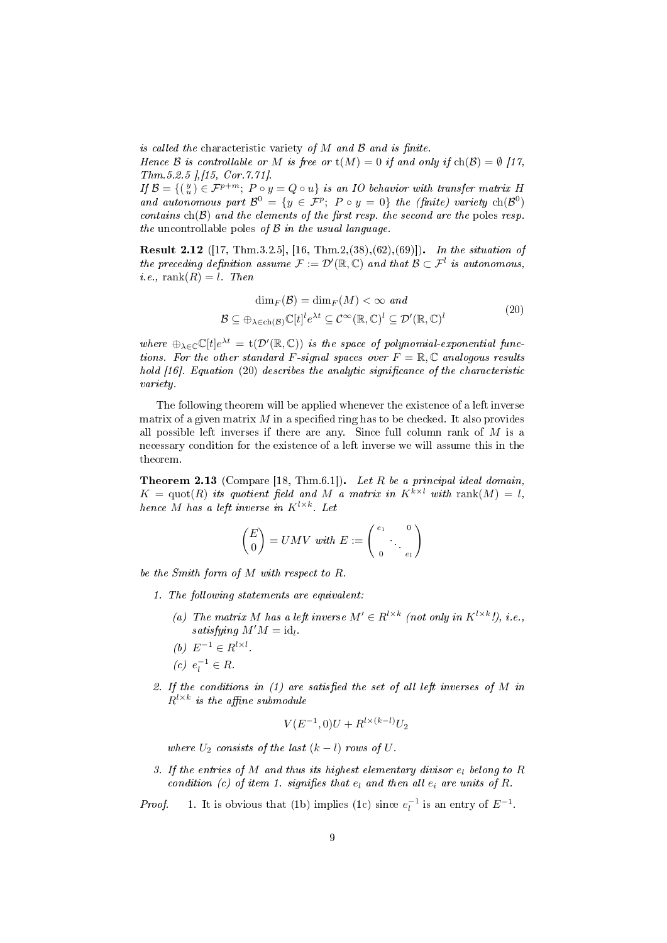is called the characteristic variety of  $M$  and  $B$  and is finite.

Hence B is controllable or M is free or  $t(M) = 0$  if and only if  $ch(\mathcal{B}) = \emptyset$  [\[17,](#page-38-13) Thm.5.2.5 ],[\[15,](#page-38-8) Cor.7.71].

If  $\mathcal{B} = \{(\begin{smallmatrix}y\u\end{smallmatrix}) \in \mathcal{F}^{p+m};\;P\circ y = Q\circ u\}$  is an IO behavior with transfer matrix H and autonomous part  $\mathcal{B}^0 = \{y \in \mathcal{F}^p; \; P \circ y = 0\}$  the (finite) variety  $\text{ch}(\mathcal{B}^0)$ contains  $ch(\mathcal{B})$  and the elements of the first resp. the second are the poles resp. the uncontrollable poles of  $\beta$  in the usual language.

<span id="page-8-6"></span>Result 2.12 ([\[17,](#page-38-13) Thm.3.2.5], [\[16,](#page-38-14) Thm.2,(38),(62),(69)]). In the situation of the preceding definition assume  $\mathcal{F} := \mathcal{D}'(\mathbb{R}, \mathbb{C})$  and that  $\mathcal{B} \subset \mathcal{F}^l$  is autonomous,  $i.e., \text{rank}(R) = l$ . Then

<span id="page-8-1"></span>
$$
\dim_F(\mathcal{B}) = \dim_F(M) < \infty \text{ and}
$$
\n
$$
\mathcal{B} \subseteq \bigoplus_{\lambda \in ch(\mathcal{B})} \mathbb{C}[t]^l e^{\lambda t} \subseteq \mathcal{C}^\infty(\mathbb{R}, \mathbb{C})^l \subseteq \mathcal{D}'(\mathbb{R}, \mathbb{C})^l \tag{20}
$$

where  $\bigoplus_{\lambda \in \mathbb{C}} \mathbb{C}[t]e^{\lambda t} = t(\mathcal{D}'(\mathbb{R}, \mathbb{C}))$  is the space of polynomial-exponential functions. For the other standard F-signal spaces over  $F = \mathbb{R}, \mathbb{C}$  analogous results hold  $[16]$ . Equation  $(20)$  describes the analytic significance of the characteristic variety.

The following theorem will be applied whenever the existence of a left inverse matrix of a given matrix  $M$  in a specified ring has to be checked. It also provides all possible left inverses if there are any. Since full column rank of  $M$  is a necessary condition for the existence of a left inverse we will assume this in the theorem.

<span id="page-8-0"></span>Theorem 2.13 (Compare [\[18,](#page-38-1) Thm.6.1]). Let R be a principal ideal domain,  $K = \text{quot}(R)$  its quotient field and M a matrix in  $K^{k \times l}$  with rank $(M) = l$ , hence M has a left inverse in  $K^{l \times k}$ . Let

$$
\begin{pmatrix} E \\ 0 \end{pmatrix} = UMV \text{ with } E := \begin{pmatrix} e_1 & 0 \\ 0 & \cdots & e_l \end{pmatrix}
$$

be the Smith form of M with respect to R.

- <span id="page-8-5"></span><span id="page-8-2"></span>1. The following statements are equivalent:
	- (a) The matrix M has a left inverse  $M' \in R^{l \times k}$  (not only in  $K^{l \times k}$ !), i.e., satisfying  $M'M = id_l$ .
	- (b)  $E^{-1} \in R^{l \times l}$ .
	- (c)  $e_l^{-1} \in R$ .
- <span id="page-8-7"></span><span id="page-8-4"></span><span id="page-8-3"></span>2. If the conditions in  $(1)$  are satisfied the set of all left inverses of M in  $R^{l \times k}$  is the affine submodule

$$
V(E^{-1},0)U + R^{l \times (k-l)}U_2
$$

where  $U_2$  consists of the last  $(k - l)$  rows of U.

3. If the entries of M and thus its highest elementary divisor  $e_l$  belong to R condition (c) of item 1. signifies that  $e_l$  and then all  $e_i$  are units of R.

*Proof.* 1. It is obvious that [\(1b\)](#page-8-3) implies [\(1c\)](#page-8-4) since  $e_l^{-1}$  is an entry of  $E^{-1}$ .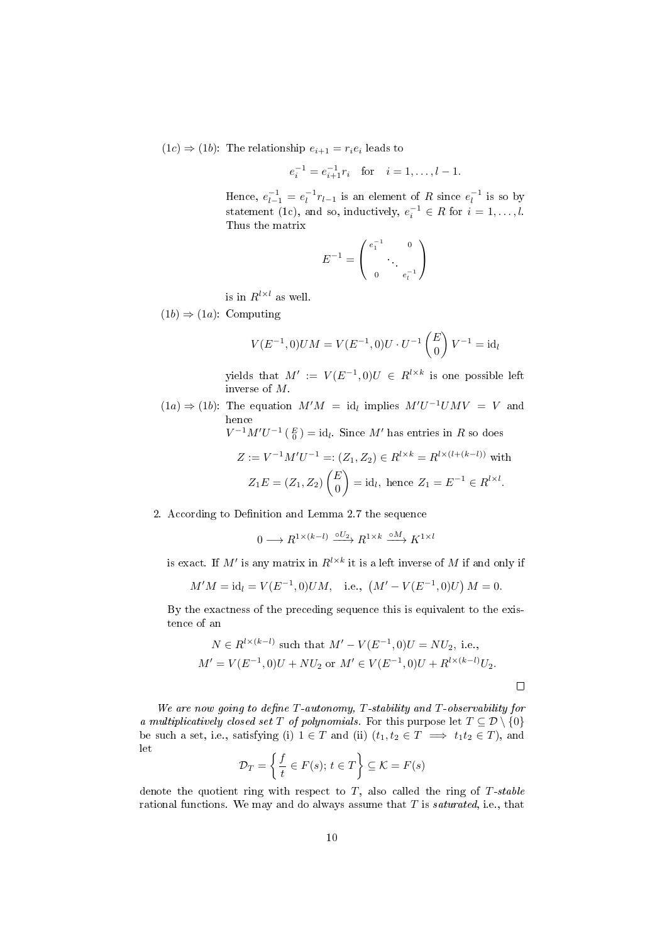$(1c) \Rightarrow (1b)$  $(1c) \Rightarrow (1b)$ : The relationship  $e_{i+1} = r_i e_i$  leads to

$$
e_i^{-1} = e_{i+1}^{-1} r_i
$$
 for  $i = 1, ..., l-1$ .

Hence,  $e_{l-1}^{-1} = e_l^{-1} r_{l-1}$  is an element of R since  $e_l^{-1}$  is so by statement [\(1c\)](#page-8-4), and so, inductively,  $e_i^{-1} \in R$  for  $i = 1, ..., l$ . Thus the matrix

$$
E^{-1} = \begin{pmatrix} e_1^{-1} & 0 \\ & \ddots & \\ 0 & e_l^{-1} \end{pmatrix}
$$

is in  $R^{l \times l}$  as well.

 $(1b) \Rightarrow (1a)$  $(1b) \Rightarrow (1a)$ : Computing

$$
V(E^{-1}, 0)UM = V(E^{-1}, 0)U \cdot U^{-1} \begin{pmatrix} E \\ 0 \end{pmatrix} V^{-1} = id_l
$$

yields that  $M' := V(E^{-1},0)U \in R^{l \times k}$  is one possible left inverse of M.

 $(1a) \Rightarrow (1b)$  $(1a) \Rightarrow (1b)$ : The equation  $M'M = id_l$  implies  $M'U^{-1}UMV = V$  and hence

$$
V^{-1}M'U^{-1} \left( \begin{array}{c} E \\ 0 \end{array} \right) = \text{id}_l.
$$
 Since  $M'$  has entries in  $R$  so does

$$
Z := V^{-1}M'U^{-1} =: (Z_1, Z_2) \in R^{l \times k} = R^{l \times (l + (k - l))} \text{ with}
$$

$$
Z_1E = (Z_1, Z_2) \begin{pmatrix} E \\ 0 \end{pmatrix} = \text{id}_l, \text{ hence } Z_1 = E^{-1} \in R^{l \times l}.
$$

### 2. According to Definition and Lemma [2.7](#page-6-2) the sequence

 $0 \longrightarrow R^{1 \times (k-l)} \stackrel{\circ U_2}{\longrightarrow} R^{1 \times k} \stackrel{\circ M}{\longrightarrow} K^{1 \times l}$ 

is exact. If  $M'$  is any matrix in  $R^{l \times k}$  it is a left inverse of M if and only if

$$
M'M = id_l = V(E^{-1}, 0)UM
$$
, i.e.,  $(M' - V(E^{-1}, 0)U) M = 0$ .

By the exactness of the preceding sequence this is equivalent to the existence of an

$$
N \in R^{l \times (k-l)}
$$
 such that  $M' - V(E^{-1}, 0)U = NU_2$ , i.e.,  

$$
M' = V(E^{-1}, 0)U + NU_2
$$
 or  $M' \in V(E^{-1}, 0)U + R^{l \times (k-l)}U_2$ .

We are now going to define  $T$ -autonomy,  $T$ -stability and  $T$ -observability for a multiplicatively closed set T of polynomials. For this purpose let  $T \subseteq \mathcal{D} \setminus \{0\}$ be such a set, i.e., satisfying (i)  $1 \in T$  and (ii)  $(t_1, t_2 \in T \implies t_1 t_2 \in T)$ , and let

$$
\mathcal{D}_T = \left\{ \frac{f}{t} \in F(s); \, t \in T \right\} \subseteq \mathcal{K} = F(s)
$$

denote the quotient ring with respect to  $T$ , also called the ring of  $T$ -stable rational functions. We may and do always assume that  $T$  is *saturated*, i.e., that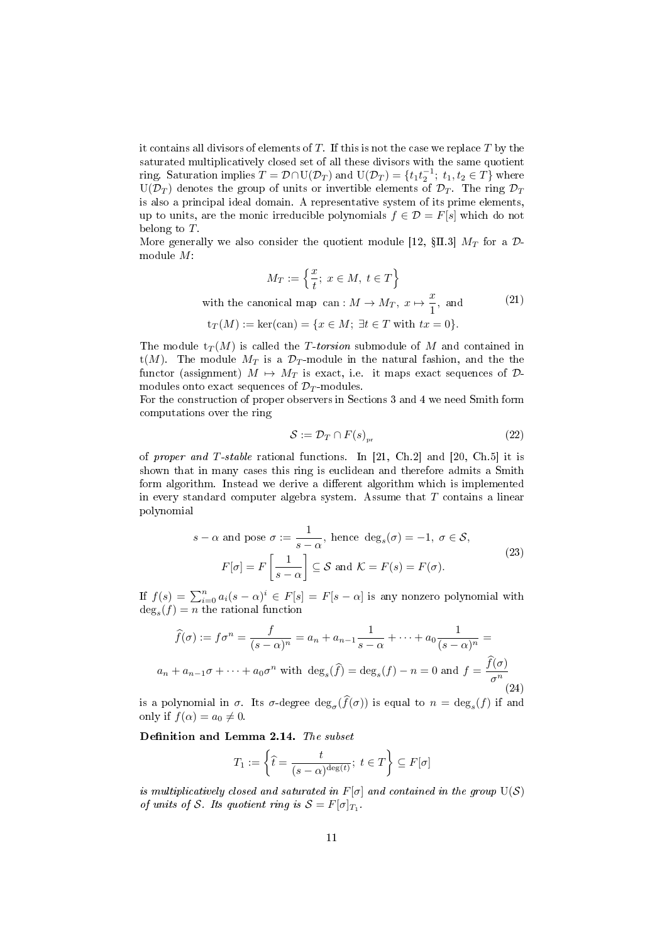it contains all divisors of elements of  $T$ . If this is not the case we replace  $T$  by the saturated multiplicatively closed set of all these divisors with the same quotient ring. Saturation implies  $T = \mathcal{D} \cap U(\mathcal{D}_T)$  and  $U(\mathcal{D}_T) = \{t_1 t_2^{-1}; t_1, t_2 \in T\}$  where  $U(\mathcal{D}_T)$  denotes the group of units or invertible elements of  $\mathcal{D}_T$ . The ring  $\mathcal{D}_T$ is also a principal ideal domain. A representative system of its prime elements, up to units, are the monic irreducible polynomials  $f \in \mathcal{D} = F[s]$  which do not belong to T.

More generally we also consider the quotient module [\[12,](#page-38-17)  $\S$ II.3]  $M_T$  for a  $\mathcal{D}$ module M:

$$
M_T := \left\{ \frac{x}{t}; \ x \in M, \ t \in T \right\}
$$
  
with the canonical map can :  $M \to M_T, \ x \mapsto \frac{x}{1}$ , and (21)

$$
t_T(M) := \ker(\text{can}) = \{x \in M; \,\exists t \in T \text{ with } tx = 0\}.
$$

The module  $t_T(M)$  is called the T-torsion submodule of M and contained in t(M). The module  $M_T$  is a  $\mathcal{D}_T$ -module in the natural fashion, and the the functor (assignment)  $M \mapsto M_T$  is exact, i.e. it maps exact sequences of  $\mathcal{D}$ modules onto exact sequences of  $\mathcal{D}_T$ -modules.

For the construction of proper observers in Sections 3 and 4 we need Smith form computations over the ring

$$
\mathcal{S} := \mathcal{D}_T \cap F(s)_{\text{pr}} \tag{22}
$$

of proper and T-stable rational functions. In [\[21,](#page-38-11) Ch.2] and [\[20,](#page-38-4) Ch.5] it is shown that in many cases this ring is euclidean and therefore admits a Smith form algorithm. Instead we derive a different algorithm which is implemented in every standard computer algebra system. Assume that  $T$  contains a linear polynomial

$$
s - \alpha \text{ and pose } \sigma := \frac{1}{s - \alpha}, \text{ hence } \deg_s(\sigma) = -1, \ \sigma \in \mathcal{S},
$$

$$
F[\sigma] = F\left[\frac{1}{s - \alpha}\right] \subseteq \mathcal{S} \text{ and } \mathcal{K} = F(s) = F(\sigma).
$$

$$
(23)
$$

If  $f(s) = \sum_{i=0}^{n} a_i (s - \alpha)^i \in F[s] = F[s - \alpha]$  is any nonzero polynomial with  $\deg_s(f) = n$  the rational function

$$
\widehat{f}(\sigma) := f\sigma^n = \frac{f}{(s-\alpha)^n} = a_n + a_{n-1}\frac{1}{s-\alpha} + \dots + a_0\frac{1}{(s-\alpha)^n} = a_n + a_{n-1}\sigma + \dots + a_0\sigma^n
$$
 with  $\deg_s(\widehat{f}) = \deg_s(f) - n = 0$  and  $f = \frac{\widehat{f}(\sigma)}{\sigma^n}$  (24)

is a polynomial in  $\sigma$ . Its  $\sigma$ -degree  $\deg_{\sigma}(f(\sigma))$  is equal to  $n = \deg_s(f)$  if and only if  $f(\alpha) = a_0 \neq 0$ .

<span id="page-10-0"></span>Definition and Lemma 2.14. The subset

$$
T_1 := \left\{ \hat{t} = \frac{t}{(s-\alpha)^{\deg(t)}}; \ t \in T \right\} \subseteq F[\sigma]
$$

is multiplicatively closed and saturated in  $F[\sigma]$  and contained in the group  $U(S)$ of units of S. Its quotient ring is  $S = F[\sigma]_{T_1}$ .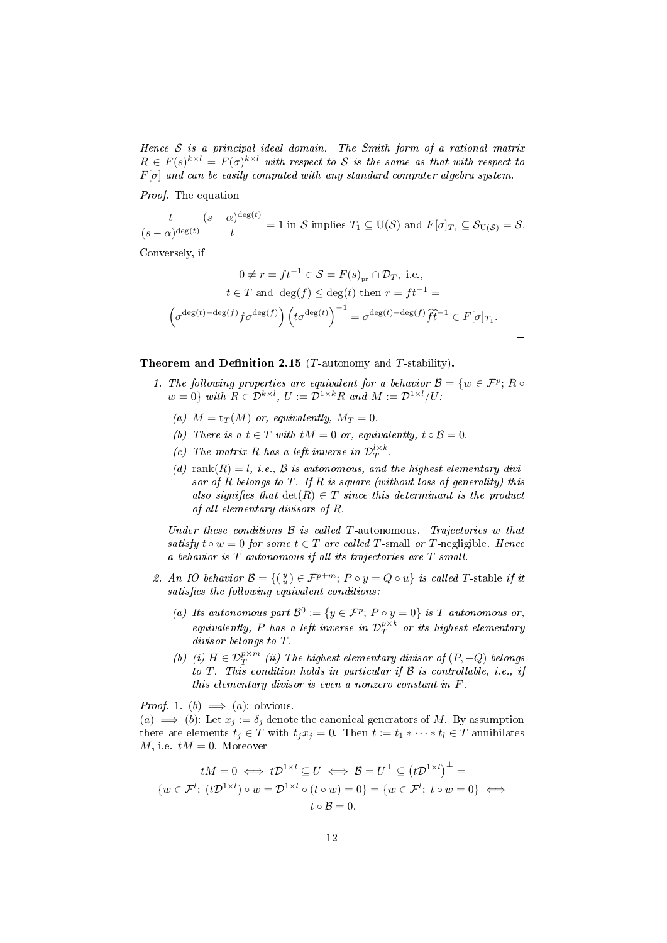Hence  $S$  is a principal ideal domain. The Smith form of a rational matrix  $R \in F(s)^{k \times l} = F(\sigma)^{k \times l}$  with respect to S is the same as that with respect to  $F[\sigma]$  and can be easily computed with any standard computer algebra system.

Proof. The equation

$$
\frac{t}{(s-\alpha)^{\deg(t)}}\frac{(s-\alpha)^{\deg(t)}}{t}=1\text{ in }\mathcal{S}\text{ implies }T_1\subseteq \mathrm{U}(\mathcal{S})\text{ and }F[\sigma]_{T_1}\subseteq \mathcal{S}_{\mathrm{U}(\mathcal{S})}=\mathcal{S}.
$$

Conversely, if

$$
0 \neq r = ft^{-1} \in S = F(s)_{pr} \cap \mathcal{D}_T, \text{ i.e.,}
$$
  
\n
$$
t \in T \text{ and } \deg(f) \leq \deg(t) \text{ then } r = ft^{-1} =
$$
  
\n
$$
\left(\sigma^{\deg(t) - \deg(f)} f \sigma^{\deg(f)}\right) \left(t \sigma^{\deg(t)}\right)^{-1} = \sigma^{\deg(t) - \deg(f)} \widehat{f} \widehat{t}^{-1} \in F[\sigma]_{T_1}.
$$

<span id="page-11-0"></span>Theorem and Definition 2.15 ( $T$ -autonomy and  $T$ -stability).

- 1. The following properties are equivalent for a behavior  $\mathcal{B} = \{w \in \mathcal{F}^p; R \circ \mathcal{F}^p\}$  $w = 0$  with  $R \in \mathcal{D}^{k \times l}$ ,  $U := \mathcal{D}^{1 \times k}R$  and  $M := \mathcal{D}^{1 \times l}/U$ .
	- (a)  $M = t_T(M)$  or, equivalently,  $M_T = 0$ .
	- (b) There is a  $t \in T$  with  $tM = 0$  or, equivalently,  $t \circ \mathcal{B} = 0$ .
	- (c) The matrix R has a left inverse in  $\mathcal{D}_T^{l \times k}$ .
	- (d) rank $(R) = l$ , i.e.,  $\beta$  is autonomous, and the highest elementary divisor of R belongs to  $T$ . If R is square (without loss of generality) this also signifies that  $\det(R) \in T$  since this determinant is the product of all elementary divisors of R.

Under these conditions  $\beta$  is called T-autonomous. Trajectories w that satisfy  $t \circ w = 0$  for some  $t \in T$  are called T-small or T-negligible. Hence a behavior is T-autonomous if all its trajectories are T-small.

- 2. An IO behavior  $\mathcal{B} = \{(\begin{smallmatrix}y\\ u\end{smallmatrix}) \in \mathcal{F}^{p+m}; P \circ y = Q \circ u\}$  is called T-stable if it  $satisfies the following equivalent conditions:$ 
	- (a) Its autonomous part  $\mathcal{B}^0 := \{y \in \mathcal{F}^p; \, P \circ y = 0\}$  is T-autonomous or, equivalently, P has a left inverse in  $\mathcal{D}_T^{p\times k}$  or its highest elementary divisor belongs to T.
	- (b) (i)  $H \in \mathcal{D}_T^{p \times m}$  (ii) The highest elementary divisor of  $(P, -Q)$  belongs to  $T$ . This condition holds in particular if  $\mathcal B$  is controllable, i.e., if this elementary divisor is even a nonzero constant in F.

*Proof.* 1. (b)  $\implies$  (a): obvious.

 $(a) \implies (b)$ : Let  $x_i := \overline{\delta_i}$  denote the canonical generators of M. By assumption there are elements  $t_j \in T$  with  $t_j x_j = 0$ . Then  $t := t_1 * \cdots * t_l \in T$  annihilates M, i.e.  $tM = 0$ . Moreover

$$
tM = 0 \iff t\mathcal{D}^{1 \times l} \subseteq U \iff \mathcal{B} = U^{\perp} \subseteq (t\mathcal{D}^{1 \times l})^{\perp} =
$$
  

$$
\{w \in \mathcal{F}^{l}; (t\mathcal{D}^{1 \times l}) \circ w = \mathcal{D}^{1 \times l} \circ (t \circ w) = 0\} = \{w \in \mathcal{F}^{l}; t \circ w = 0\} \iff
$$
  

$$
t \circ \mathcal{B} = 0.
$$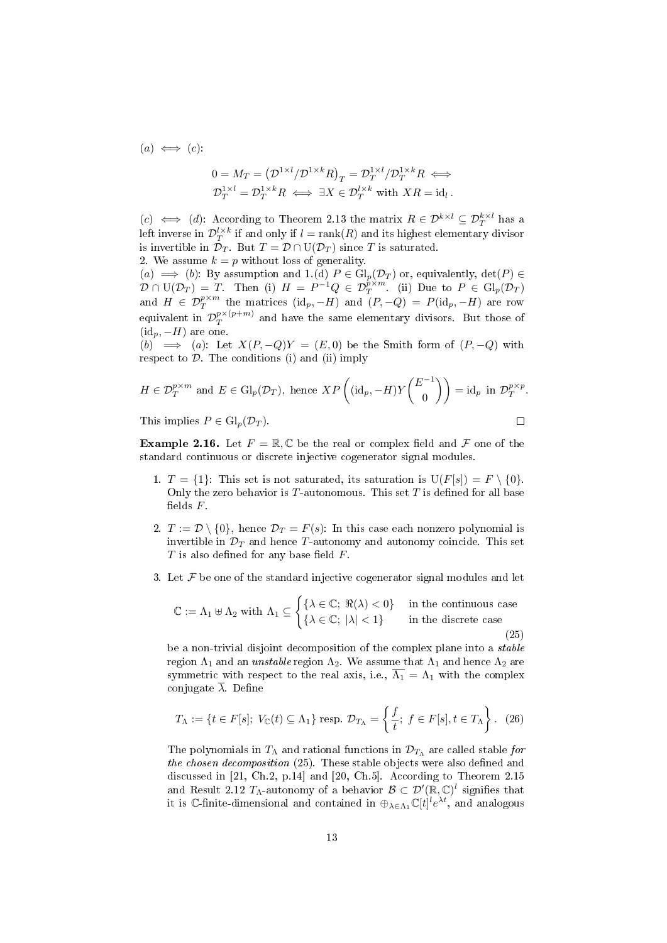$(a) \iff (c)$ :

$$
0 = M_T = \left(\mathcal{D}^{1 \times l} / \mathcal{D}^{1 \times k} R\right)_T = \mathcal{D}^{1 \times l} _T / \mathcal{D}^{1 \times k} _T R \iff
$$
  

$$
\mathcal{D}^{1 \times l} _T = \mathcal{D}^{1 \times k} _T R \iff \exists X \in \mathcal{D}^{l \times k} _T \text{ with } X R = \text{id}_l \,.
$$

(c)  $\iff$  (d): According to Theorem [2.13](#page-8-0) the matrix  $R \in \mathcal{D}^{k \times l} \subseteq \mathcal{D}^{k \times l}_T$  has a left inverse in  $\mathcal{D}_T^{l \times k}$  if and only if  $l = \mathrm{rank}(R)$  and its highest elementary divisor is invertible in  $\mathcal{D}_T$ . But  $T = \mathcal{D} \cap U(\mathcal{D}_T)$  since T is saturated.

2. We assume 
$$
k = p
$$
 without loss of generality.

 $(a) \implies (b)$ : By assumption and 1.(d)  $P \in Gl_p(\mathcal{D}_T)$  or, equivalently,  $\det(P) \in$  $\mathcal{D} \cap U(\mathcal{D}_T) = T$ . Then (i)  $H = P^{-1}Q \in \mathcal{D}_T^{p \times m}$  (ii) Due to  $P \in \mathrm{Gl}_p(\mathcal{D}_T)$ and  $H \in \mathcal{D}_T^{p \times m}$  the matrices  $(\mathrm{id}_p, -H)$  and  $(P, -Q) = P(\mathrm{id}_p, -H)$  are row equivalent in  $\mathcal{D}^{p\times (p+m)}_{T}$  $T^{p \times (p+m)}$  and have the same elementary divisors. But those of  $(id_p, -H)$  are one.

(b)  $\implies$  (a): Let  $X(P,-Q)Y = (E,0)$  be the Smith form of  $(P,-Q)$  with respect to  $D$ . The conditions (i) and (ii) imply

$$
H \in \mathcal{D}_T^{p \times m} \text{ and } E \in \mathrm{Gl}_p(\mathcal{D}_T), \text{ hence } XP\left((\mathrm{id}_p, -H)Y\binom{E^{-1}}{0}\right) = \mathrm{id}_p \text{ in } \mathcal{D}_T^{p \times p}.
$$
  
This implies  $P \in \mathrm{Gl}_p(\mathcal{D}_T).$ 

<span id="page-12-1"></span>**Example 2.16.** Let  $F = \mathbb{R}, \mathbb{C}$  be the real or complex field and  $\mathcal F$  one of the standard continuous or discrete injective cogenerator signal modules.

- 1.  $T = \{1\}$ : This set is not saturated, its saturation is  $U(F[s]) = F \setminus \{0\}$ . Only the zero behavior is  $T$ -autonomous. This set  $T$  is defined for all base fields  $F$ .
- 2.  $T := \mathcal{D} \setminus \{0\}$ , hence  $\mathcal{D}_T = F(s)$ : In this case each nonzero polynomial is invertible in  $\mathcal{D}_T$  and hence T-autonomy and autonomy coincide. This set  $T$  is also defined for any base field  $F$ .
- 3. Let  $\mathcal F$  be one of the standard injective cogenerator signal modules and let

<span id="page-12-0"></span>
$$
\mathbb{C} := \Lambda_1 \uplus \Lambda_2 \text{ with } \Lambda_1 \subseteq \begin{cases} \{\lambda \in \mathbb{C}; \ \Re(\lambda) < 0\} & \text{in the continuous case} \\ \{\lambda \in \mathbb{C}; \ |\lambda| < 1\} & \text{in the discrete case} \end{cases} \tag{25}
$$

be a non-trivial disjoint decomposition of the complex plane into a stable region  $\Lambda_1$  and an unstable region  $\Lambda_2$ . We assume that  $\Lambda_1$  and hence  $\Lambda_2$  are symmetric with respect to the real axis, i.e.,  $\overline{\Lambda_1} = \Lambda_1$  with the complex conjugate  $\overline{\lambda}$ . Define

$$
T_{\Lambda} := \{ t \in F[s]; \ V_{\mathbb{C}}(t) \subseteq \Lambda_1 \} \text{ resp. } \mathcal{D}_{T_{\Lambda}} = \left\{ \frac{f}{t}; \ f \in F[s], t \in T_{\Lambda} \right\}. \tag{26}
$$

The polynomials in  $T_{\Lambda}$  and rational functions in  $\mathcal{D}_{T_{\Lambda}}$  are called stable for the chosen decomposition  $(25)$ . These stable objects were also defined and discussed in [\[21,](#page-38-11) Ch.2, p.14] and [\[20,](#page-38-4) Ch.5]. According to Theorem [2.15](#page-11-0) and Result [2.12](#page-8-6)  $T_{\Lambda}$ -autonomy of a behavior  $\mathcal{B} \subset \mathcal{D}'(\mathbb{R}, \mathbb{C})^l$  signifies that it is C-finite-dimensional and contained in  $\oplus_{\lambda \in \Lambda_1} \mathbb{C}[t]^l e^{\lambda t}$ , and analogous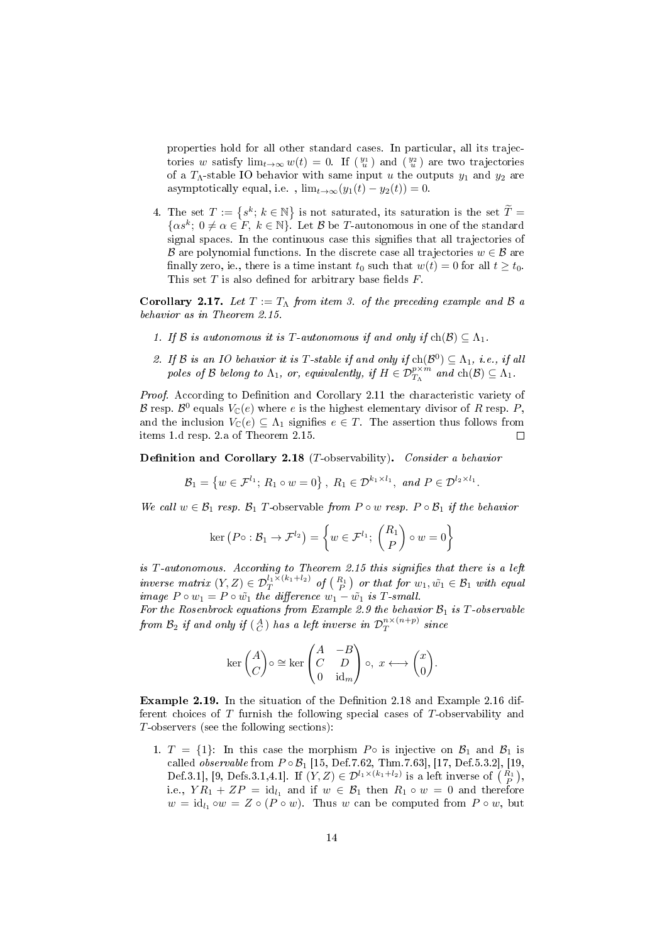properties hold for all other standard cases. In particular, all its trajectories w satisfy  $\lim_{t\to\infty} w(t) = 0$ . If  $\left(\frac{y_1}{u}\right)$  and  $\left(\frac{y_2}{u}\right)$  are two trajectories of a  $T_{\Lambda}$ -stable IO behavior with same input u the outputs  $y_1$  and  $y_2$  are asymptotically equal, i.e.,  $\lim_{t\to\infty}(y_1(t) - y_2(t)) = 0.$ 

4. The set  $T := \{s^k; k \in \mathbb{N}\}\$ is not saturated, its saturation is the set  $\widetilde{T} = \{s^k; k \in \mathbb{N}\}\$  $\{\alpha s^k; 0 \neq \alpha \in F, k \in \mathbb{N}\}\)$ . Let  $\beta$  be T-autonomous in one of the standard signal spaces. In the continuous case this signifies that all trajectories of B are polynomial functions. In the discrete case all trajectories  $w \in \mathcal{B}$  are finally zero, ie., there is a time instant  $t_0$  such that  $w(t) = 0$  for all  $t \geq t_0$ . This set  $T$  is also defined for arbitrary base fields  $F$ .

Corollary 2.17. Let  $T := T_{\Lambda}$  from item 3. of the preceding example and B a behavior as in Theorem [2.15.](#page-11-0)

- 1. If B is autonomous it is T-autonomous if and only if  $ch(\mathcal{B}) \subseteq \Lambda_1$ .
- 2. If B is an IO behavior it is T-stable if and only if  $ch(\mathcal{B}^0) \subseteq \Lambda_1$ , i.e., if all poles of B belong to  $\Lambda_1$ , or, equivalently, if  $H \in \mathcal{D}_{T_{\Lambda}}^{p \times m}$  and  $\ch(\mathcal{B}) \subseteq \Lambda_1$ .

Proof. According to Definition and Corollary [2.11](#page-7-0) the characteristic variety of B resp. B<sup>0</sup> equals  $V_{\mathbb{C}}(e)$  where e is the highest elementary divisor of R resp. P, and the inclusion  $V_{\mathbb{C}}(e) \subseteq \Lambda_1$  signifies  $e \in T$ . The assertion thus follows from items 1.d resp. 2.a of Theorem [2.15.](#page-11-0)  $\Box$ 

<span id="page-13-0"></span>Definition and Corollary 2.18 (T-observability). Consider a behavior

$$
\mathcal{B}_1 = \left\{ w \in \mathcal{F}^{l_1}; \, R_1 \circ w = 0 \right\}, \, R_1 \in \mathcal{D}^{k_1 \times l_1}, \text{ and } P \in \mathcal{D}^{l_2 \times l_1}.
$$

We call  $w \in \mathcal{B}_1$  resp.  $\mathcal{B}_1$  T-observable from  $P \circ w$  resp.  $P \circ \mathcal{B}_1$  if the behavior

$$
\ker (P \circ : \mathcal{B}_1 \to \mathcal{F}^{l_2}) = \left\{ w \in \mathcal{F}^{l_1}; \begin{pmatrix} R_1 \\ P \end{pmatrix} \circ w = 0 \right\}
$$

is  $T$ -autonomous. According to Theorem [2.15](#page-11-0) this signifies that there is a left inverse matrix  $(Y, Z) \in \mathcal{D}_T^{l_1 \times (k_1 + l_2)}$  of  $\left(\frac{R_1}{P}\right)$  or that for  $w_1, \tilde{w_1} \in \mathcal{B}_1$  with equal image  $P \circ w_1 = P \circ w_1$  the difference  $w_1 - w_1$  is T-small.

For the Rosenbrock equations from Example [2.9](#page-6-3) the behavior  $\mathcal{B}_1$  is T-observable from  $\mathcal{B}_2$  if and only if  $(\begin{smallmatrix}A \ C \end{smallmatrix})$  has a left inverse in  $\mathcal{D}^{n\times (n+p)}_T$  $\int_T^{n \times (n+p)} since$ 

$$
\ker\begin{pmatrix} A \\ C \end{pmatrix} \circ \cong \ker\begin{pmatrix} A & -B \\ C & D \\ 0 & \mathrm{id}_m \end{pmatrix} \circ, \ x \longleftrightarrow \begin{pmatrix} x \\ 0 \end{pmatrix}.
$$

Example 2.19. In the situation of the Definition [2.18](#page-13-0) and Example [2.16](#page-12-1) different choices of T furnish the following special cases of T-observability and T-observers (see the following sections):

1.  $T = \{1\}$ : In this case the morphism P $\circ$  is injective on  $\mathcal{B}_1$  and  $\mathcal{B}_1$  is called *observable* from  $P \circ B_1$  [\[15,](#page-38-8) Def.7.62, Thm.7.63], [\[17,](#page-38-13) Def.5.3.2], [\[19,](#page-38-5) Def.3.1], [\[9,](#page-38-6) Defs.3.1,4.1]. If  $(Y, Z) \in \mathcal{D}^{l_1 \times (k_1 + l_2)}$  is a left inverse of  $\begin{pmatrix} R_1 \\ P \end{pmatrix}$ , i.e.,  $Y R_1 + Z P = id_{l_1}$  and if  $w \in \mathcal{B}_1$  then  $R_1 \circ w = 0$  and therefore  $w = id_{l_1} \circ w = Z \circ (P \circ w)$ . Thus w can be computed from  $P \circ w$ , but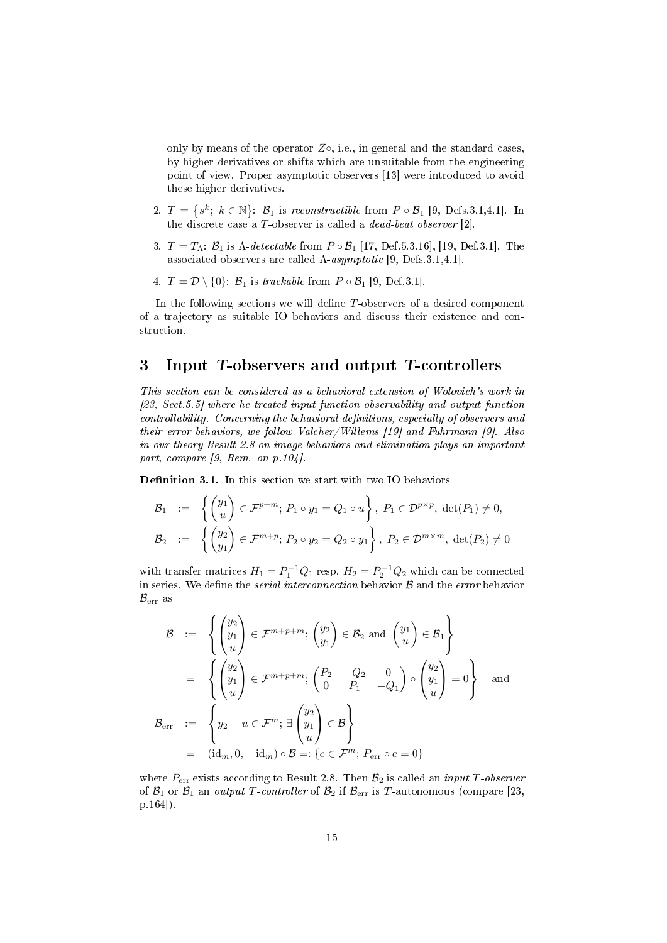only by means of the operator  $Z\circ$ , i.e., in general and the standard cases, by higher derivatives or shifts which are unsuitable from the engineering point of view. Proper asymptotic observers [\[13\]](#page-38-0) were introduced to avoid these higher derivatives.

- 2.  $T = \{s^k; k \in \mathbb{N}\}\colon \mathcal{B}_1$  is reconstructible from  $P \circ \mathcal{B}_1$  [\[9,](#page-38-6) Defs. 3.1, 4.1]. In the discrete case a T-observer is called a dead-beat observer [\[2\]](#page-37-1).
- 3.  $T = T_A$ :  $\mathcal{B}_1$  is  $\Lambda$ -detectable from  $P \circ \mathcal{B}_1$  [\[17,](#page-38-13) Def.5.3.16], [\[19,](#page-38-5) Def.3.1]. The associated observers are called  $\Lambda$ -asymptotic [\[9,](#page-38-6) Defs.3.1,4.1].
- 4.  $T = \mathcal{D} \setminus \{0\}$ :  $\mathcal{B}_1$  is trackable from  $P \circ \mathcal{B}_1$  [\[9,](#page-38-6) Def.3.1].

In the following sections we will define  $T$ -observers of a desired component of a trajectory as suitable IO behaviors and discuss their existence and construction.

## 3 Input T-observers and output T-controllers

This section can be considered as a behavioral extension of Wolovich's work in [\[23,](#page-38-2) Sect.5.5] where he treated input function observability and output function controllability. Concerning the behavioral definitions, especially of observers and their error behaviors, we follow Valcher/Willems [\[19\]](#page-38-5) and Fuhrmann [\[9\]](#page-38-6). Also in our theory Result [2.8](#page-6-1) on image behaviors and elimination plays an important part, compare [\[9,](#page-38-6) Rem. on p.104].

<span id="page-14-0"></span>Definition 3.1. In this section we start with two IO behaviors

$$
\mathcal{B}_1 \quad := \quad \left\{ \begin{pmatrix} y_1 \\ u \end{pmatrix} \in \mathcal{F}^{p+m}; \ P_1 \circ y_1 = Q_1 \circ u \right\}, \ P_1 \in \mathcal{D}^{p \times p}, \ \det(P_1) \neq 0,
$$
\n
$$
\mathcal{B}_2 \quad := \quad \left\{ \begin{pmatrix} y_2 \\ y_1 \end{pmatrix} \in \mathcal{F}^{m+p}; \ P_2 \circ y_2 = Q_2 \circ y_1 \right\}, \ P_2 \in \mathcal{D}^{m \times m}, \ \det(P_2) \neq 0
$$

with transfer matrices  $H_1 = P_1^{-1}Q_1$  resp.  $H_2 = P_2^{-1}Q_2$  which can be connected in series. We define the *serial interconnection* behavior  $B$  and the *error* behavior  $B_{\text{err}}$  as

$$
\mathcal{B} := \left\{ \begin{pmatrix} y_2 \\ y_1 \\ u \end{pmatrix} \in \mathcal{F}^{m+p+m}; \begin{pmatrix} y_2 \\ y_1 \end{pmatrix} \in \mathcal{B}_2 \text{ and } \begin{pmatrix} y_1 \\ u \end{pmatrix} \in \mathcal{B}_1 \right\}
$$

$$
= \left\{ \begin{pmatrix} y_2 \\ y_1 \\ u \end{pmatrix} \in \mathcal{F}^{m+p+m}; \begin{pmatrix} P_2 & -Q_2 & 0 \\ 0 & P_1 & -Q_1 \end{pmatrix} \circ \begin{pmatrix} y_2 \\ y_1 \\ u \end{pmatrix} = 0 \right\} \text{ and}
$$

$$
\mathcal{B}_{err} := \left\{ y_2 - u \in \mathcal{F}^m; \exists \begin{pmatrix} y_2 \\ y_1 \\ u \end{pmatrix} \in \mathcal{B} \right\}
$$

$$
= (\mathrm{id}_m, 0, - \mathrm{id}_m) \circ \mathcal{B} =: \{ e \in \mathcal{F}^m; P_{\text{err}} \circ e = 0 \}
$$

where  $P_{err}$  exists according to Result [2.8.](#page-6-1) Then  $B_2$  is called an *input T-observer* of  $\mathcal{B}_1$  or  $\mathcal{B}_1$  an *output T-controller* of  $\mathcal{B}_2$  if  $\mathcal{B}_{err}$  is T-autonomous (compare [\[23,](#page-38-2) p.164]).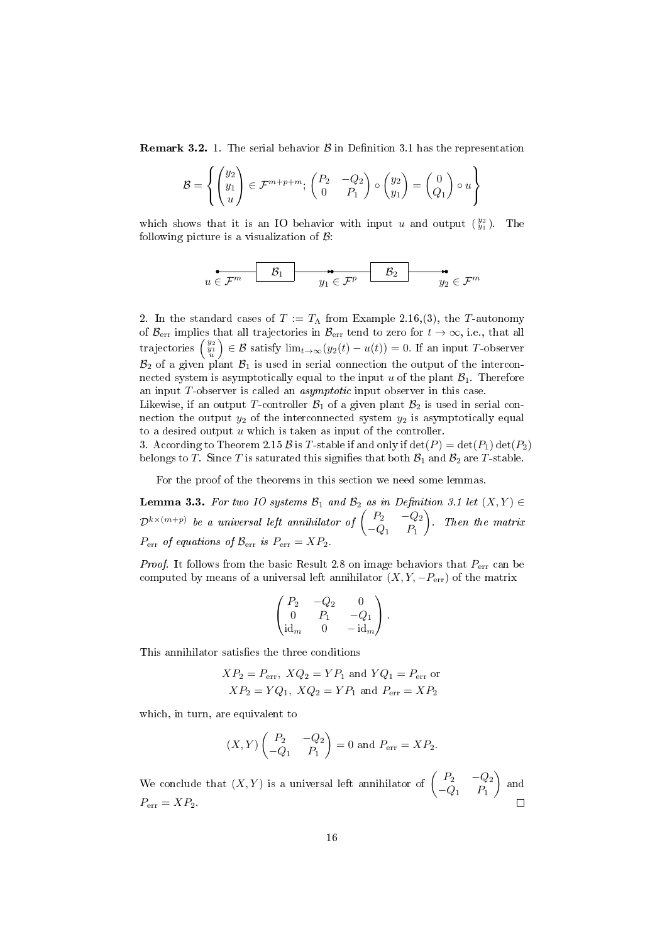**Remark 3.2.** 1. The serial behavior  $\beta$  in Definition [3.1](#page-14-0) has the representation

$$
\mathcal{B} = \left\{ \begin{pmatrix} y_2 \\ y_1 \\ u \end{pmatrix} \in \mathcal{F}^{m+p+m}; \begin{pmatrix} P_2 & -Q_2 \\ 0 & P_1 \end{pmatrix} \circ \begin{pmatrix} y_2 \\ y_1 \end{pmatrix} = \begin{pmatrix} 0 \\ Q_1 \end{pmatrix} \circ u \right\}
$$

which shows that it is an IO behavior with input u and output  $\binom{y_2}{y_1}$ . The following picture is a visualization of  $\beta$ :

$$
u\in \mathcal{F}^m \hspace{1cm} \mathcal{B}_1 \hspace{1cm} \overbrace{y_1\in \mathcal{F}^p} \hspace{1cm} \mathcal{B}_2 \hspace{1cm} \overbrace{y_2\in \mathcal{F}^m}^{\bullet}
$$

2. In the standard cases of  $T := T_{\Lambda}$  from Example [2.16,](#page-12-1)(3), the T-autonomy of  $\mathcal{B}_{err}$  implies that all trajectories in  $\mathcal{B}_{err}$  tend to zero for  $t \to \infty$ , i.e., that all trajectories  $\begin{pmatrix} y_2 \\ y_1 \\ u \end{pmatrix}$  $\Big) \in \mathcal{B}$  satisfy  $\lim_{t \to \infty} (y_2(t) - u(t)) = 0$ . If an input T-observer  $\mathcal{B}_2$  of a given plant  $\mathcal{B}_1$  is used in serial connection the output of the interconnected system is asymptotically equal to the input u of the plant  $\mathcal{B}_1$ . Therefore an input T-observer is called an asymptotic input observer in this case.

Likewise, if an output T-controller  $\mathcal{B}_1$  of a given plant  $\mathcal{B}_2$  is used in serial connection the output  $y_2$  of the interconnected system  $y_2$  is asymptotically equal to a desired output  $u$  which is taken as input of the controller.

3. According to Theorem [2.15](#page-11-0) B is T-stable if and only if  $\det(P) = \det(P_1) \det(P_2)$ belongs to T. Since T is saturated this signifies that both  $\mathcal{B}_1$  and  $\mathcal{B}_2$  are T-stable.

For the proof of the theorems in this section we need some lemmas.

<span id="page-15-0"></span>Lemma 3.3. For two IO systems  $\mathcal{B}_1$  and  $\mathcal{B}_2$  as in Definition [3.1](#page-14-0) let  $(X, Y) \in$  $\mathcal{D}^{k \times (m+p)}$  be a universal left annihilator of  $\left( \begin{array}{ccc} P_2 & -Q_2 \ \cap & D \end{array} \right)$  $-Q_1$   $P_1$  . Then the matrix  $P_{\text{err}}$  of equations of  $\mathcal{B}_{\text{err}}$  is  $P_{\text{err}} = XP_2$ .

*Proof.* It follows from the basic Result [2.8](#page-6-1) on image behaviors that  $P_{\text{err}}$  can be computed by means of a universal left annihilator  $(X, Y, -P_{err})$  of the matrix

$$
\begin{pmatrix} P_2 & -Q_2 & 0 \\ 0 & P_1 & -Q_1 \\ \mathrm{id}_m & 0 & -\mathrm{id}_m \end{pmatrix}.
$$

This annihilator satisfies the three conditions

$$
XP_2 = P_{\text{err}}, XQ_2 = YP_1 \text{ and } YQ_1 = P_{\text{err}} \text{ or}
$$
  

$$
XP_2 = YQ_1, XQ_2 = YP_1 \text{ and } P_{\text{err}} = XP_2
$$

which, in turn, are equivalent to

$$
(X,Y)\begin{pmatrix} P_2 & -Q_2 \ -Q_1 & P_1 \end{pmatrix} = 0 \text{ and } P_{\text{err}} = XP_2.
$$

We conclude that  $(X, Y)$  is a universal left annihilator of  $\begin{pmatrix} P_2 & -Q_2 \ Q & -P_1 \end{pmatrix}$  $-Q_1$   $P_1$  $\Big)$  and  $P_{\text{err}} = XP_2.$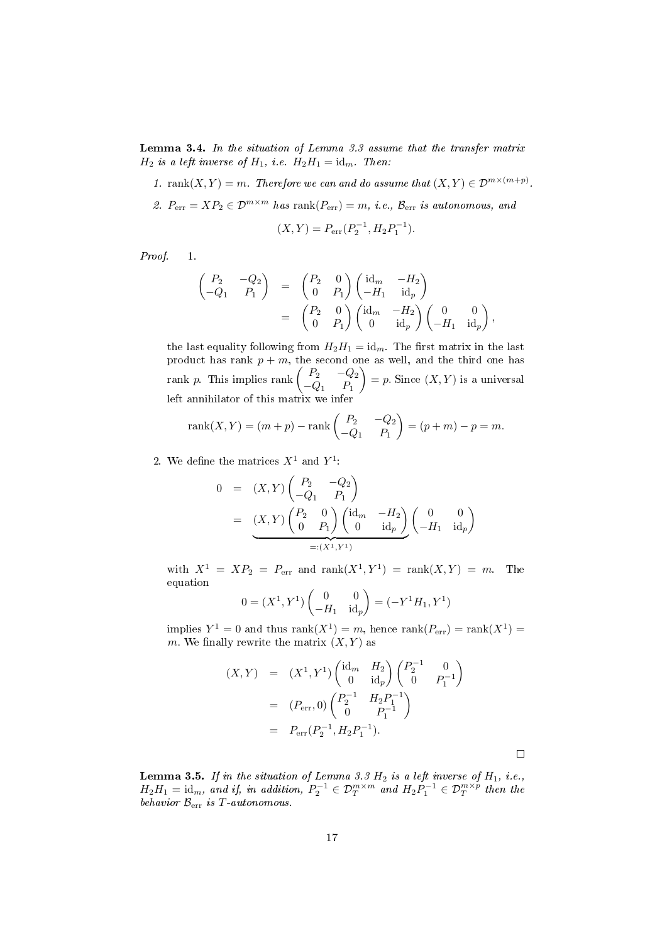<span id="page-16-0"></span>Lemma 3.4. In the situation of Lemma [3.3](#page-15-0) assume that the transfer matrix  $H_2$  is a left inverse of  $H_1$ , i.e.  $H_2H_1 = id_m$ . Then:

- 1. rank $(X, Y) = m$ . Therefore we can and do assume that  $(X, Y) \in \mathcal{D}^{m \times (m+p)}$ .
- 2.  $P_{\text{err}} = XP_2 \in \mathcal{D}^{m \times m}$  has  $\text{rank}(P_{\text{err}}) = m$ , i.e.,  $\mathcal{B}_{\text{err}}$  is autonomous, and

$$
(X,Y) = P_{\rm err}(P_2^{-1}, H_2 P_1^{-1}).
$$

Proof 1.

$$
\begin{pmatrix}\nP_2 & -Q_2 \\
-Q_1 & P_1\n\end{pmatrix} = \begin{pmatrix}\nP_2 & 0 \\
0 & P_1\n\end{pmatrix} \begin{pmatrix}\n\operatorname{id}_m & -H_2 \\
-H_1 & \operatorname{id}_p\n\end{pmatrix}
$$
\n
$$
= \begin{pmatrix}\nP_2 & 0 \\
0 & P_1\n\end{pmatrix} \begin{pmatrix}\n\operatorname{id}_m & -H_2 \\
0 & \operatorname{id}_p\n\end{pmatrix} \begin{pmatrix}\n0 & 0 \\
-H_1 & \operatorname{id}_p\n\end{pmatrix},
$$

the last equality following from  $H_2H_1 = id_m$ . The first matrix in the last product has rank  $p + m$ , the second one as well, and the third one has rank p. This implies rank  $\begin{pmatrix} P_2 & -Q_2 \ 0 & P \end{pmatrix}$  $-Q_1$   $P_1$  $= p$ . Since  $(X, Y)$  is a universal left annihilator of this matrix we infer

rank(X, Y) = (m + p) - rank 
$$
\begin{pmatrix} P_2 & -Q_2 \\ -Q_1 & P_1 \end{pmatrix}
$$
 = (p + m) - p = m.

2. We define the matrices  $X^1$  and  $Y^1$ :

$$
0 = (X, Y) \begin{pmatrix} P_2 & -Q_2 \\ -Q_1 & P_1 \end{pmatrix}
$$
  
=  $\underbrace{(X, Y) \begin{pmatrix} P_2 & 0 \\ 0 & P_1 \end{pmatrix} \begin{pmatrix} id_m & -H_2 \\ 0 & id_p \end{pmatrix}}_{=: (X^1, Y^1)} \begin{pmatrix} 0 & 0 \\ -H_1 & id_p \end{pmatrix}$ 

with  $X^1 = XP_2 = P_{err}$  and  $rank(X^1, Y^1) = rank(X, Y) = m$ . The equation

$$
0 = (X^1, Y^1) \begin{pmatrix} 0 & 0 \\ -H_1 & \mathrm{id}_p \end{pmatrix} = (-Y^1 H_1, Y^1)
$$

implies  $Y^1 = 0$  and thus  $rank(X^1) = m$ , hence  $rank(P_{err}) = rank(X^1) =$ m. We finally rewrite the matrix  $(X, Y)$  as

$$
(X,Y) = (X^1, Y^1) \begin{pmatrix} \mathrm{id}_m & H_2 \\ 0 & \mathrm{id}_p \end{pmatrix} \begin{pmatrix} P_2^{-1} & 0 \\ 0 & P_1^{-1} \end{pmatrix}
$$
  
=  $(P_{\text{err}}, 0) \begin{pmatrix} P_2^{-1} & H_2 P_1^{-1} \\ 0 & P_1^{-1} \end{pmatrix}$   
=  $P_{\text{err}}(P_2^{-1}, H_2 P_1^{-1}).$ 

 $\Box$ 

<span id="page-16-1"></span>**Lemma 3.5.** If in the situation of Lemma [3.3](#page-15-0)  $H_2$  is a left inverse of  $H_1$ , i.e.,  $H_2H_1 = \text{id}_m$ , and if, in addition,  $P_2^{-1} \in \mathcal{D}_T^{m \times m}$  and  $H_2P_1^{-1} \in \mathcal{D}_T^{m \times p}$  then the behavior  $\mathcal{B}_{err}$  is T-autonomous.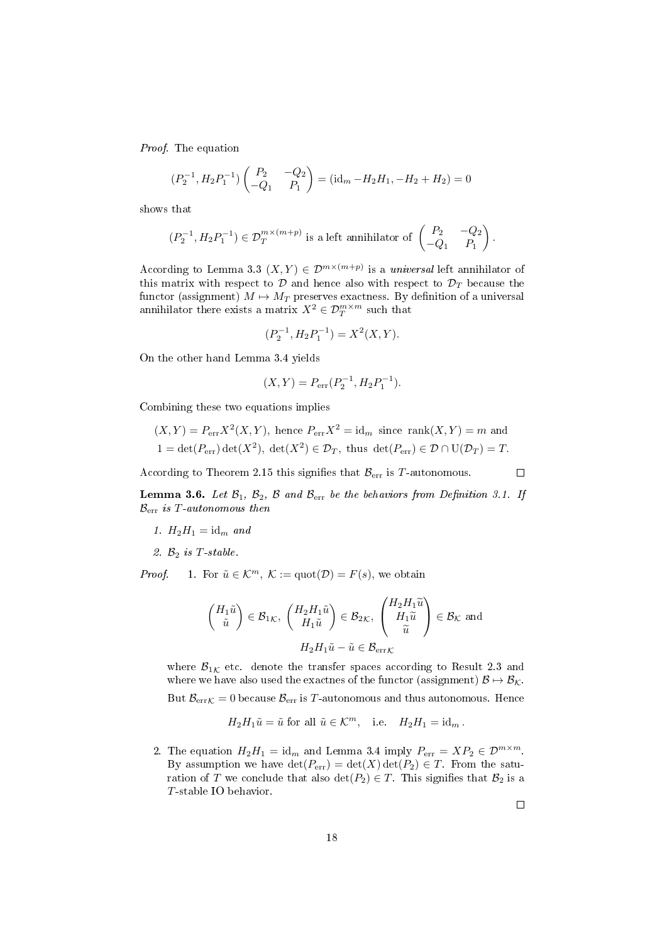Proof. The equation

$$
(P_2^{-1}, H_2 P_1^{-1}) \begin{pmatrix} P_2 & -Q_2 \ -Q_1 & P_1 \end{pmatrix} = (\mathrm{id}_m - H_2 H_1, -H_2 + H_2) = 0
$$

shows that

$$
(P_2^{-1}, H_2P_1^{-1}) \in \mathcal{D}_T^{m \times (m+p)}
$$
 is a left annihilator of  $\begin{pmatrix} P_2 & -Q_2 \ -Q_1 & P_1 \end{pmatrix}$ .

According to Lemma [3.3](#page-15-0)  $(X, Y) \in \mathcal{D}^{m \times (m+p)}$  is a universal left annihilator of this matrix with respect to  $D$  and hence also with respect to  $D<sub>T</sub>$  because the functor (assignment)  $M \mapsto M_T$  preserves exactness. By definition of a universal annihilator there exists a matrix  $X^2 \in \mathcal{D}^{m \times m}_T$  such that

$$
(P_2^{-1}, H_2 P_1^{-1}) = X^2(X, Y).
$$

On the other hand Lemma [3.4](#page-16-0) yields

$$
(X,Y) = P_{\rm err}(P_2^{-1}, H_2 P_1^{-1}).
$$

Combining these two equations implies

$$
(X,Y) = P_{\text{err}} X^2(X,Y)
$$
, hence  $P_{\text{err}} X^2 = \text{id}_m$  since rank $(X,Y) = m$  and  
  $1 = \det(P_{\text{err}}) \det(X^2)$ ,  $\det(X^2) \in \mathcal{D}_T$ , thus  $\det(P_{\text{err}}) \in \mathcal{D} \cap U(\mathcal{D}_T) = T$ .

According to Theorem [2.15](#page-11-0) this signifies that  $\mathcal{B}_{err}$  is T-autonomous.

<span id="page-17-0"></span>**Lemma 3.6.** Let  $\mathcal{B}_1$ ,  $\mathcal{B}_2$ ,  $\mathcal{B}$  and  $\mathcal{B}_{err}$  be the behaviors from Definition [3.1.](#page-14-0) If  $B_{\text{err}}$  is T-autonomous then

- 1.  $H_2H_1 = id_m$  and
- 2.  $B_2$  is T-stable.

*Proof.* 1. For  $\tilde{u} \in \mathcal{K}^m$ ,  $\mathcal{K} := \text{quot}(\mathcal{D}) = F(s)$ , we obtain

$$
\begin{pmatrix} H_1 \tilde{u} \\ \tilde{u} \end{pmatrix} \in \mathcal{B}_{1\mathcal{K}}, \ \begin{pmatrix} H_2 H_1 \tilde{u} \\ H_1 \tilde{u} \end{pmatrix} \in \mathcal{B}_{2\mathcal{K}}, \ \begin{pmatrix} H_2 H_1 \tilde{u} \\ H_1 \tilde{u} \\ \tilde{u} \end{pmatrix} \in \mathcal{B}_{\mathcal{K}} \text{ and}
$$

$$
H_2 H_1 \tilde{u} - \tilde{u} \in \mathcal{B}_{\text{err}\mathcal{K}}
$$

where  $B_{1K}$  etc. denote the transfer spaces according to Result [2.3](#page-4-0) and where we have also used the exactnes of the functor (assignment)  $\mathcal{B} \mapsto \mathcal{B}_{\mathcal{K}}$ . But  $\mathcal{B}_{errK} = 0$  because  $\mathcal{B}_{err}$  is T-autonomous and thus autonomous. Hence

$$
H_2H_1\tilde u=\tilde u\text{ for all }\tilde u\in{\mathcal K}^m,\quad\text{i.e.}\quad H_2H_1=\operatorname{id}_m.
$$

2. The equation  $H_2H_1 = \mathrm{id}_m$  and Lemma [3.4](#page-16-0) imply  $P_{\text{err}} = XP_2 \in \mathcal{D}^{m \times m}$ . By assumption we have  $\det(P_{err}) = \det(X) \det(P_2) \in T$ . From the saturation of T we conclude that also  $\det(P_2) \in T$ . This signifies that  $\mathcal{B}_2$  is a T-stable IO behavior.

 $\Box$ 

 $\Box$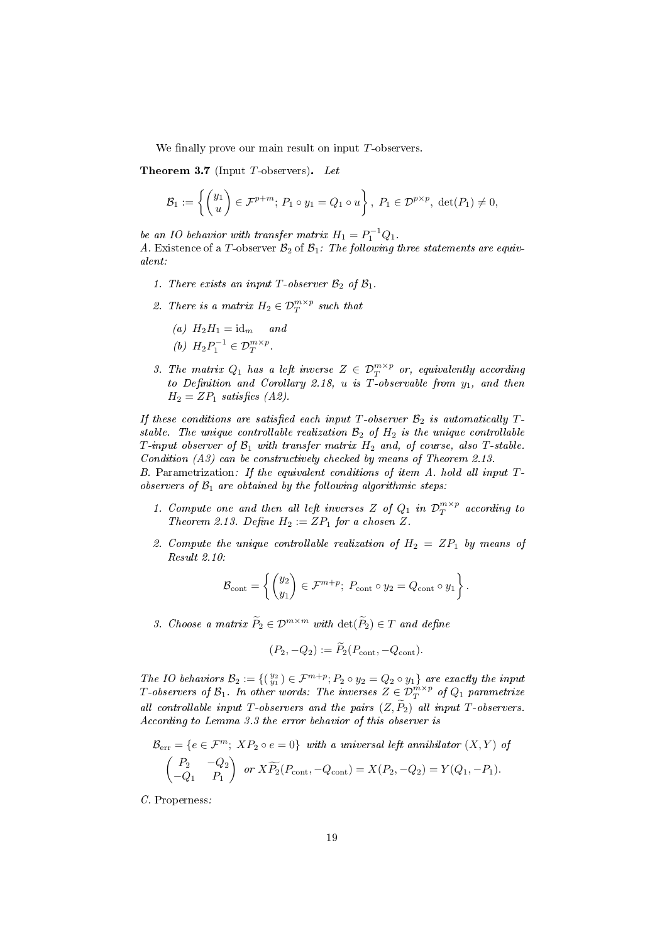We finally prove our main result on input  $T$ -observers.

<span id="page-18-0"></span>**Theorem 3.7** (Input  $T$ -observers). Let

$$
\mathcal{B}_1 := \left\{ \begin{pmatrix} y_1 \\ u \end{pmatrix} \in \mathcal{F}^{p+m}; \ P_1 \circ y_1 = Q_1 \circ u \right\}, \ P_1 \in \mathcal{D}^{p \times p}, \ \det(P_1) \neq 0,
$$

be an IO behavior with transfer matrix  $H_1 = P_1^{-1} Q_1$ . A. Existence of a T-observer  $\mathcal{B}_2$  of  $\mathcal{B}_1$ : The following three statements are equivalent:

- 1. There exists an input T-observer  $\mathcal{B}_2$  of  $\mathcal{B}_1$ .
- 2. There is a matrix  $H_2 \in \mathcal{D}_T^{m \times p}$  such that

(a) 
$$
H_2H_1 = \text{id}_m
$$
 and  
(b)  $H_2P_1^{-1} \in \mathcal{D}_T^{m \times p}$ .

3. The matrix  $Q_1$  has a left inverse  $Z \in \mathcal{D}_T^{m \times p}$  or, equivalently according to Definition and Corollary [2.18,](#page-13-0) u is T-observable from  $y_1$ , and then  $H_2 = ZP_1$  satisfies  $(A2)$ .

If these conditions are satisfied each input T-observer  $\mathcal{B}_2$  is automatically Tstable. The unique controllable realization  $\mathcal{B}_2$  of  $H_2$  is the unique controllable T-input observer of  $\mathcal{B}_1$  with transfer matrix  $H_2$  and, of course, also T-stable. Condition (A3) can be constructively checked by means of Theorem [2.13.](#page-8-0) B. Parametrization: If the equivalent conditions of item A. hold all input T-

observers of  $\mathcal{B}_1$  are obtained by the following algorithmic steps:

- 1. Compute one and then all left inverses Z of  $Q_1$  in  $\mathcal{D}_T^{m \times p}$  according to Theorem [2.13.](#page-8-0) Define  $H_2 := ZP_1$  for a chosen Z.
- 2. Compute the unique controllable realization of  $H_2 = ZP_1$  by means of Result [2.10:](#page-7-1)

$$
\mathcal{B}_{\text{cont}} = \left\{ \begin{pmatrix} y_2 \\ y_1 \end{pmatrix} \in \mathcal{F}^{m+p}; \ P_{\text{cont}} \circ y_2 = Q_{\text{cont}} \circ y_1 \right\}.
$$

3. Choose a matrix  $\widetilde{P}_2 \in \mathcal{D}^{m \times m}$  with  $\det(\widetilde{P}_2) \in T$  and define

$$
(P_2, -Q_2) := \widetilde{P}_2(P_{\text{cont}}, -Q_{\text{cont}}).
$$

The IO behaviors  $\mathcal{B}_2 := \{(\begin{smallmatrix} y_2 \\ y_1 \end{smallmatrix}) \in \mathcal{F}^{m+p}; P_2 \circ y_2 = Q_2 \circ y_1\}$  are exactly the input T-observers of  $\mathcal{B}_1$ . In other words: The inverses  $Z\in \mathcal{D}_T^{m\times p}$  of  $Q_1$  parametrize all controllable input T-observers and the pairs  $(Z, \tilde{P}_2)$  all input T-observers. According to Lemma [3.3](#page-15-0) the error behavior of this observer is

$$
\mathcal{B}_{\text{err}} = \{ e \in \mathcal{F}^m; \; XP_2 \circ e = 0 \} \quad \text{with a universal left annihilator } (X, Y) \text{ of}
$$
\n
$$
\begin{pmatrix} P_2 & -Q_2 \\ -Q_1 & P_1 \end{pmatrix} \text{ or } X\widetilde{P_2}(P_{\text{cont}}, -Q_{\text{cont}}) = X(P_2, -Q_2) = Y(Q_1, -P_1).
$$

C. Properness: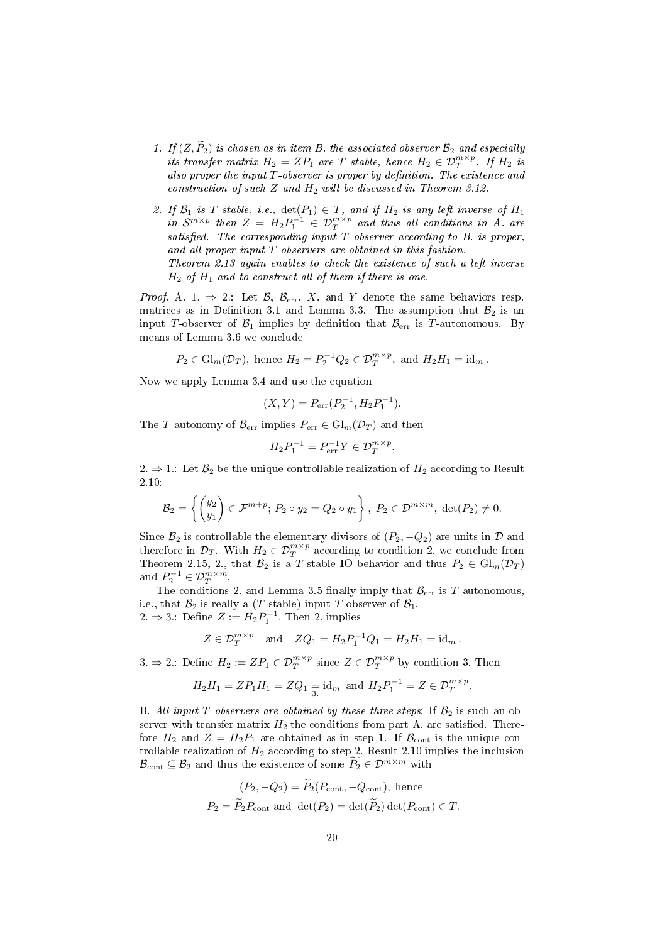- 1. If  $(Z, \widetilde{P}_2)$  is chosen as in item B. the associated observer  $\mathcal{B}_2$  and especially its transfer matrix  $H_2 = ZP_1$  are T-stable, hence  $H_2 \in \mathcal{D}_T^{m \times p}$ . If  $H_2$  is also proper the input  $T$ -observer is proper by definition. The existence and construction of such  $Z$  and  $H_2$  will be discussed in Theorem [3.12.](#page-22-0)
- 2. If  $\mathcal{B}_1$  is T-stable, i.e.,  $\det(P_1) \in T$ , and if  $H_2$  is any left inverse of  $H_1$ in  $S^{m \times p}$  then  $Z = H_2 P_1^{-1} \in \mathcal{D}_T^{m \times p}$  and thus all conditions in A. are satisfied. The corresponding input  $T$ -observer according to  $B$ . is proper, and all proper input T-observers are obtained in this fashion. Theorem [2.13](#page-8-0) again enables to check the existence of such a left inverse  $H_2$  of  $H_1$  and to construct all of them if there is one.

*Proof.* A. 1.  $\Rightarrow$  2.: Let  $\mathcal{B}, \mathcal{B}_{err}, X$ , and Y denote the same behaviors resp. matrices as in Definition [3.1](#page-14-0) and Lemma [3.3.](#page-15-0) The assumption that  $\mathcal{B}_2$  is an input T-observer of  $\mathcal{B}_1$  implies by definition that  $\mathcal{B}_{err}$  is T-autonomous. By means of Lemma [3.6](#page-17-0) we conclude

 $P_2 \in \mathrm{Gl}_m(\mathcal{D}_T)$ , hence  $H_2 = P_2^{-1}Q_2 \in \mathcal{D}_T^{m \times p}$ , and  $H_2H_1 = \mathrm{id}_m$ .

Now we apply Lemma [3.4](#page-16-0) and use the equation

$$
(X,Y) = P_{\text{err}}(P_2^{-1}, H_2 P_1^{-1}).
$$

The T-autonomy of  $\mathcal{B}_{err}$  implies  $P_{err} \in Gl_m(\mathcal{D}_T)$  and then

$$
H_2 P_1^{-1} = P_{\text{err}}^{-1} Y \in \mathcal{D}_T^{m \times p}.
$$

2.  $\Rightarrow$  1.: Let  $\mathcal{B}_2$  be the unique controllable realization of  $H_2$  according to Result [2.10:](#page-7-1)

$$
\mathcal{B}_2 = \left\{ \begin{pmatrix} y_2 \\ y_1 \end{pmatrix} \in \mathcal{F}^{m+p}; \ P_2 \circ y_2 = Q_2 \circ y_1 \right\}, \ P_2 \in \mathcal{D}^{m \times m}, \ \det(P_2) \neq 0.
$$

Since  $\mathcal{B}_2$  is controllable the elementary divisors of  $(P_2, -Q_2)$  are units in  $\mathcal D$  and therefore in  $\mathcal{D}_T$ . With  $H_2 \in \mathcal{D}_T^{m \times p}$  according to condition 2. we conclude from Theorem [2.15,](#page-11-0) 2., that  $\mathcal{B}_2$  is a T-stable IO behavior and thus  $P_2 \in Gl_m(\mathcal{D}_T)$ and  $P_2^{-1} \in \mathcal{D}_T^{m \times m}$ .

The conditions 2. and Lemma [3.5](#page-16-1) finally imply that  $\mathcal{B}_{err}$  is T-autonomous, i.e., that  $\mathcal{B}_2$  is really a (T-stable) input T-observer of  $\mathcal{B}_1$ . 2. ⇒ 3.: Define  $Z := H_2 P_1^{-1}$ . Then 2. implies

$$
Z \in \mathcal{D}_T^{m \times p}
$$
 and  $ZQ_1 = H_2 P_1^{-1} Q_1 = H_2 H_1 = id_m$ .

3.  $\Rightarrow$  2.: Define  $H_2 := ZP_1 \in \mathcal{D}_T^{m \times p}$  since  $Z \in \mathcal{D}_T^{m \times p}$  by condition 3. Then

$$
H_2H_1 = ZP_1H_1 = ZQ_1 \underset{3}{=} \text{id}_m \text{ and } H_2P_1^{-1} = Z \in \mathcal{D}_T^{m \times p}.
$$

B. All input T-observers are obtained by these three steps: If  $\mathcal{B}_2$  is such an observer with transfer matrix  $H_2$  the conditions from part A. are satisfied. Therefore  $H_2$  and  $Z = H_2P_1$  are obtained as in step 1. If  $\mathcal{B}_{\text{cont}}$  is the unique controllable realization of  $H_2$  according to step 2. Result [2.10](#page-7-1) implies the inclusion  $\mathcal{B}_{\text{cont}} \subseteq \mathcal{B}_2$  and thus the existence of some  $\widetilde{P}_2 \in \mathcal{D}^{m \times m}$  with

$$
(P_2, -Q_2) = P_2(P_{\text{cont}}, -Q_{\text{cont}})
$$
, hence  
 $P_2 = \widetilde{P}_2 P_{\text{cont}}$  and  $\det(P_2) = \det(\widetilde{P}_2) \det(P_{\text{cont}}) \in T$ .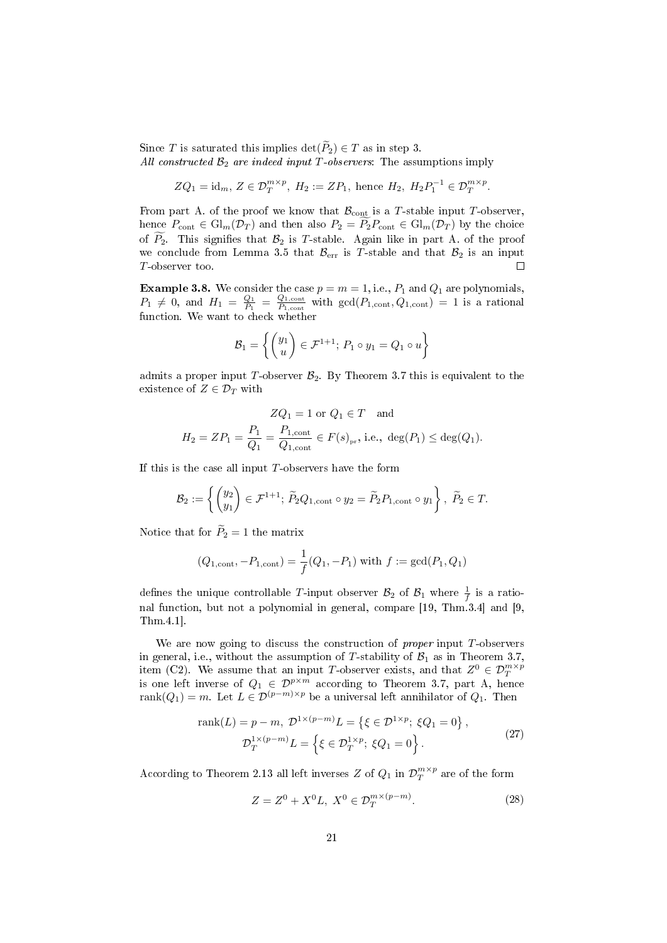Since T is saturated this implies  $\det(\widetilde{P}_2) \in T$  as in step 3. All constructed  $\mathcal{B}_2$  are indeed input T-observers: The assumptions imply

$$
ZQ_1 = id_m, Z \in \mathcal{D}_T^{m \times p}, H_2 := ZP_1
$$
, hence  $H_2, H_2P_1^{-1} \in \mathcal{D}_T^{m \times p}$ .

From part A. of the proof we know that  $\mathcal{B}_{\text{cont}}$  is a T-stable input T-observer, hence  $P_{\text{cont}} \in \text{Gl}_m(\mathcal{D}_T)$  and then also  $P_2 = \widetilde{P_2}P_{\text{cont}} \in \text{Gl}_m(\mathcal{D}_T)$  by the choice of  $\widetilde{P_2}$ . This signifies that  $\mathcal{B}_2$  is T-stable. Again like in part A. of the proof we conclude from Lemma [3.5](#page-16-1) that  $\mathcal{B}_{err}$  is T-stable and that  $\mathcal{B}_2$  is an input T-observer too. Г

**Example 3.8.** We consider the case  $p = m = 1$ , i.e.,  $P_1$  and  $Q_1$  are polynomials,  $P_1 \neq 0$ , and  $H_1 = \frac{Q_1}{P_1} = \frac{Q_{1,\text{cont}}}{P_{1,\text{cont}}}$  $\frac{Q_{1,\text{cont}}}{P_{1,\text{cont}}}$  with  $\gcd(P_{1,\text{cont}}, Q_{1,\text{cont}}) = 1$  is a rational function. We want to check whether

$$
\mathcal{B}_1 = \left\{ \begin{pmatrix} y_1 \\ u \end{pmatrix} \in \mathcal{F}^{1+1}; \ P_1 \circ y_1 = Q_1 \circ u \right\}
$$

admits a proper input T-observer  $\mathcal{B}_2$ . By Theorem [3.7](#page-18-0) this is equivalent to the existence of  $Z \in \mathcal{D}_T$  with

$$
ZQ_1 = 1 \text{ or } Q_1 \in T \text{ and}
$$
  

$$
H_2 = ZP_1 = \frac{P_1}{Q_1} = \frac{P_{1,\text{cont}}}{Q_{1,\text{cont}}} \in F(s)_{pr}, \text{ i.e., } \deg(P_1) \le \deg(Q_1).
$$

If this is the case all input  $T$ -observers have the form

$$
\mathcal{B}_2 := \left\{ \begin{pmatrix} y_2 \\ y_1 \end{pmatrix} \in \mathcal{F}^{1+1}; \ \widetilde{P}_2 Q_{1, \text{cont}} \circ y_2 = \widetilde{P}_2 P_{1, \text{cont}} \circ y_1 \right\}, \ \widetilde{P}_2 \in T.
$$

Notice that for  $\widetilde{P}_2=1$  the matrix

$$
(Q_{1,\text{cont}}, -P_{1,\text{cont}}) = \frac{1}{f}(Q_1, -P_1)
$$
 with  $f := \gcd(P_1, Q_1)$ 

defines the unique controllable T-input observer  $\mathcal{B}_2$  of  $\mathcal{B}_1$  where  $\frac{1}{f}$  is a ratio-nal function, but not a polynomial in general, compare [\[19,](#page-38-5) Thm. 3.4] and [\[9,](#page-38-6) Thm.4.1].

We are now going to discuss the construction of *proper* input  $T$ -observers in general, i.e., without the assumption of T-stability of  $\mathcal{B}_1$  as in Theorem [3.7,](#page-18-0) item (C2). We assume that an input T-observer exists, and that  $Z^0 \in \mathcal{D}_T^{m \times p}$ is one left inverse of  $Q_1 \in \mathcal{D}^{p \times m}$  according to Theorem [3.7,](#page-18-0) part A, hence rank $(Q_1) = m$ . Let  $L \in \mathcal{D}^{(p-m)\times p}$  be a universal left annihilator of  $Q_1$ . Then

<span id="page-20-0"></span>
$$
\operatorname{rank}(L) = p - m, \ \mathcal{D}^{1 \times (p-m)}L = \left\{ \xi \in \mathcal{D}^{1 \times p}; \ \xi Q_1 = 0 \right\},
$$

$$
\mathcal{D}_T^{1 \times (p-m)}L = \left\{ \xi \in \mathcal{D}_T^{1 \times p}; \ \xi Q_1 = 0 \right\}. \tag{27}
$$

According to Theorem [2.13](#page-8-0) all left inverses  $Z$  of  $Q_1$  in  $\mathcal{D}^{m\times p}_T$  are of the form

$$
Z = Z^{0} + X^{0}L, \ X^{0} \in \mathcal{D}_{T}^{m \times (p-m)}.
$$
 (28)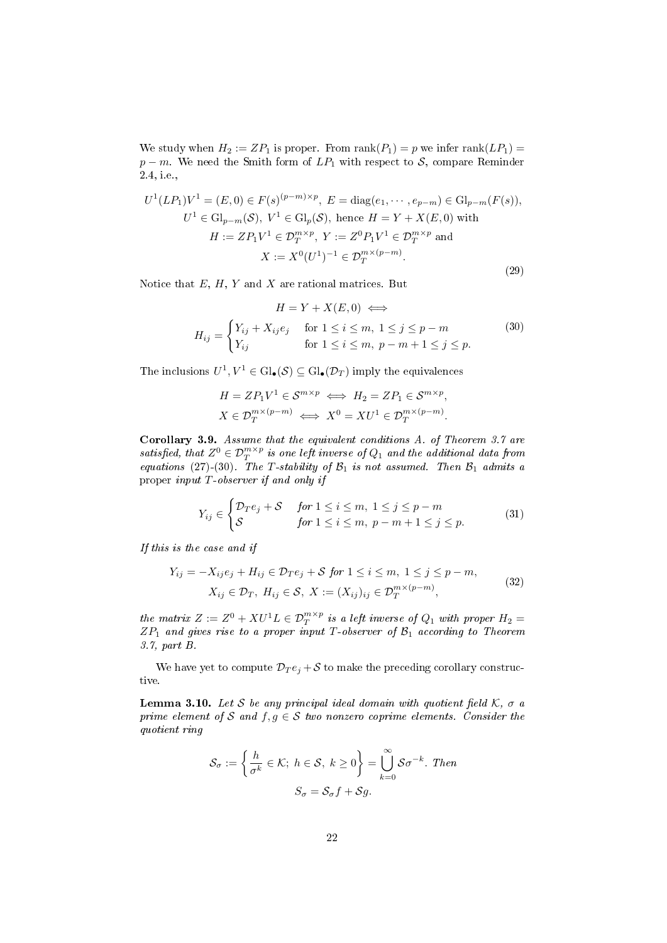We study when  $H_2 := ZP_1$  is proper. From  $\text{rank}(P_1) = p$  we infer  $\text{rank}(LP_1) =$  $p - m$ . We need the Smith form of  $LP_1$  with respect to S, compare Reminder [2.4,](#page-5-1) i.e.,

$$
U^{1}(LP_{1})V^{1} = (E, 0) \in F(s)^{(p-m)\times p}, E = \text{diag}(e_{1}, \dots, e_{p-m}) \in \text{Gl}_{p-m}(F(s)),
$$
  
\n
$$
U^{1} \in \text{Gl}_{p-m}(\mathcal{S}), V^{1} \in \text{Gl}_{p}(\mathcal{S}), \text{ hence } H = Y + X(E, 0) \text{ with}
$$
  
\n
$$
H := ZP_{1}V^{1} \in \mathcal{D}_{T}^{m \times p}, Y := Z^{0}P_{1}V^{1} \in \mathcal{D}_{T}^{m \times p} \text{ and}
$$
  
\n
$$
X := X^{0}(U^{1})^{-1} \in \mathcal{D}_{T}^{m \times (p-m)}.
$$
\n(29)

Notice that  $E, H, Y$  and  $X$  are rational matrices. But

<span id="page-21-0"></span>
$$
H = Y + X(E, 0) \iff
$$
  
\n
$$
H_{ij} = \begin{cases} Y_{ij} + X_{ij}e_j & \text{for } 1 \le i \le m, \ 1 \le j \le p - m \\ Y_{ij} & \text{for } 1 \le i \le m, \ p - m + 1 \le j \le p. \end{cases}
$$
\n(30)

The inclusions  $U^1, V^1 \in \text{Gl}_\bullet(\mathcal{S}) \subseteq \text{Gl}_\bullet(\mathcal{D}_T)$  imply the equivalences

$$
H = ZP_1V^1 \in \mathcal{S}^{m \times p} \iff H_2 = ZP_1 \in \mathcal{S}^{m \times p},
$$
  

$$
X \in \mathcal{D}_T^{m \times (p-m)} \iff X^0 = XU^1 \in \mathcal{D}_T^{m \times (p-m)}.
$$

<span id="page-21-1"></span>Corollary 3.9. Assume that the equivalent conditions A. of Theorem [3.7](#page-18-0) are satisfied, that  $Z^0 \in \mathcal{D}^{m \times p}_T$  is one left inverse of  $Q_1$  and the additional data from equations [\(27\)](#page-20-0)-[\(30\)](#page-21-0). The T-stability of  $\mathcal{B}_1$  is not assumed. Then  $\mathcal{B}_1$  admits a proper input T-observer if and only if

$$
Y_{ij} \in \begin{cases} \mathcal{D}_T e_j + \mathcal{S} & \text{for } 1 \le i \le m, \ 1 \le j \le p - m \\ \mathcal{S} & \text{for } 1 \le i \le m, \ p - m + 1 \le j \le p. \end{cases} \tag{31}
$$

If this is the case and if

<span id="page-21-3"></span>
$$
Y_{ij} = -X_{ij}e_j + H_{ij} \in \mathcal{D}_T e_j + \mathcal{S} \text{ for } 1 \le i \le m, 1 \le j \le p - m,
$$
  
\n
$$
X_{ij} \in \mathcal{D}_T, H_{ij} \in \mathcal{S}, X := (X_{ij})_{ij} \in \mathcal{D}_T^{m \times (p-m)},
$$
\n(32)

the matrix  $Z := Z^0 + XU^1L \in \mathcal{D}_T^{m \times p}$  is a left inverse of  $Q_1$  with proper  $H_2 =$  $ZP_1$  and gives rise to a proper input T-observer of  $\mathcal{B}_1$  according to Theorem [3.7,](#page-18-0) part B.

We have yet to compute  $\mathcal{D}_T e_i + \mathcal{S}$  to make the preceding corollary constructive.

<span id="page-21-2"></span>Lemma 3.10. Let S be any principal ideal domain with quotient field  $K$ ,  $\sigma$  a prime element of S and  $f, g \in S$  two nonzero coprime elements. Consider the quotient ring

$$
\mathcal{S}_{\sigma} := \left\{ \frac{h}{\sigma^k} \in \mathcal{K}; \ h \in \mathcal{S}, \ k \ge 0 \right\} = \bigcup_{k=0}^{\infty} \mathcal{S}\sigma^{-k}.
$$
 Then  

$$
S_{\sigma} = \mathcal{S}_{\sigma}f + \mathcal{S}g.
$$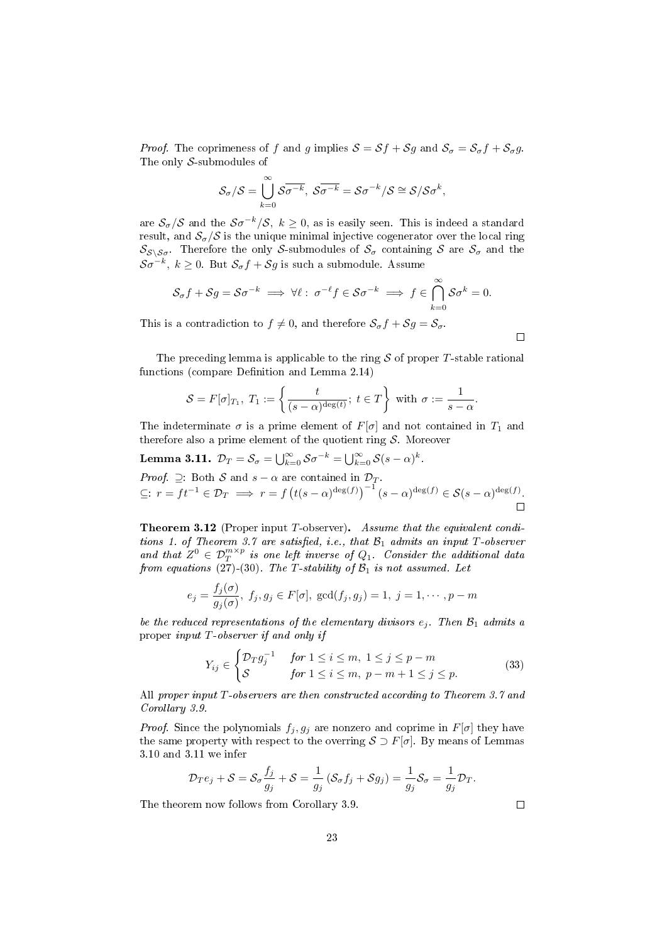*Proof.* The coprimeness of f and g implies  $S = Sf + Sg$  and  $S_{\sigma} = S_{\sigma}f + S_{\sigma}g$ . The only S-submodules of

$$
\mathcal{S}_{\sigma}/\mathcal{S} = \bigcup_{k=0}^{\infty} \mathcal{S}_{\sigma-k}, \ \mathcal{S}_{\sigma-k} = \mathcal{S}_{\sigma-k}/\mathcal{S} \cong \mathcal{S}/\mathcal{S}_{\sigma}^k,
$$

are  $\mathcal{S}_{\sigma}/\mathcal{S}$  and the  $\mathcal{S}\sigma^{-k}/\mathcal{S}, k \geq 0$ , as is easily seen. This is indeed a standard result, and  $S_{\sigma}/\mathcal{S}$  is the unique minimal injective cogenerator over the local ring  $S_{\mathcal{S}\setminus\mathcal{S}\sigma}$ . Therefore the only S-submodules of  $\mathcal{S}_{\sigma}$  containing S are  $\mathcal{S}_{\sigma}$  and the  $\mathcal{S}\sigma^{-k},\;k\geq0.\;\;\mathrm{But}\;\mathcal{S}_{\sigma}f+\mathcal{S}g\;\mathrm{is\;such\;a\;submodule.}\;\;\mathrm{Assume}\;$ 

$$
\mathcal{S}_{\sigma}f + \mathcal{S}g = \mathcal{S}\sigma^{-k} \implies \forall \ell : \; \sigma^{-\ell}f \in \mathcal{S}\sigma^{-k} \implies f \in \bigcap_{k=0}^{\infty} \mathcal{S}\sigma^{k} = 0.
$$

This is a contradiction to  $f \neq 0$ , and therefore  $S_{\sigma}f + S_{\sigma} = S_{\sigma}$ .

The preceding lemma is applicable to the ring  $S$  of proper T-stable rational functions (compare Definition and Lemma [2.14\)](#page-10-0)

$$
\mathcal{S} = F[\sigma]_{T_1}, T_1 := \left\{ \frac{t}{(s-\alpha)^{\deg(t)}}; \ t \in T \right\} \text{ with } \sigma := \frac{1}{s-\alpha}.
$$

The indeterminate  $\sigma$  is a prime element of  $F[\sigma]$  and not contained in  $T_1$  and therefore also a prime element of the quotient ring  $S$ . Moreover

<span id="page-22-1"></span>**Lemma 3.11.** 
$$
\mathcal{D}_T = \mathcal{S}_{\sigma} = \bigcup_{k=0}^{\infty} \mathcal{S} \sigma^{-k} = \bigcup_{k=0}^{\infty} \mathcal{S}(s-\alpha)^k
$$
. *Proof.*  $\supseteq$ : Both  $\mathcal{S}$  and  $s-\alpha$  are contained in  $\mathcal{D}_T$ .  $\subseteq$ :  $r = ft^{-1} \in \mathcal{D}_T \implies r = f(t(s-\alpha)^{\deg(f)})^{-1}(s-\alpha)^{\deg(f)} \in \mathcal{S}(s-\alpha)^{\deg(f)}$ .  $\Box$ 

<span id="page-22-0"></span>Theorem 3.12 (Proper input T-observer). Assume that the equivalent condi-tions 1. of Theorem [3.7](#page-18-0) are satisfied, i.e., that  $\mathcal{B}_1$  admits an input T-observer and that  $Z^0 \in \mathcal{D}_T^{m \times p}$  is one left inverse of  $Q_1$ . Consider the additional data from equations [\(27\)](#page-20-0)-[\(30\)](#page-21-0). The T-stability of  $\mathcal{B}_1$  is not assumed. Let

$$
e_j = \frac{f_j(\sigma)}{g_j(\sigma)}, \ f_j, g_j \in F[\sigma], \ \gcd(f_j, g_j) = 1, \ j = 1, \cdots, p - m
$$

be the reduced representations of the elementary divisors  $e_i$ . Then  $\mathcal{B}_1$  admits a proper input T-observer if and only if

$$
Y_{ij} \in \begin{cases} \mathcal{D}_T g_j^{-1} & \text{for } 1 \le i \le m, \ 1 \le j \le p - m \\ \mathcal{S} & \text{for } 1 \le i \le m, \ p - m + 1 \le j \le p. \end{cases} \tag{33}
$$

All proper input T-observers are then constructed according to Theorem [3.7](#page-18-0) and Corollary [3.9.](#page-21-1)

*Proof.* Since the polynomials  $f_j, g_j$  are nonzero and coprime in  $F[\sigma]$  they have the same property with respect to the overring  $S \supset F[\sigma]$ . By means of Lemmas [3.10](#page-21-2) and [3.11](#page-22-1) we infer

$$
\mathcal{D}_T e_j + \mathcal{S} = \mathcal{S}_{\sigma} \frac{f_j}{g_j} + \mathcal{S} = \frac{1}{g_j} \left( \mathcal{S}_{\sigma} f_j + \mathcal{S} g_j \right) = \frac{1}{g_j} \mathcal{S}_{\sigma} = \frac{1}{g_j} \mathcal{D}_T.
$$

The theorem now follows from Corollary [3.9.](#page-21-1)

 $\Box$ 

 $\Box$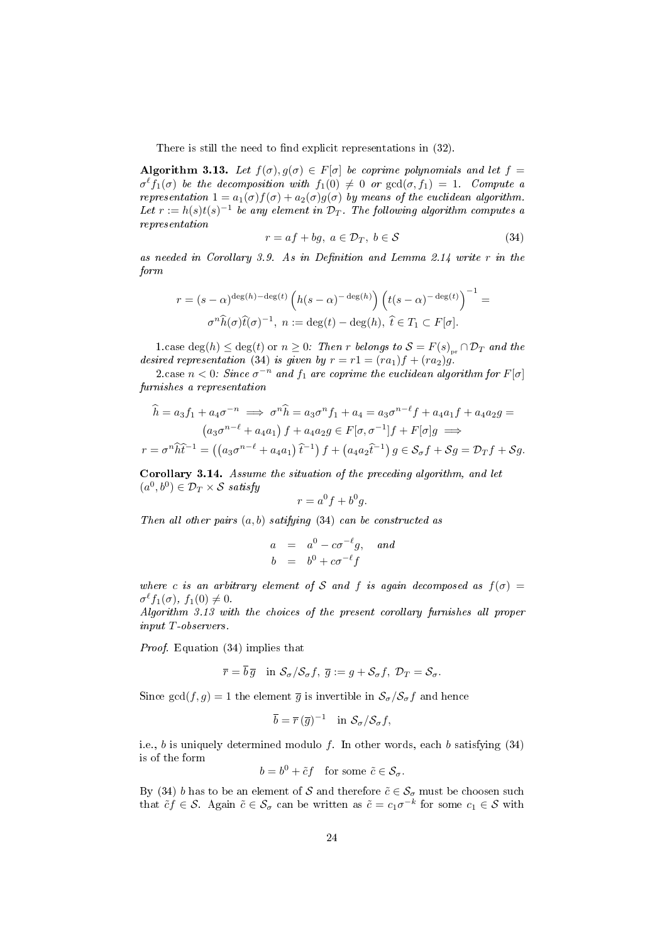There is still the need to find explicit representations in  $(32)$ .

<span id="page-23-1"></span>Algorithm 3.13. Let  $f(\sigma), g(\sigma) \in F[\sigma]$  be coprime polynomials and let  $f =$  $\sigma^{\ell} f_1(\sigma)$  be the decomposition with  $f_1(0) \neq 0$  or  $gcd(\sigma, f_1) = 1$ . Compute a representation  $1 = a_1(\sigma) f(\sigma) + a_2(\sigma) g(\sigma)$  by means of the euclidean algorithm. Let  $r := h(s)t(s)^{-1}$  be any element in  $\mathcal{D}_T$ . The following algorithm computes a representation

<span id="page-23-0"></span>
$$
r = af + bg, \ a \in \mathcal{D}_T, \ b \in \mathcal{S} \tag{34}
$$

as needed in Corollary [3.9.](#page-21-1) As in Definition and Lemma [2.14](#page-10-0) write  $r$  in the form

$$
r = (s - \alpha)^{\deg(h) - \deg(t)} \left( h(s - \alpha)^{-\deg(h)} \right) \left( t(s - \alpha)^{-\deg(t)} \right)^{-1} =
$$

$$
\sigma^n \widehat{h}(\sigma) \widehat{t}(\sigma)^{-1}, \ n := \deg(t) - \deg(h), \ \widehat{t} \in T_1 \subset F[\sigma].
$$

1.case deg(h)  $\leq$  deg(t) or  $n \geq 0$ : Then r belongs to  $S = F(s)_{pr} \cap \mathcal{D}_T$  and the desired representation [\(34\)](#page-23-0) is given by  $r = r1 = (ra_1)f + (ra_2)g$ .

2.case  $n < 0$ : Since  $\sigma^{-n}$  and  $f_1$  are coprime the euclidean algorithm for  $F[\sigma]$ furnishes a representation

$$
\hat{h} = a_3 f_1 + a_4 \sigma^{-n} \implies \sigma^n \hat{h} = a_3 \sigma^n f_1 + a_4 = a_3 \sigma^{n-\ell} f + a_4 a_1 f + a_4 a_2 g =
$$
  
\n
$$
(a_3 \sigma^{n-\ell} + a_4 a_1) f + a_4 a_2 g \in F[\sigma, \sigma^{-1}] f + F[\sigma] g \implies
$$
  
\n
$$
r = \sigma^n \hat{h} \hat{t}^{-1} = ((a_3 \sigma^{n-\ell} + a_4 a_1) \hat{t}^{-1}) f + (a_4 a_2 \hat{t}^{-1}) g \in S_{\sigma} f + S g = \mathcal{D}_T f + S g.
$$

<span id="page-23-2"></span>Corollary 3.14. Assume the situation of the preceding algorithm, and let  $(a^0, b^0) \in \mathcal{D}_T \times \mathcal{S}$  satisfy

$$
r = a^0 f + b^0 g.
$$

Then all other pairs  $(a, b)$  satifying  $(34)$  can be constructed as

$$
\begin{array}{rcl}\na & = & a^0 - c\sigma^{-\ell}g, \quad \text{and} \\
b & = & b^0 + c\sigma^{-\ell}f\n\end{array}
$$

where c is an arbitrary element of S and f is again decomposed as  $f(\sigma)$  =  $\sigma^{\ell} f_1(\sigma)$ ,  $f_1(0) \neq 0$ .

Algorithm [3.13](#page-23-1) with the choices of the present corollary furnishes all proper input T-observers.

Proof. Equation [\(34\)](#page-23-0) implies that

$$
\overline{r} = \overline{b}\,\overline{g} \quad \text{in } \mathcal{S}_{\sigma}/\mathcal{S}_{\sigma}f, \ \overline{g} := g + \mathcal{S}_{\sigma}f, \ \mathcal{D}_T = \mathcal{S}_{\sigma}.
$$

Since gcd $(f, g) = 1$  the element  $\overline{g}$  is invertible in  $\mathcal{S}_{\sigma}/\mathcal{S}_{\sigma}f$  and hence

$$
\overline{b} = \overline{r} (\overline{g})^{-1} \quad \text{in } \mathcal{S}_{\sigma}/\mathcal{S}_{\sigma}f,
$$

i.e., b is uniquely determined modulo f. In other words, each b satisfying  $(34)$ is of the form

$$
b = b^0 + \tilde{c}f \quad \text{for some } \tilde{c} \in \mathcal{S}_{\sigma}.
$$

By [\(34\)](#page-23-0) b has to be an element of  $\mathcal S$  and therefore  $\tilde c\in\mathcal S_{\sigma}$  must be choosen such that  $\tilde{c}f \in \mathcal{S}$ . Again  $\tilde{c} \in \mathcal{S}_{\sigma}$  can be written as  $\tilde{c} = c_1 \sigma^{-k}$  for some  $c_1 \in \mathcal{S}$  with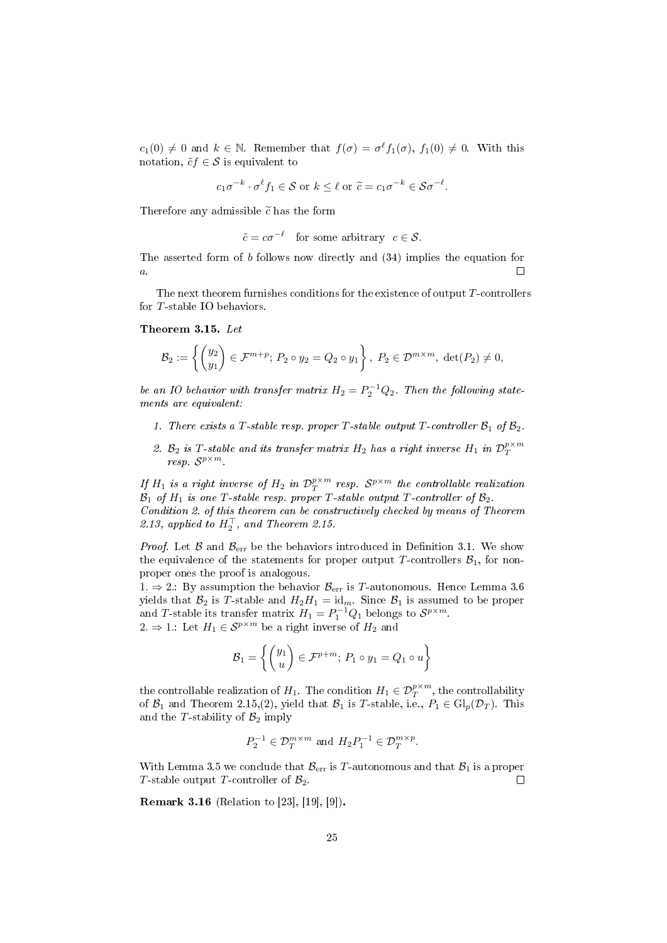$c_1(0) \neq 0$  and  $k \in \mathbb{N}$ . Remember that  $f(\sigma) = \sigma^{\ell} f_1(\sigma)$ ,  $f_1(0) \neq 0$ . With this notation,  $\tilde{c}f \in \mathcal{S}$  is equivalent to

$$
c_1\sigma^{-k} \cdot \sigma^{\ell} f_1 \in \mathcal{S}
$$
 or  $k \leq \ell$  or  $\tilde{c} = c_1\sigma^{-k} \in \mathcal{S}\sigma^{-\ell}$ .

Therefore any admissible  $\tilde{c}$  has the form

$$
\tilde{c} = c\sigma^{-\ell} \quad \text{for some arbitrary} \ \ c \in \mathcal{S}.
$$

The asserted form of b follows now directly and [\(34\)](#page-23-0) implies the equation for  $\overline{a}$ . П

The next theorem furnishes conditions for the existence of output  $T$ -controllers for T-stable IO behaviors.

#### <span id="page-24-1"></span>Theorem 3.15. Let

$$
\mathcal{B}_2:=\left\{\begin{pmatrix}y_2\\y_1\end{pmatrix}\in\mathcal{F}^{m+p};\ P_2\circ y_2=Q_2\circ y_1\right\},\ P_2\in\mathcal{D}^{m\times m},\ \det(P_2)\neq 0,
$$

be an IO behavior with transfer matrix  $H_2 = P_2^{-1}Q_2$ . Then the following statements are equivalent:

- 1. There exists a T-stable resp. proper T-stable output T-controller  $\mathcal{B}_1$  of  $\mathcal{B}_2$ .
- 2.  $B_2$  is T-stable and its transfer matrix  $H_2$  has a right inverse  $H_1$  in  $\mathcal{D}_T^{p \times m}$  $resp. S^{p \times m}.$

If  $H_1$  is a right inverse of  $H_2$  in  $\mathcal{D}^{p\times m}_T$  resp.  $\mathcal{S}^{p\times m}$  the controllable realization  $\mathcal{B}_1$  of  $H_1$  is one T-stable resp. proper T-stable output T-controller of  $\mathcal{B}_2$ . Condition 2. of this theorem can be constructively checked by means of Theorem [2.13,](#page-8-0) applied to  $H_2^{\top}$ , and Theorem [2.15.](#page-11-0)

*Proof.* Let  $\beta$  and  $\beta_{\text{err}}$  be the behaviors introduced in Definition [3.1.](#page-14-0) We show the equivalence of the statements for proper output T-controllers  $\mathcal{B}_1$ , for nonproper ones the proof is analogous.

1.  $\Rightarrow$  2.: By assumption the behavior  $\mathcal{B}_{err}$  is T-autonomous. Hence Lemma [3.6](#page-17-0) yields that  $\mathcal{B}_2$  is T-stable and  $H_2H_1 = id_m$ . Since  $\mathcal{B}_1$  is assumed to be proper and T-stable its transfer matrix  $H_1 = P_1^{-1}Q_1$  belongs to  $S^{p \times m}$ . 2. ⇒ 1.: Let  $H_1 \in \mathcal{S}^{p \times m}$  be a right inverse of  $H_2$  and

$$
\mathcal{B}_1 = \left\{ \begin{pmatrix} y_1 \\ u \end{pmatrix} \in \mathcal{F}^{p+m}; \ P_1 \circ y_1 = Q_1 \circ u \right\}
$$

the controllable realization of  $H_1$ . The condition  $H_1 \in \mathcal{D}^{p \times m}_T,$  the controllability of  $\mathcal{B}_1$  and Theorem [2.15,](#page-11-0)(2), yield that  $\mathcal{B}_1$  is T-stable, i.e.,  $P_1 \in \mathrm{Gl}_p(\mathcal{D}_T)$ . This and the T-stability of  $\mathcal{B}_2$  imply

$$
P_2^{-1} \in \mathcal{D}_T^{m \times m} \text{ and } H_2P_1^{-1} \in \mathcal{D}_T^{m \times p}.
$$

With Lemma [3.5](#page-16-1) we conclude that  $\mathcal{B}_{err}$  is T-autonomous and that  $\mathcal{B}_1$  is a proper T-stable output T-controller of  $\mathcal{B}_2$ .  $\Box$ 

<span id="page-24-0"></span>Remark 3.16 (Relation to [\[23\]](#page-38-2), [\[19\]](#page-38-5), [\[9\]](#page-38-6)).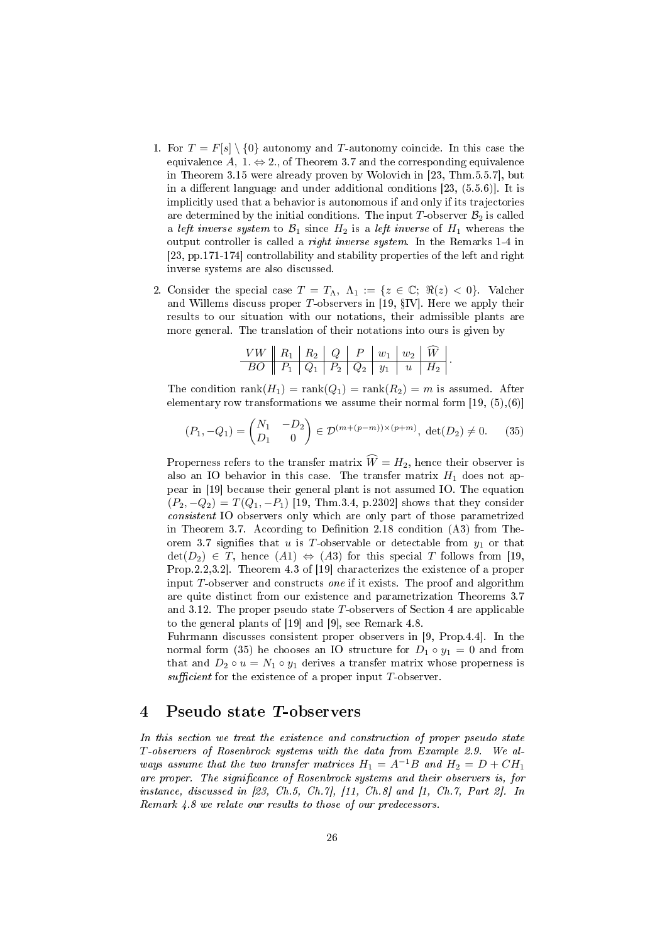- 1. For  $T = F[s] \setminus \{0\}$  autonomy and T-autonomy coincide. In this case the equivalence A, 1.  $\Leftrightarrow$  2., of Theorem [3.7](#page-18-0) and the corresponding equivalence in Theorem [3.15](#page-24-1) were already proven by Wolovich in [\[23,](#page-38-2) Thm.5.5.7], but in a different language and under additional conditions  $[23, (5.5.6)]$  $[23, (5.5.6)]$ . It is implicitly used that a behavior is autonomous if and only if its trajectories are determined by the initial conditions. The input T-observer  $\mathcal{B}_2$  is called a left inverse system to  $\mathcal{B}_1$  since  $H_2$  is a left inverse of  $H_1$  whereas the output controller is called a right inverse system. In the Remarks 1-4 in [\[23,](#page-38-2) pp.171-174] controllability and stability properties of the left and right inverse systems are also discussed.
- 2. Consider the special case  $T = T_{\Lambda}$ ,  $\Lambda_1 := \{z \in \mathbb{C}; \Re(z) < 0\}$ . Valcher and Willems discuss proper T-observers in [\[19,](#page-38-5)  $\S$ IV]. Here we apply their results to our situation with our notations, their admissible plants are more general. The translation of their notations into ours is given by

| $\boxed{VW \parallel R_1 \parallel R_2 \parallel Q \parallel P \parallel w_1 \parallel w_2 \parallel \widehat{W} \parallel}$ |  |  |  |  |
|------------------------------------------------------------------------------------------------------------------------------|--|--|--|--|
|                                                                                                                              |  |  |  |  |

The condition  $\text{rank}(H_1) = \text{rank}(Q_1) = \text{rank}(R_2) = m$  is assumed. After elementary row transformations we assume their normal form  $[19, (5), (6)]$  $[19, (5), (6)]$ 

<span id="page-25-0"></span>
$$
(P_1, -Q_1) = \begin{pmatrix} N_1 & -D_2 \ D_1 & 0 \end{pmatrix} \in \mathcal{D}^{(m+(p-m))\times (p+m)}, \ \det(D_2) \neq 0. \tag{35}
$$

Properness refers to the transfer matrix  $\widehat{W} = H_2$ , hence their observer is also an IO behavior in this case. The transfer matrix  $H_1$  does not appear in [\[19\]](#page-38-5) because their general plant is not assumed IO. The equation  $(P_2, -Q_2) = T(Q_1, -P_1)$  [\[19,](#page-38-5) Thm.3.4, p.2302] shows that they consider consistent IO observers only which are only part of those parametrized in Theorem [3.7.](#page-18-0) According to Definition [2.18](#page-13-0) condition  $(A3)$  from The-orem [3.7](#page-18-0) signifies that u is T-observable or detectable from  $y_1$  or that  $\det(D_2) \in T$ , hence  $(A1) \Leftrightarrow (A3)$  for this special T follows from [\[19,](#page-38-5) Prop.2.2,3.2]. Theorem 4.3 of [\[19\]](#page-38-5) characterizes the existence of a proper input  $T$ -observer and constructs *one* if it exists. The proof and algorithm are quite distinct from our existence and parametrization Theorems [3.7](#page-18-0) and [3.12.](#page-22-0) The proper pseudo state  $T$ -observers of Section 4 are applicable to the general plants of [\[19\]](#page-38-5) and [\[9\]](#page-38-6), see Remark [4.8.](#page-32-0)

Fuhrmann discusses consistent proper observers in [\[9,](#page-38-6) Prop.4.4]. In the normal form [\(35\)](#page-25-0) he chooses an IO structure for  $D_1 \circ y_1 = 0$  and from that and  $D_2 \circ u = N_1 \circ y_1$  derives a transfer matrix whose properness is sufficient for the existence of a proper input  $T$ -observer.

### 4 Pseudo state T-observers

In this section we treat the existence and construction of proper pseudo state T-observers of Rosenbrock systems with the data from Example [2.9.](#page-6-3) We always assume that the two transfer matrices  $H_1 = A^{-1}B$  and  $H_2 = D + CH_1$ are proper. The significance of Rosenbrock systems and their observers is, for instance, discussed in  $[23, Ch.5, Ch.7], [11, Ch.8]$  $[23, Ch.5, Ch.7], [11, Ch.8]$  $[23, Ch.5, Ch.7], [11, Ch.8]$  $[23, Ch.5, Ch.7], [11, Ch.8]$  and  $[1, Ch.7, Part 2].$  $[1, Ch.7, Part 2].$  In Remark [4.8](#page-32-0) we relate our results to those of our predecessors.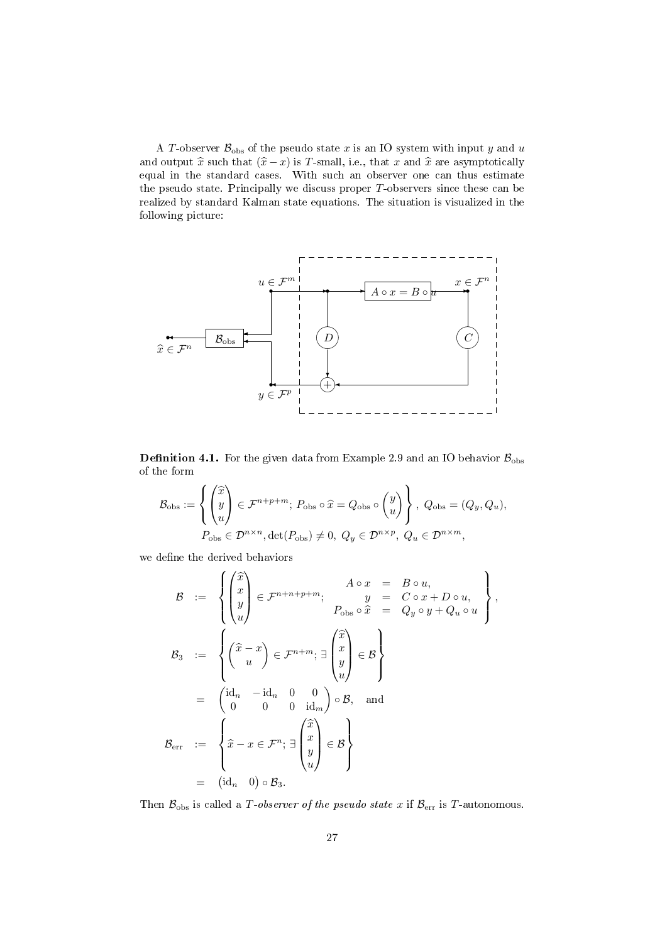A T-observer  $\mathcal{B}_{obs}$  of the pseudo state x is an IO system with input y and u and output  $\hat{x}$  such that  $(\hat{x} - x)$  is T-small, i.e., that x and  $\hat{x}$  are asymptotically equal in the standard cases. With such an observer one can thus estimate the pseudo state. Principally we discuss proper  $T$ -observers since these can be realized by standard Kalman state equations. The situation is visualized in the following picture:



<span id="page-26-0"></span>**Definition 4.1.** For the given data from Example [2.9](#page-6-3) and an IO behavior  $B_{obs}$ of the form

$$
\mathcal{B}_{\text{obs}} := \left\{ \begin{pmatrix} \widehat{x} \\ y \\ u \end{pmatrix} \in \mathcal{F}^{n+p+m}; \ P_{\text{obs}} \circ \widehat{x} = Q_{\text{obs}} \circ \begin{pmatrix} y \\ u \end{pmatrix} \right\}, \ Q_{\text{obs}} = (Q_y, Q_u),
$$

$$
P_{\text{obs}} \in \mathcal{D}^{n \times n}, \det(P_{\text{obs}}) \neq 0, \ Q_y \in \mathcal{D}^{n \times p}, \ Q_u \in \mathcal{D}^{n \times m},
$$

we define the derived behaviors

$$
\mathcal{B} := \left\{ \begin{pmatrix} \widehat{x} \\ x \\ y \\ u \end{pmatrix} \in \mathcal{F}^{n+n+p+m}; \begin{array}{rcl} A \circ x &=& B \circ u, \\ y &=& C \circ x + D \circ u, \\ P_{\text{obs}} \circ \widehat{x} &=& Q_y \circ y + Q_u \circ u \end{array} \right\},
$$
  

$$
\mathcal{B}_3 := \left\{ \begin{pmatrix} \widehat{x} - x \\ u \end{pmatrix} \in \mathcal{F}^{n+m}; \exists \begin{pmatrix} \widehat{x} \\ x \\ y \\ u \end{pmatrix} \in \mathcal{B} \right\}
$$
  

$$
= \begin{pmatrix} \mathrm{id}_n & -\mathrm{id}_n & 0 & 0 \\ 0 & 0 & 0 & \mathrm{id}_m \end{pmatrix} \circ \mathcal{B}, \text{ and}
$$
  

$$
\mathcal{B}_{\text{err}} := \left\{ \widehat{x} - x \in \mathcal{F}^n; \exists \begin{pmatrix} \widehat{x} \\ y \\ y \\ u \end{pmatrix} \in \mathcal{B} \right\}
$$
  

$$
= (\mathrm{id}_n & 0) \circ \mathcal{B}_3.
$$

Then  $\mathcal{B}_{obs}$  is called a T-observer of the pseudo state x if  $\mathcal{B}_{err}$  is T-autonomous.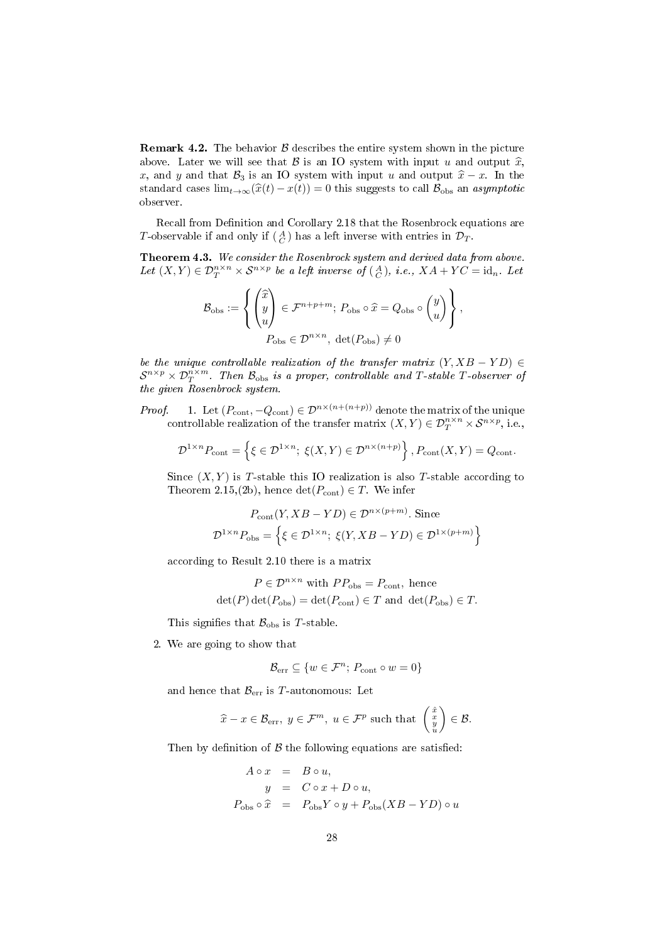**Remark 4.2.** The behavior  $\beta$  describes the entire system shown in the picture above. Later we will see that  $\mathcal B$  is an IO system with input u and output  $\widehat x$ , x, and y and that  $\mathcal{B}_3$  is an IO system with input u and output  $\hat{x} - x$ . In the standard cases  $\lim_{t\to\infty}(\hat{x}(t) - x(t)) = 0$  this suggests to call  $\mathcal{B}_{obs}$  an asymptotic observer.

Recall from Definition and Corollary [2.18](#page-13-0) that the Rosenbrock equations are T-observable if and only if  $\left(\frac{A}{C}\right)$  has a left inverse with entries in  $\mathcal{D}_T$ .

<span id="page-27-0"></span>Theorem 4.3. We consider the Rosenbrock system and derived data from above. Let  $(X,Y) \in \mathcal{D}_T^{n \times n} \times \mathcal{S}^{n \times p}$  be a left inverse of  $\left(\begin{smallmatrix} A \\ C \end{smallmatrix}\right)$ , i.e.,  $XA + YC = \text{id}_n$ . Let

$$
\mathcal{B}_{\text{obs}} := \left\{ \begin{pmatrix} \widehat{x} \\ y \\ u \end{pmatrix} \in \mathcal{F}^{n+p+m}; \ P_{\text{obs}} \circ \widehat{x} = Q_{\text{obs}} \circ \begin{pmatrix} y \\ u \end{pmatrix} \right\},
$$

$$
P_{\text{obs}} \in \mathcal{D}^{n \times n}, \ \det(P_{\text{obs}}) \neq 0
$$

be the unique controllable realization of the transfer matrix  $(Y, XB - YD) \in$  $\mathcal{S}^{n\times p}\times\mathcal{D}^{n\times m}_T$ . Then  $\mathcal{B}_{\rm obs}$  is a proper, controllable and T-stable T-observer of the given Rosenbrock system.

*Proof.* 1. Let  $(P_{\text{cont}}, -Q_{\text{cont}}) \in \mathcal{D}^{n \times (n+(n+p))}$  denote the matrix of the unique controllable realization of the transfer matrix  $(X, Y) \in \mathcal{D}_T^{n \times n} \times \mathcal{S}^{n \times p}$ , i.e.,

$$
\mathcal{D}^{1 \times n} P_{\text{cont}} = \left\{ \xi \in \mathcal{D}^{1 \times n}; \ \xi(X, Y) \in \mathcal{D}^{n \times (n+p)} \right\}, P_{\text{cont}}(X, Y) = Q_{\text{cont}}.
$$

Since  $(X, Y)$  is T-stable this IO realization is also T-stable according to Theorem [2.15,](#page-11-0)(2b), hence  $\det(P_{\text{cont}}) \in T$ . We infer

$$
P_{\text{cont}}(Y, XB - YD) \in \mathcal{D}^{n \times (p+m)}.
$$
 Since  

$$
\mathcal{D}^{1 \times n} P_{\text{obs}} = \left\{ \xi \in \mathcal{D}^{1 \times n}; \ \xi(Y, XB - YD) \in \mathcal{D}^{1 \times (p+m)} \right\}
$$

according to Result [2.10](#page-7-1) there is a matrix

$$
P \in \mathcal{D}^{n \times n} \text{ with } PP_{\text{obs}} = P_{\text{cont}}, \text{ hence}
$$
  

$$
\det(P) \det(P_{\text{obs}}) = \det(P_{\text{cont}}) \in T \text{ and } \det(P_{\text{obs}}) \in T.
$$

This signifies that  $\mathcal{B}_{\text{obs}}$  is T-stable.

2. We are going to show that

$$
\mathcal{B}_{\text{err}} \subseteq \{w \in \mathcal{F}^n; \, P_{\text{cont}} \circ w = 0\}
$$

and hence that  $\mathcal{B}_{\text{err}}$  is T-autonomous: Let

$$
\widehat{x} - x \in \mathcal{B}_{err}, y \in \mathcal{F}^m, u \in \mathcal{F}^p
$$
 such that  $\begin{pmatrix} \widehat{x} \\ y \\ u \end{pmatrix} \in \mathcal{B}$ .

Then by definition of  $\beta$  the following equations are satisfied:

$$
A \circ x = B \circ u,
$$
  
\n
$$
y = C \circ x + D \circ u,
$$
  
\n
$$
P_{\text{obs}} \circ \hat{x} = P_{\text{obs}} Y \circ y + P_{\text{obs}} (XB - YD) \circ u
$$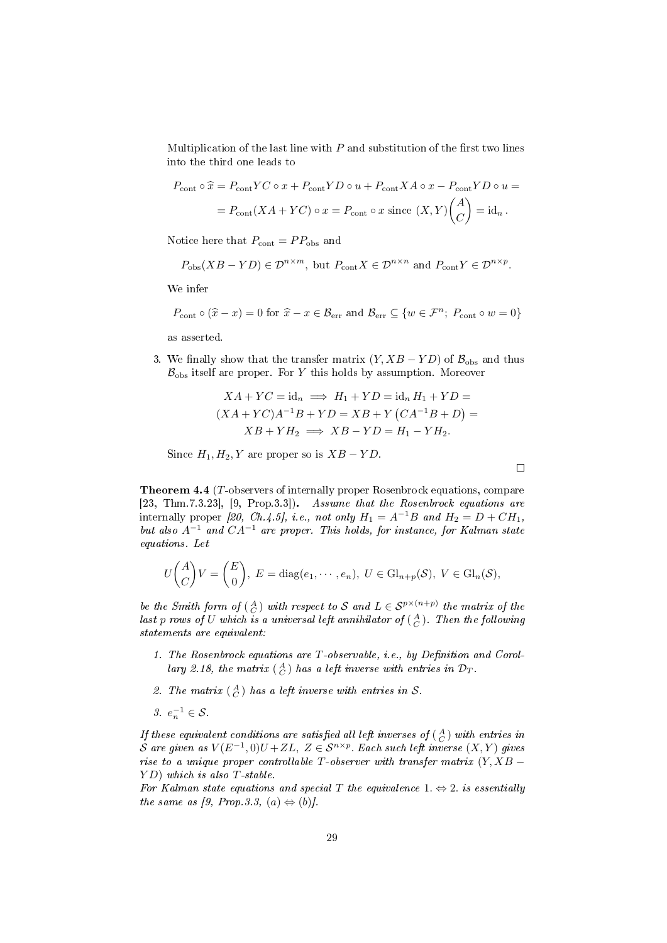Multiplication of the last line with  $P$  and substitution of the first two lines into the third one leads to

$$
P_{\text{cont}} \circ \hat{x} = P_{\text{cont}} Y C \circ x + P_{\text{cont}} Y D \circ u + P_{\text{cont}} X A \circ x - P_{\text{cont}} Y D \circ u =
$$
  
= 
$$
P_{\text{cont}} (X A + Y C) \circ x = P_{\text{cont}} \circ x \text{ since } (X, Y) {A \choose C} = id_n.
$$

Notice here that  $P_{\text{cont}} = PP_{\text{obs}}$  and

$$
P_{\text{obs}}(XB - YD) \in \mathcal{D}^{n \times m}
$$
, but  $P_{\text{cont}}X \in \mathcal{D}^{n \times n}$  and  $P_{\text{cont}}Y \in \mathcal{D}^{n \times p}$ .

We infer

$$
P_{\text{cont}} \circ (\hat{x} - x) = 0 \text{ for } \hat{x} - x \in \mathcal{B}_{\text{err}} \text{ and } \mathcal{B}_{\text{err}} \subseteq \{w \in \mathcal{F}^n; \ P_{\text{cont}} \circ w = 0\}
$$

as asserted.

3. We finally show that the transfer matrix  $(Y, XB - YD)$  of  $\mathcal{B}_{obs}$  and thus  $\mathcal{B}_{\text{obs}}$  itself are proper. For Y this holds by assumption. Moreover

$$
XA + YC = id_n \implies H_1 + YD = id_n H_1 + YD =
$$
  

$$
(XA + YC)A^{-1}B + YD = XB + Y(CA^{-1}B + D) =
$$
  

$$
XB + YH_2 \implies XB - YD = H_1 - YH_2.
$$

 $\Box$ 

Since  $H_1, H_2, Y$  are proper so is  $XB - YD$ .

<span id="page-28-0"></span>Theorem 4.4 (T-observers of internally proper Rosenbrock equations, compare [\[23,](#page-38-2) Thm.7.3.23], [\[9,](#page-38-6) Prop.3.3]). Assume that the Rosenbrock equations are internally proper [\[20,](#page-38-4) Ch.4.5], i.e., not only  $H_1 = A^{-1}B$  and  $H_2 = D + CH_1$ , but also  $A^{-1}$  and  $CA^{-1}$  are proper. This holds, for instance, for Kalman state equations. Let

$$
U\binom{A}{C}V=\binom{E}{0}, E=\text{diag}(e_1,\cdots,e_n), U\in\text{Gl}_{n+p}(\mathcal{S}), V\in\text{Gl}_n(\mathcal{S}),
$$

be the Smith form of  $\begin{pmatrix} A \\ C \end{pmatrix}$  with respect to S and  $L \in S^{p \times (n+p)}$  the matrix of the last p rows of U which is a universal left annihilator of  $(\begin{smallmatrix}A \ C \end{smallmatrix})$ . Then the following statements are equivalent:

- 1. The Rosenbrock equations are  $T$ -observable, i.e., by Definition and Corol-lary [2.18,](#page-13-0) the matrix  $(\frac{A}{C})$  has a left inverse with entries in  $\mathcal{D}_T$ .
- 2. The matrix  $\begin{pmatrix} A \\ C \end{pmatrix}$  has a left inverse with entries in S.

3.  $e_n^{-1} \in \mathcal{S}$ .

If these equivalent conditions are satisfied all left inverses of  $(\begin{smallmatrix}A \ C \end{smallmatrix})$  with entries in S are given as  $V(E^{-1},0)U+ZL, Z\in \mathcal{S}^{n\times p}$ . Each such left inverse  $(X,Y)$  gives rise to a unique proper controllable  $T$ -observer with transfer matrix  $(Y, XB -$ Y D) which is also T-stable.

For Kalman state equations and special T the equivalence 1.  $\Leftrightarrow$  2. is essentially the same as [\[9,](#page-38-6) Prop. 3.3, (a)  $\Leftrightarrow$  (b)].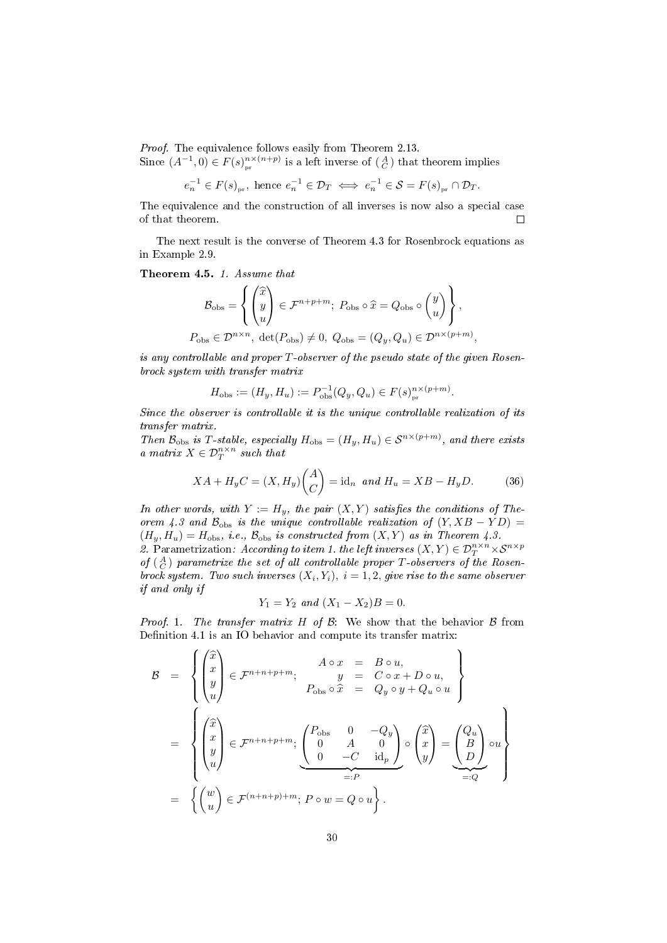Proof. The equivalence follows easily from Theorem [2.13.](#page-8-0)

Since  $(A^{-1},0) \in F(s)_{pr}^{n \times (n+p)}$  is a left inverse of  $\begin{pmatrix} A \\ C \end{pmatrix}$  that theorem implies

$$
e_n^{-1} \in F(s)_{pr}
$$
, hence  $e_n^{-1} \in \mathcal{D}_T \iff e_n^{-1} \in \mathcal{S} = F(s)_{pr} \cap \mathcal{D}_T$ .

The equivalence and the construction of all inverses is now also a special case of that theorem.  $\Box$ 

The next result is the converse of Theorem [4.3](#page-27-0) for Rosenbrock equations as in Example [2.9.](#page-6-3)

<span id="page-29-0"></span>Theorem 4.5. 1. Assume that

$$
\mathcal{B}_{\text{obs}} = \left\{ \begin{pmatrix} \widehat{x} \\ y \\ u \end{pmatrix} \in \mathcal{F}^{n+p+m}; \ P_{\text{obs}} \circ \widehat{x} = Q_{\text{obs}} \circ \begin{pmatrix} y \\ u \end{pmatrix} \right\},
$$
  

$$
P_{\text{obs}} \in \mathcal{D}^{n \times n}, \ \det(P_{\text{obs}}) \neq 0, \ Q_{\text{obs}} = (Q_y, Q_u) \in \mathcal{D}^{n \times (p+m)}
$$

,

is any controllable and proper  $T$ -observer of the pseudo state of the given Rosenbrock system with transfer matrix

 $H_{\text{obs}} := (H_y, H_u) := P_{\text{obs}}^{-1}(Q_y, Q_u) \in F(s)_{\text{pr}}^{\text{nx}(p+m)}.$ 

Since the observer is controllable it is the unique controllable realization of its transfer matrix.

Then  $\mathcal{B}_{obs}$  is T-stable, especially  $H_{obs} = (H_y, H_u) \in \mathcal{S}^{n \times (p+m)}$ , and there exists a matrix  $X \in \mathcal{D}_T^{n \times n}$  such that

<span id="page-29-1"></span>
$$
XA + H_yC = (X, H_y)\binom{A}{C} = \text{id}_n \text{ and } H_u = XB - H_yD. \tag{36}
$$

In other words, with  $Y := H_y$ , the pair  $(X, Y)$  satisfies the conditions of The-orem [4.3](#page-27-0) and  $\mathcal{B}_{obs}$  is the unique controllable realization of  $(Y, XB - YD) =$  $(H_y, H_u) = H_{obs}$ , i.e.,  $\mathcal{B}_{obs}$  is constructed from  $(X, Y)$  as in Theorem [4.3.](#page-27-0) 2. Parametrization: According to item 1. the left inverses  $(X, Y) \in \mathcal{D}_T^{n \times n} \times \mathcal{S}^{n \times p}$ of  $\binom{A}{C}$  parametrize the set of all controllable proper T-observers of the Rosen-

brock system. Two such inverses  $(X_i, Y_i)$ ,  $i = 1, 2$ , give rise to the same observer if and only if

$$
Y_1 = Y_2 \text{ and } (X_1 - X_2)B = 0.
$$

Proof. 1. The transfer matrix  $H$  of  $B$ : We show that the behavior  $B$  from Definition [4.1](#page-26-0) is an IO behavior and compute its transfer matrix:

$$
\mathcal{B} = \left\{ \begin{pmatrix} \hat{x} \\ x \\ y \\ u \end{pmatrix} \in \mathcal{F}^{n+n+p+m}; \begin{array}{rcl} A \circ x & = & B \circ u, \\ y & = & C \circ x + D \circ u, \\ P_{\text{obs}} \circ \hat{x} & = & Q_y \circ y + Q_u \circ u \end{array} \right\}
$$

$$
= \left\{ \begin{pmatrix} \hat{x} \\ x \\ y \\ u \end{pmatrix} \in \mathcal{F}^{n+n+p+m}; \begin{pmatrix} P_{\text{obs}} & 0 & -Q_y \\ 0 & A & 0 \\ 0 & -C & \text{id}_p \end{pmatrix} \circ \begin{pmatrix} \hat{x} \\ x \\ y \end{pmatrix} = \begin{pmatrix} Q_u \\ B \\ D \end{pmatrix} \circ u \right\}
$$

$$
= \left\{ \begin{pmatrix} w \\ u \end{pmatrix} \in \mathcal{F}^{(n+n+p)+m}; P \circ w = Q \circ u \right\}.
$$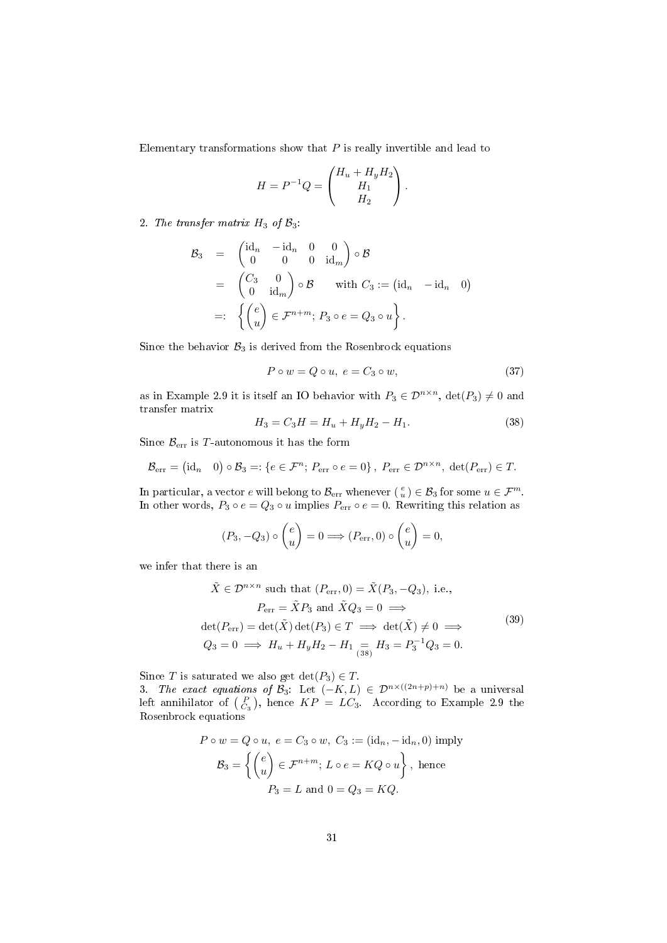Elementary transformations show that  $P$  is really invertible and lead to

$$
H = P^{-1}Q = \begin{pmatrix} H_u + H_y H_2 \\ H_1 \\ H_2 \end{pmatrix}.
$$

2. The transfer matrix  $H_3$  of  $\mathcal{B}_3$ :

$$
\mathcal{B}_3 = \begin{pmatrix} \mathrm{id}_n & -\mathrm{id}_n & 0 & 0 \\ 0 & 0 & 0 & \mathrm{id}_m \end{pmatrix} \circ \mathcal{B}
$$
  
\n
$$
= \begin{pmatrix} C_3 & 0 \\ 0 & \mathrm{id}_m \end{pmatrix} \circ \mathcal{B} \quad \text{with } C_3 := (\mathrm{id}_n - \mathrm{id}_n \quad 0)
$$
  
\n
$$
=: \left\{ \begin{pmatrix} e \\ u \end{pmatrix} \in \mathcal{F}^{n+m}; \ P_3 \circ e = Q_3 \circ u \right\}.
$$

Since the behavior  $B_3$  is derived from the Rosenbrock equations

$$
P \circ w = Q \circ u, \ e = C_3 \circ w,\tag{37}
$$

as in Example [2.9](#page-6-3) it is itself an IO behavior with  $P_3 \in \mathcal{D}^{n \times n}$ ,  $\det(P_3) \neq 0$  and transfer matrix

<span id="page-30-0"></span>
$$
H_3 = C_3 H = H_u + H_y H_2 - H_1. \tag{38}
$$

Since  $\mathcal{B}_{err}$  is T-autonomous it has the form

$$
\mathcal{B}_{\text{err}} = (\text{id}_n \quad 0) \circ \mathcal{B}_3 =: \{ e \in \mathcal{F}^n; \ P_{\text{err}} \circ e = 0 \}, \ P_{\text{err}} \in \mathcal{D}^{n \times n}, \ \det(P_{\text{err}}) \in T.
$$

In particular, a vector  $e$  will belong to  $\mathcal{B}_{err}$  whenever  $(\begin{smallmatrix} e \\ u \end{smallmatrix}) \in \mathcal{B}_3$  for some  $u \in \mathcal{F}^m$ . In other words,  $P_3 \circ e = Q_3 \circ u$  implies  $P_{err} \circ e = 0$ . Rewriting this relation as

$$
(P_3, -Q_3) \circ {e \choose u} = 0 \Longrightarrow (P_{\text{err}}, 0) \circ {e \choose u} = 0,
$$

we infer that there is an

<span id="page-30-1"></span>
$$
\tilde{X} \in \mathcal{D}^{n \times n} \text{ such that } (P_{\text{err}}, 0) = \tilde{X}(P_3, -Q_3), \text{ i.e.,}
$$
\n
$$
P_{\text{err}} = \tilde{X}P_3 \text{ and } \tilde{X}Q_3 = 0 \implies
$$
\n
$$
\det(P_{\text{err}}) = \det(\tilde{X}) \det(P_3) \in T \implies \det(\tilde{X}) \neq 0 \implies
$$
\n
$$
Q_3 = 0 \implies H_u + H_y H_2 - H_1 = H_3 = P_3^{-1} Q_3 = 0.
$$
\n(39)

Since T is saturated we also get  $\det(P_3) \in T$ .

3. The exact equations of  $\mathcal{B}_3$ : Let  $(-K, L) \in \mathcal{D}^{n \times ((2n+p)+n)}$  be a universal left annihilator of  $\begin{pmatrix} P \\ C_3 \end{pmatrix}$ , hence  $KP = LC_3$ . According to Example [2.9](#page-6-3) the Rosenbrock equations

$$
P \circ w = Q \circ u, \ e = C_3 \circ w, \ C_3 := (\text{id}_n, -\text{id}_n, 0) \text{ imply}
$$

$$
\mathcal{B}_3 = \left\{ \begin{pmatrix} e \\ u \end{pmatrix} \in \mathcal{F}^{n+m}; \ L \circ e = KQ \circ u \right\}, \text{ hence}
$$

$$
P_3 = L \text{ and } 0 = Q_3 = KQ.
$$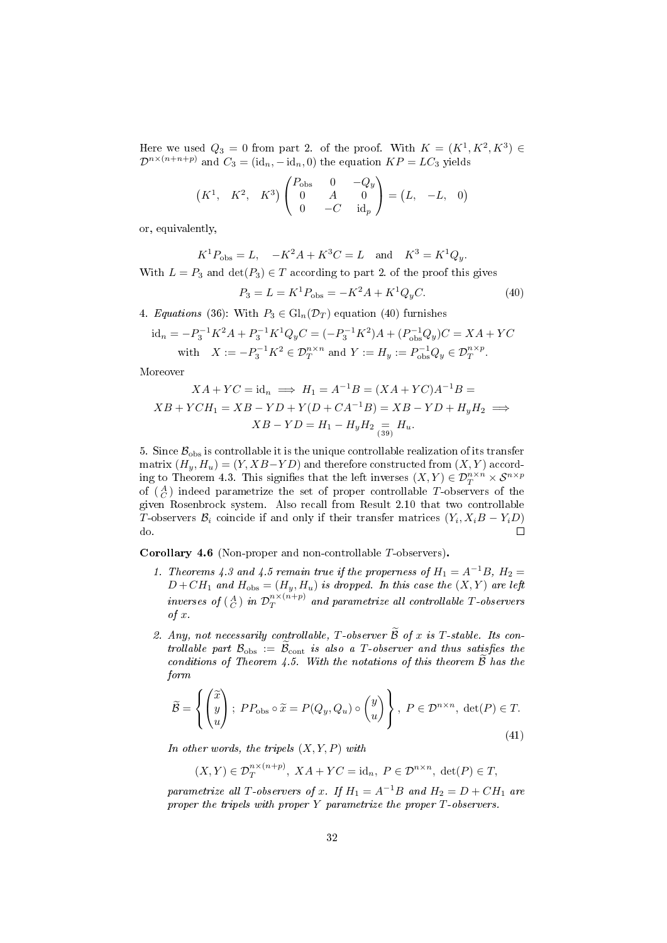Here we used  $Q_3 = 0$  from part 2. of the proof. With  $K = (K^1, K^2, K^3) \in$  $\mathcal{D}^{n\times(n+n+p)}$  and  $C_3 = (\mathrm{id}_n, -\mathrm{id}_n, 0)$  the equation  $KP = LC_3$  yields

$$
(K^1, K^2, K^3)
$$
 $\begin{pmatrix} P_{\text{obs}} & 0 & -Q_y \\ 0 & A & 0 \\ 0 & -C & \text{id}_p \end{pmatrix} = (L, -L, 0)$ 

or, equivalently,

$$
K^1 P_{\text{obs}} = L
$$
,  $-K^2 A + K^3 C = L$  and  $K^3 = K^1 Q_y$ .  
 $L - P_2$  and  $\det(P_2) \in T$  according to part 2 of the proof this give

With  $L = P_3$  and  $\det(P_3) \in T$  according to part 2. of the proof this gives

<span id="page-31-0"></span>
$$
P_3 = L = K^1 P_{\text{obs}} = -K^2 A + K^1 Q_y C. \tag{40}
$$

4. Equations [\(36\)](#page-29-1): With  $P_3 \in Gl_n(\mathcal{D}_T)$  equation [\(40\)](#page-31-0) furnishes

$$
id_n = -P_3^{-1}K^2A + P_3^{-1}K^1Q_yC = (-P_3^{-1}K^2)A + (P_{\text{obs}}^{-1}Q_y)C = XA + YC
$$
  
with  $X := -P_3^{-1}K^2 \in \mathcal{D}_T^{n \times n}$  and  $Y := H_y := P_{\text{obs}}^{-1}Q_y \in \mathcal{D}_T^{n \times p}$ .

Moreover

$$
XA + YC = id_n \implies H_1 = A^{-1}B = (XA + YC)A^{-1}B =
$$
  

$$
XB + YCH_1 = XB - YD + Y(D + CA^{-1}B) = XB - YD + H_yH_2 \implies
$$
  

$$
XB - YD = H_1 - H_yH_2 \underset{(39)}{=} H_u.
$$

5. Since  $\mathcal{B}_{\text{obs}}$  is controllable it is the unique controllable realization of its transfer matrix  $(H_y, H_u) = (Y, XB - YD)$  and therefore constructed from  $(X, Y)$  accord-ing to Theorem [4.3.](#page-27-0) This signifies that the left inverses  $(X, Y) \in \mathcal{D}_T^{n \times n} \times \mathcal{S}^{n \times p}$ of  $\binom{A}{C}$  indeed parametrize the set of proper controllable T-observers of the given Rosenbrock system. Also recall from Result [2.10](#page-7-1) that two controllable T-observers  $\mathcal{B}_i$  coincide if and only if their transfer matrices  $(Y_i, X_i B - Y_i D)$ do.  $\Box$ 

Corollary 4.6 (Non-proper and non-controllable T-observers).

- 1. Theorems [4.3](#page-27-0) and [4.5](#page-29-0) remain true if the properness of  $H_1 = A^{-1}B$ ,  $H_2 =$  $D+CH_1$  and  $H_{obs} = (H_y, H_u)$  is dropped. In this case the  $(X, Y)$  are left inverses of  $\left(\begin{smallmatrix}A\ C\end{smallmatrix}\right)$  in  $\mathcal{D}^{n\times (n+p)}_T$  $T^{n \times (n+p)}$  and parametrize all controllable T-observers of x.
- 2. Any, not necessarily controllable, T-observer  $\widetilde{\mathcal{B}}$  of x is T-stable. Its controllable part  $\mathcal{B}_{obs} := \tilde{\mathcal{B}}_{cont}$  is also a T-observer and thus satisfies the conditions of Theorem [4.5.](#page-29-0) With the notations of this theorem  $\mathcal B$  has the form

<span id="page-31-1"></span>
$$
\widetilde{\mathcal{B}} = \left\{ \begin{pmatrix} \widetilde{x} \\ y \\ u \end{pmatrix}; \ P P_{\text{obs}} \circ \widetilde{x} = P(Q_y, Q_u) \circ \begin{pmatrix} y \\ u \end{pmatrix} \right\}, \ P \in \mathcal{D}^{n \times n}, \ \det(P) \in T. \tag{41}
$$

In other words, the tripels  $(X, Y, P)$  with

$$
(X,Y) \in \mathcal{D}_T^{n \times (n+p)}, XA+YC = id_n, P \in \mathcal{D}^{n \times n}, \det(P) \in T,
$$

parametrize all T-observers of x. If  $H_1 = A^{-1}B$  and  $H_2 = D + CH_1$  are proper the tripels with proper  $Y$  parametrize the proper  $T$ -observers.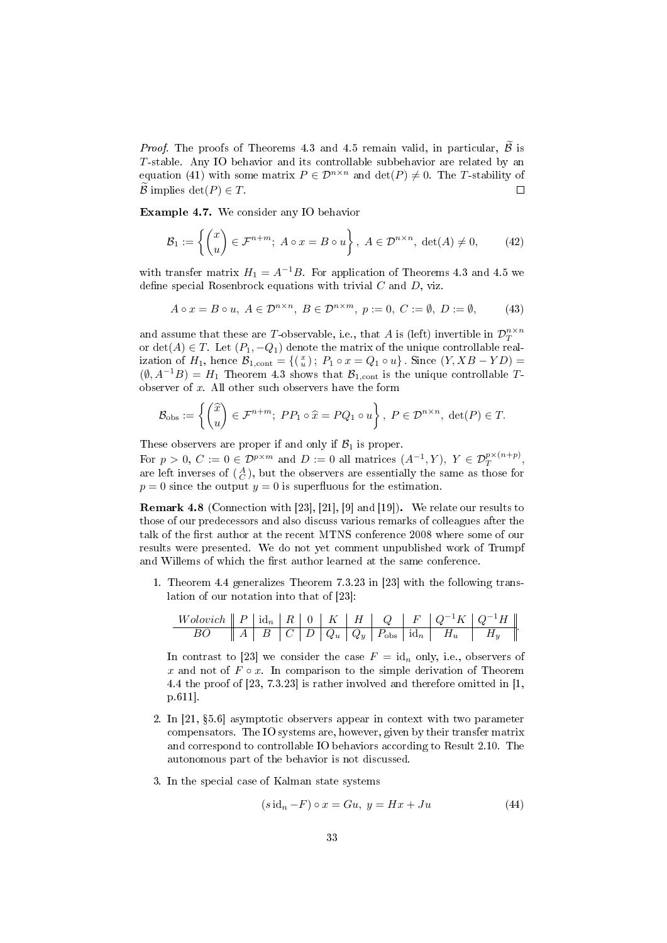*Proof.* The proofs of Theorems [4.3](#page-27-0) and [4.5](#page-29-0) remain valid, in particular,  $\tilde{\beta}$  is T-stable. Any IO behavior and its controllable subbehavior are related by an equation [\(41\)](#page-31-1) with some matrix  $P \in \mathcal{D}^{n \times n}$  and  $\det(P) \neq 0$ . The T-stability of B implies det( $P \in T$ . П

<span id="page-32-2"></span>Example 4.7. We consider any IO behavior

$$
\mathcal{B}_1 := \left\{ \begin{pmatrix} x \\ u \end{pmatrix} \in \mathcal{F}^{n+m}; \ A \circ x = B \circ u \right\}, \ A \in \mathcal{D}^{n \times n}, \ \det(A) \neq 0, \tag{42}
$$

with transfer matrix  $H_1 = A^{-1}B$ . For application of Theorems [4.3](#page-27-0) and [4.5](#page-29-0) we define special Rosenbrock equations with trivial  $C$  and  $D$ , viz.

$$
A \circ x = B \circ u, \ A \in \mathcal{D}^{n \times n}, \ B \in \mathcal{D}^{n \times m}, \ p := 0, \ C := \emptyset, \ D := \emptyset, \tag{43}
$$

and assume that these are T-observable, i.e., that A is (left) invertible in  $\mathcal{D}^{n\times n}_T$ or  $\det(A) \in T$ . Let  $(P_1, -Q_1)$  denote the matrix of the unique controllable realization of  $H_1$ , hence  $\mathcal{B}_{1,\text{cont}} = \{(\begin{smallmatrix} x \\ u \end{smallmatrix})\colon P_1 \circ x = Q_1 \circ u\}$ . Since  $(Y, XB - YD) =$  $(\emptyset, A^{-1}B) = H_1$  Theorem [4.3](#page-27-0) shows that  $\mathcal{B}_{1,\text{cont}}$  is the unique controllable Tobserver of  $x$ . All other such observers have the form

$$
\mathcal{B}_{\text{obs}} := \left\{ \begin{pmatrix} \widehat{x} \\ u \end{pmatrix} \in \mathcal{F}^{n+m}; \ PP_1 \circ \widehat{x} = PQ_1 \circ u \right\}, \ P \in \mathcal{D}^{n \times n}, \ \det(P) \in T.
$$

These observers are proper if and only if  $B_1$  is proper.

For  $p > 0$ ,  $C := 0 \in \mathcal{D}^{p \times m}$  and  $D := 0$  all matrices  $(A^{-1}, Y)$ ,  $Y \in \mathcal{D}_T^{p \times (n+p)}$ , are left inverses of  $(A)$ , but the observers are essentially the same as those for  $p = 0$  since the output  $y = 0$  is superfluous for the estimation.

<span id="page-32-0"></span>Remark 4.8 (Connection with [\[23\]](#page-38-2), [\[21\]](#page-38-11), [\[9\]](#page-38-6) and [\[19\]](#page-38-5)). We relate our results to those of our predecessors and also discuss various remarks of colleagues after the talk of the first author at the recent MTNS conference 2008 where some of our results were presented. We do not yet comment unpublished work of Trumpf and Willems of which the first author learned at the same conference.

1. Theorem [4.4](#page-28-0) generalizes Theorem 7.3.23 in [\[23\]](#page-38-2) with the following translation of our notation into that of [\[23\]](#page-38-2):

W olovich P id<sup>n</sup> R 0 K H Q F Q<sup>−</sup>1K Q<sup>−</sup>1H BO A B C D Q<sup>u</sup> Q<sup>y</sup> Pobs id<sup>n</sup> H<sup>u</sup> H<sup>y</sup> .

In contrast to [\[23\]](#page-38-2) we consider the case  $F = id_n$  only, i.e., observers of x and not of  $F \circ x$ . In comparison to the simple derivation of Theorem [4.4](#page-28-0) the proof of [\[23,](#page-38-2) 7.3.23] is rather involved and therefore omitted in [\[1,](#page-37-0) p.611].

- 2. In [\[21,](#page-38-11) 5.6] asymptotic observers appear in context with two parameter compensators. The IO systems are, however, given by their transfer matrix and correspond to controllable IO behaviors according to Result [2.10.](#page-7-1) The autonomous part of the behavior is not discussed.
- 3. In the special case of Kalman state systems

<span id="page-32-1"></span>
$$
(s idn - F) \circ x = Gu, \ y = Hx + Ju \tag{44}
$$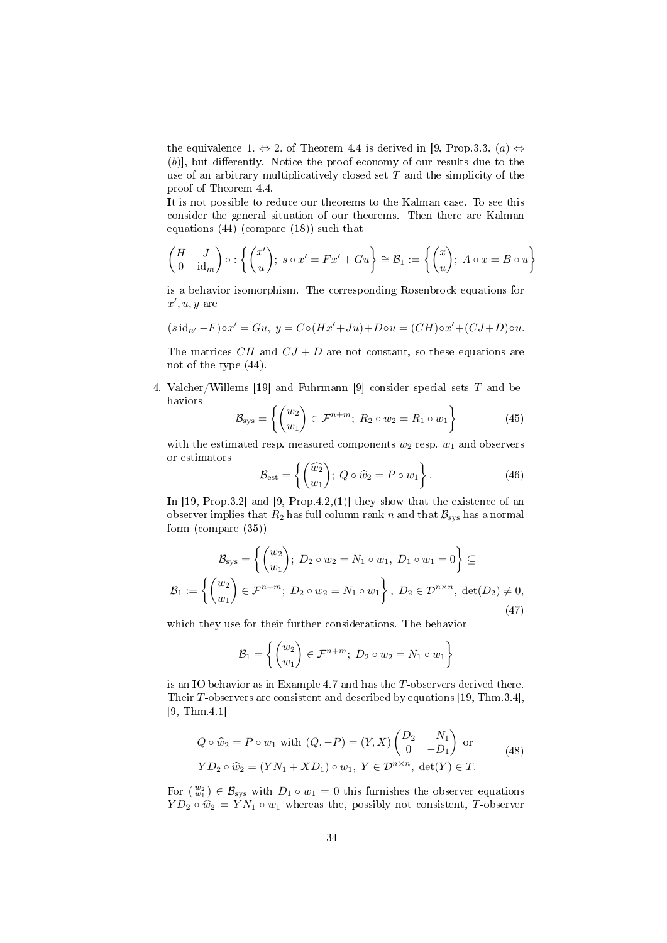the equivalence 1.  $\Leftrightarrow$  2. of Theorem [4.4](#page-28-0) is derived in [\[9,](#page-38-6) Prop.3.3, (a)  $\Leftrightarrow$  $(b)$ ], but differently. Notice the proof economy of our results due to the use of an arbitrary multiplicatively closed set  $T$  and the simplicity of the proof of Theorem [4.4.](#page-28-0)

It is not possible to reduce our theorems to the Kalman case. To see this consider the general situation of our theorems. Then there are Kalman equations [\(44\)](#page-32-1) (compare [\(18\)](#page-7-2)) such that

$$
\begin{pmatrix} H & J \\ 0 & \mathrm{id}_m \end{pmatrix} \circ : \left\{ \begin{pmatrix} x' \\ u \end{pmatrix}; s \circ x' = Fx' + Gu \right\} \cong \mathcal{B}_1 := \left\{ \begin{pmatrix} x \\ u \end{pmatrix}; A \circ x = B \circ u \right\}
$$

is a behavior isomorphism. The corresponding Rosenbrock equations for  $x', u, y$  are

$$
(s\operatorname{id}_{n'} - F)\circ x' = Gu, \ y = C\circ (Hx' + Ju) + D\circ u = (CH)\circ x' + (CJ + D)\circ u.
$$

The matrices CH and  $CJ + D$  are not constant, so these equations are not of the type [\(44\)](#page-32-1).

4. Valcher/Willems [\[19\]](#page-38-5) and Fuhrmann [\[9\]](#page-38-6) consider special sets  $T$  and behaviors

<span id="page-33-1"></span>
$$
\mathcal{B}_{\text{sys}} = \left\{ \begin{pmatrix} w_2 \\ w_1 \end{pmatrix} \in \mathcal{F}^{n+m}; \ R_2 \circ w_2 = R_1 \circ w_1 \right\} \tag{45}
$$

with the estimated resp. measured components  $w_2$  resp.  $w_1$  and observers or estimators

$$
\mathcal{B}_{\text{est}} = \left\{ \begin{pmatrix} \widehat{w_2} \\ w_1 \end{pmatrix}; \ Q \circ \widehat{w}_2 = P \circ w_1 \right\}.
$$
 (46)

In [\[19,](#page-38-5) Prop.3.2] and [\[9,](#page-38-6) Prop.4.2,(1)] they show that the existence of an observer implies that  $R_2$  has full column rank n and that  $\mathcal{B}_{\text{sys}}$  has a normal form (compare [\(35\)](#page-25-0))

<span id="page-33-2"></span>
$$
\mathcal{B}_{\text{sys}} = \left\{ \begin{pmatrix} w_2 \\ w_1 \end{pmatrix}; \ D_2 \circ w_2 = N_1 \circ w_1, \ D_1 \circ w_1 = 0 \right\} \subseteq
$$

$$
\mathcal{B}_1 := \left\{ \begin{pmatrix} w_2 \\ w_1 \end{pmatrix} \in \mathcal{F}^{n+m}; \ D_2 \circ w_2 = N_1 \circ w_1 \right\}, \ D_2 \in \mathcal{D}^{n \times n}, \ \det(D_2) \neq 0,
$$

$$
\tag{47}
$$

which they use for their further considerations. The behavior

$$
\mathcal{B}_1 = \left\{ \begin{pmatrix} w_2 \\ w_1 \end{pmatrix} \in \mathcal{F}^{n+m}; \ D_2 \circ w_2 = N_1 \circ w_1 \right\}
$$

is an IO behavior as in Example [4.7](#page-32-2) and has the T-observers derived there. Their T-observers are consistent and described by equations [\[19,](#page-38-5) Thm.3.4], [\[9,](#page-38-6) Thm.4.1]

<span id="page-33-0"></span>
$$
Q \circ \hat{w}_2 = P \circ w_1 \text{ with } (Q, -P) = (Y, X) \begin{pmatrix} D_2 & -N_1 \\ 0 & -D_1 \end{pmatrix} \text{ or }
$$
  
\n
$$
YD_2 \circ \hat{w}_2 = (YN_1 + XD_1) \circ w_1, Y \in \mathcal{D}^{n \times n}, \text{ det}(Y) \in T.
$$
 (48)

For  $\binom{w_2}{w_1} \in \mathcal{B}_{\text{sys}}$  with  $D_1 \circ w_1 = 0$  this furnishes the observer equations  $YD_2 \circ \hat{w}_2 = \hat{Y}N_1 \circ w_1$  whereas the, possibly not consistent, T-observer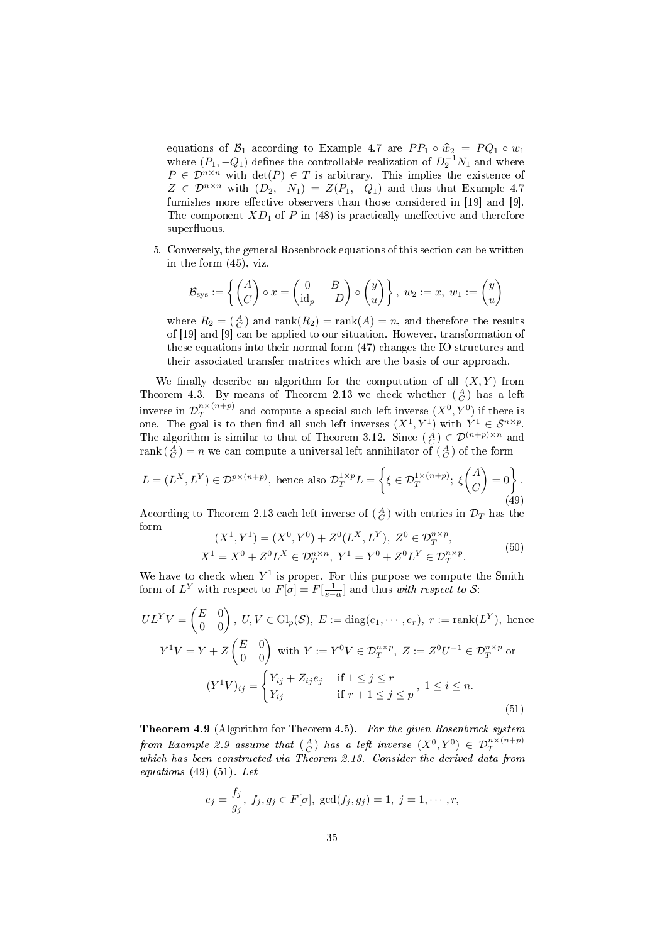equations of  $\mathcal{B}_1$  according to Example [4.7](#page-32-2) are  $PP_1 \circ \hat{w}_2 = PQ_1 \circ w_1$ <br>where  $(P_1, -Q_1)$  defines the controllable realization of  $D_2^{-1}N_1$  and where  $P \in \mathcal{D}^{n \times n}$  with  $\det(P) \in T$  is arbitrary. This implies the existence of  $Z \in \mathcal{D}^{n \times n}$  with  $(D_2, -N_1) = Z(P_1, -Q_1)$  and thus that Example [4.7](#page-32-2) furnishes more effective observers than those considered in [\[19\]](#page-38-5) and [\[9\]](#page-38-6). The component  $XD_1$  of P in [\(48\)](#page-33-0) is practically uneffective and therefore superfluous.

5. Conversely, the general Rosenbrock equations of this section can be written in the form [\(45\)](#page-33-1), viz.

$$
\mathcal{B}_{\text{sys}} := \left\{ \begin{pmatrix} A \\ C \end{pmatrix} \circ x = \begin{pmatrix} 0 & B \\ \mathrm{id}_p & -D \end{pmatrix} \circ \begin{pmatrix} y \\ u \end{pmatrix} \right\}, w_2 := x, w_1 := \begin{pmatrix} y \\ u \end{pmatrix}
$$

where  $R_2 = \begin{pmatrix} A \\ C \end{pmatrix}$  and  $\text{rank}(R_2) = \text{rank}(A) = n$ , and therefore the results of [\[19\]](#page-38-5) and [\[9\]](#page-38-6) can be applied to our situation. However, transformation of these equations into their normal form [\(47\)](#page-33-2) changes the IO structures and their associated transfer matrices which are the basis of our approach.

We finally describe an algorithm for the computation of all  $(X, Y)$  from Theorem [4.3.](#page-27-0) By means of Theorem [2.13](#page-8-0) we check whether  $\binom{A}{C}$  has a left inverse in  $\mathcal{D}^{n \times (n+p)}_{T}$  $T^{n \times (n+p)}_{T}$  and compute a special such left inverse  $(X^{0}, Y^{0})$  if there is one. The goal is to then find all such left inverses  $(X^1, Y^1)$  with  $Y^1 \in S^{n \times p}$ . The algorithm is similar to that of Theorem [3.12.](#page-22-0) Since  $\begin{pmatrix} A \\ C \end{pmatrix} \in \mathcal{D}^{(n+p)\times n}$  and  $\operatorname{rank}(\begin{smallmatrix}A \ C \end{smallmatrix}) = n$  we can compute a universal left annihilator of  $(\begin{smallmatrix}A \ C \end{smallmatrix})$  of the form

<span id="page-34-1"></span>
$$
L = (L^X, L^Y) \in \mathcal{D}^{p \times (n+p)}, \text{ hence also } \mathcal{D}_T^{1 \times p} L = \left\{ \xi \in \mathcal{D}_T^{1 \times (n+p)}; \ \xi \begin{pmatrix} A \\ C \end{pmatrix} = 0 \right\}.
$$
\n
$$
(49)
$$

According to Theorem [2.13](#page-8-0) each left inverse of  $\left(\frac{A}{C}\right)$  with entries in  $\mathcal{D}_T$  has the form

$$
(X1, Y1) = (X0, Y0) + Z0(LX, LY), Z0 \in \mathcal{D}_T^{n \times p},
$$
  
\n
$$
X1 = X0 + Z0LX \in \mathcal{D}_T^{n \times n}, Y1 = Y0 + Z0LY \in \mathcal{D}_T^{n \times p}.
$$
\n(50)

We have to check when  $Y^1$  is proper. For this purpose we compute the Smith form of  $L^Y$  with respect to  $F[\sigma] = F[\frac{1}{s-\alpha}]$  and thus with respect to S:

<span id="page-34-2"></span>
$$
UL^{Y}V = \begin{pmatrix} E & 0 \\ 0 & 0 \end{pmatrix}, U, V \in \mathrm{Gl}_{p}(\mathcal{S}), E := \mathrm{diag}(e_{1}, \cdots, e_{r}), r := \mathrm{rank}(L^{Y}), \text{ hence}
$$

$$
Y^{1}V = Y + Z \begin{pmatrix} E & 0 \\ 0 & 0 \end{pmatrix} \text{ with } Y := Y^{0}V \in \mathcal{D}_{T}^{n \times p}, Z := Z^{0}U^{-1} \in \mathcal{D}_{T}^{n \times p} \text{ or}
$$

$$
(Y^{1}V)_{ij} = \begin{cases} Y_{ij} + Z_{ij}e_{j} & \text{if } 1 \leq j \leq r \\ Y_{ij} & \text{if } r + 1 \leq j \leq p \end{cases}, 1 \leq i \leq n. \tag{51}
$$

<span id="page-34-0"></span>Theorem 4.9 (Algorithm for Theorem [4.5\)](#page-29-0). For the given Rosenbrock system from Example [2.9](#page-6-3) assume that  $\binom{A}{C}$  has a left inverse  $(X^0,Y^0) \,\in\, \mathcal{D}^{n \times (n+p)}_T$ which has been constructed via Theorem [2.13.](#page-8-0) Consider the derived data from equations  $(49)-(51)$  $(49)-(51)$  $(49)-(51)$ . Let

$$
e_j = \frac{f_j}{g_j}, f_j, g_j \in F[\sigma], \text{gcd}(f_j, g_j) = 1, j = 1, \dots, r,
$$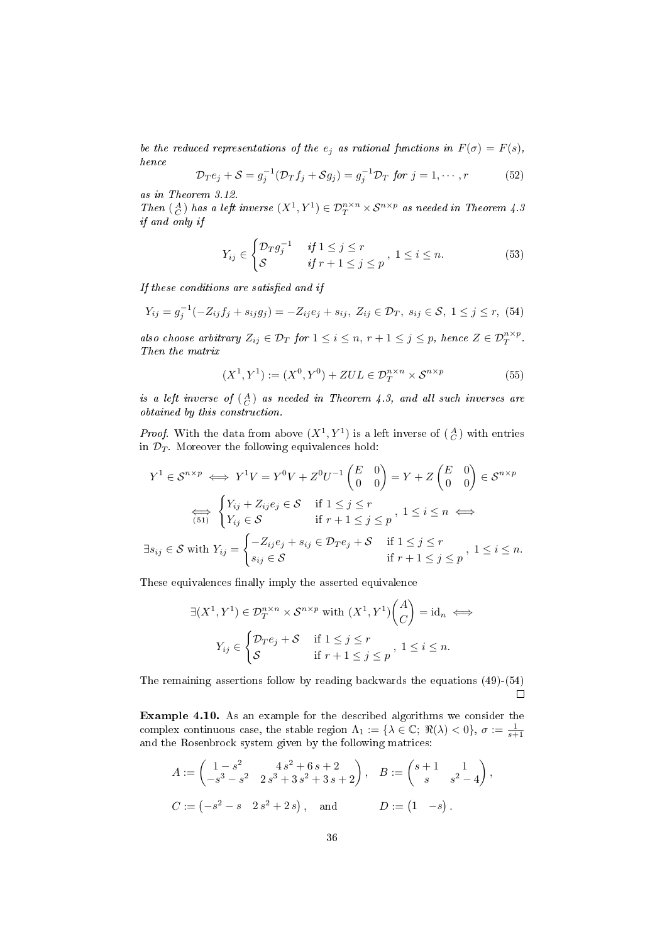be the reduced representations of the  $e_j$  as rational functions in  $F(\sigma) = F(s)$ , hence

$$
\mathcal{D}_T e_j + \mathcal{S} = g_j^{-1} (\mathcal{D}_T f_j + \mathcal{S} g_j) = g_j^{-1} \mathcal{D}_T \text{ for } j = 1, \cdots, r \tag{52}
$$

as in Theorem [3.12.](#page-22-0)

Then  $\mathcal{A}(G)$  has a left inverse  $(X^1, Y^1) \in \mathcal{D}_T^{n \times n} \times \mathcal{S}^{n \times p}$  as needed in Theorem [4.3](#page-27-0) if and only if

$$
Y_{ij} \in \begin{cases} \mathcal{D}_T g_j^{-1} & \text{if } 1 \le j \le r \\ \mathcal{S} & \text{if } r+1 \le j \le p \end{cases}, \ 1 \le i \le n. \tag{53}
$$

If these conditions are satisfied and if

<span id="page-35-1"></span>
$$
Y_{ij} = g_j^{-1}(-Z_{ij}f_j + s_{ij}g_j) = -Z_{ij}e_j + s_{ij}, Z_{ij} \in \mathcal{D}_T, s_{ij} \in \mathcal{S}, 1 \le j \le r, (54)
$$

also choose arbitrary  $Z_{ij} \in \mathcal{D}_T$  for  $1 \leq i \leq n$ ,  $r + 1 \leq j \leq p$ , hence  $Z \in \mathcal{D}_T^{n \times p}$ . Then the matrix

$$
(X1, Y1) := (X0, Y0) + ZUL \in \mathcal{D}_T^{n \times n} \times \mathcal{S}^{n \times p}
$$
 (55)

is a left inverse of  $({A \atop C})$  as needed in Theorem [4.3,](#page-27-0) and all such inverses are obtained by this construction.

*Proof.* With the data from above  $(X^1, Y^1)$  is a left inverse of  $\begin{pmatrix} A \\ C \end{pmatrix}$  with entries in  $\mathcal{D}_T$ . Moreover the following equivalences hold:

$$
Y^{1} \in \mathcal{S}^{n \times p} \iff Y^{1}V = Y^{0}V + Z^{0}U^{-1} \begin{pmatrix} E & 0 \\ 0 & 0 \end{pmatrix} = Y + Z \begin{pmatrix} E & 0 \\ 0 & 0 \end{pmatrix} \in \mathcal{S}^{n \times p}
$$

$$
\overleftrightarrow{\leftarrow{\text{S}}\text{}} \begin{cases} Y_{ij} + Z_{ij}e_{j} \in \mathcal{S} & \text{if } 1 \leq j \leq r \\ Y_{ij} \in \mathcal{S} & \text{if } r+1 \leq j \leq p \end{cases}, 1 \leq i \leq n \iff
$$

$$
\exists s_{ij} \in \mathcal{S} \text{ with } Y_{ij} = \begin{cases} -Z_{ij}e_{j} + s_{ij} \in \mathcal{D}_{T}e_{j} + \mathcal{S} & \text{if } 1 \leq j \leq r \\ s_{ij} \in \mathcal{S} & \text{if } r+1 \leq j \leq p \end{cases}, 1 \leq i \leq n.
$$

These equivalences finally imply the asserted equivalence

$$
\exists (X^1, Y^1) \in \mathcal{D}_T^{n \times n} \times \mathcal{S}^{n \times p} \text{ with } (X^1, Y^1) \begin{pmatrix} A \\ C \end{pmatrix} = \text{id}_n \iff
$$

$$
Y_{ij} \in \begin{cases} \mathcal{D}_T e_j + \mathcal{S} & \text{if } 1 \le j \le r \\ \mathcal{S} & \text{if } r+1 \le j \le p \end{cases}, \ 1 \le i \le n.
$$

The remaining assertions follow by reading backwards the equations [\(49\)](#page-34-1)-[\(54\)](#page-35-1)  $\Box$ 

<span id="page-35-0"></span>Example 4.10. As an example for the described algorithms we consider the complex continuous case, the stable region  $\Lambda_1 := {\lambda \in \mathbb{C}}; \Re(\lambda) < 0$ ,  $\sigma := \frac{1}{s+1}$ and the Rosenbrock system given by the following matrices:

$$
A := \begin{pmatrix} 1 - s^2 & 4s^2 + 6s + 2 \\ -s^3 - s^2 & 2s^3 + 3s^2 + 3s + 2 \end{pmatrix}, \quad B := \begin{pmatrix} s + 1 & 1 \\ s & s^2 - 4 \end{pmatrix},
$$
  
\n
$$
C := (-s^2 - s \quad 2s^2 + 2s), \quad \text{and} \qquad D := \begin{pmatrix} 1 & -s \end{pmatrix}.
$$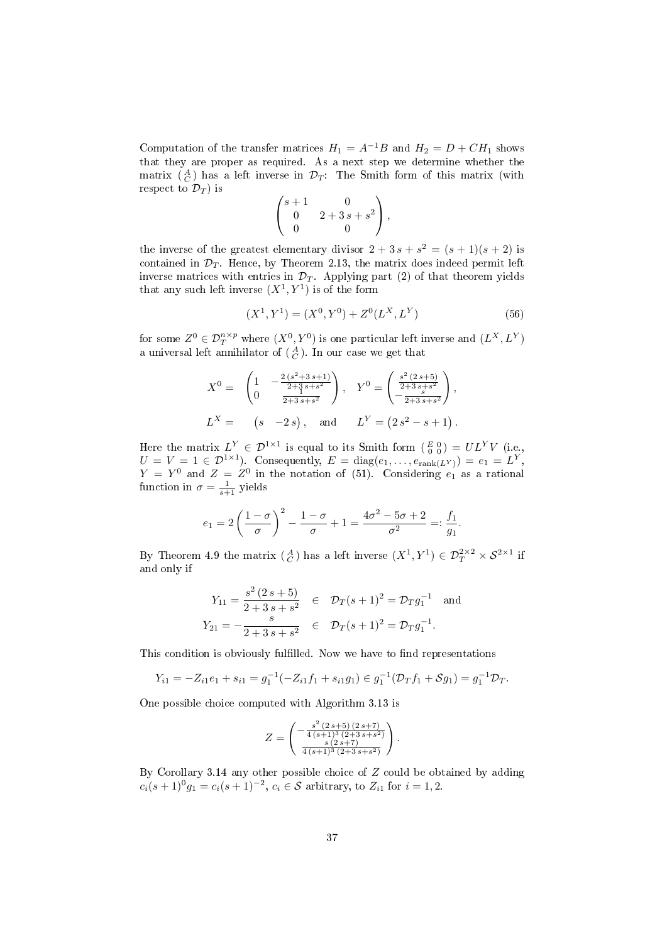Computation of the transfer matrices  $H_1 = A^{-1}B$  and  $H_2 = D + CH_1$  shows that they are proper as required. As a next step we determine whether the matrix  $\begin{pmatrix} A \\ C \end{pmatrix}$  has a left inverse in  $\mathcal{D}_T$ : The Smith form of this matrix (with respect to  $\mathcal{D}_T$ ) is

$$
\begin{pmatrix} s+1 & 0 \\ 0 & 2+3s+s^2 \\ 0 & 0 \end{pmatrix},
$$

the inverse of the greatest elementary divisor  $2 + 3s + s^2 = (s + 1)(s + 2)$  is contained in  $\mathcal{D}_T$ . Hence, by Theorem [2.13,](#page-8-0) the matrix does indeed permit left inverse matrices with entries in  $\mathcal{D}_T$ . Applying part [\(2\)](#page-8-7) of that theorem yields that any such left inverse  $(X^1, Y^1)$  is of the form

<span id="page-36-0"></span>
$$
(X1, Y1) = (X0, Y0) + Z0(LX, LY)
$$
 (56)

for some  $Z^0 \in \mathcal{D}^{n \times p}_T$  where  $(X^0, Y^0)$  is one particular left inverse and  $(L^X, L^Y)$ a universal left annihilator of  $\left(\frac{A}{C}\right)$ . In our case we get that

$$
X^{0} = \begin{pmatrix} 1 & -\frac{2(s^{2}+3 s+1)}{2+3 s+s^{2}} \\ 0 & \frac{1}{2+3 s+s^{2}} \end{pmatrix}, \quad Y^{0} = \begin{pmatrix} \frac{s^{2}(2 s+5)}{2+3 s+s^{2}} \\ -\frac{s}{2+3 s+s^{2}} \end{pmatrix},
$$
  
\n
$$
L^{X} = \begin{pmatrix} s & -2 s \end{pmatrix}, \quad \text{and} \quad L^{Y} = \begin{pmatrix} 2 s^{2} - s + 1 \end{pmatrix}.
$$

Here the matrix  $L^Y \in \mathcal{D}^{1\times 1}$  is equal to its Smith form  $(\begin{smallmatrix} E&0\ 0&0 \end{smallmatrix}) = UL^Y V$  (i.e.,  $U = V = 1 \in \mathcal{D}^{1 \times 1}$ ). Consequently,  $E = \text{diag}(e_1, \dots, e_{\text{rank}(L^Y)}) = e_1 = L^Y$ ,  $Y = Y^0$  and  $Z = Z^0$  in the notation of [\(51\)](#page-34-2). Considering  $e_1$  as a rational function in  $\sigma = \frac{1}{s+1}$  yields

$$
e_1 = 2\left(\frac{1-\sigma}{\sigma}\right)^2 - \frac{1-\sigma}{\sigma} + 1 = \frac{4\sigma^2 - 5\sigma + 2}{\sigma^2} =: \frac{f_1}{g_1}.
$$

By Theorem [4.9](#page-34-0) the matrix  $\begin{pmatrix} A \\ C \end{pmatrix}$  has a left inverse  $(X^1, Y^1) \in \mathcal{D}_T^{2 \times 2} \times \mathcal{S}^{2 \times 1}$  if and only if

$$
Y_{11} = \frac{s^2 (2s+5)}{2+3s+s^2} \quad \in \quad \mathcal{D}_T(s+1)^2 = \mathcal{D}_T g_1^{-1} \quad \text{and}
$$
\n
$$
Y_{21} = -\frac{s}{2+3s+s^2} \quad \in \quad \mathcal{D}_T(s+1)^2 = \mathcal{D}_T g_1^{-1}.
$$

This condition is obviously fulfilled. Now we have to find representations

$$
Y_{i1} = -Z_{i1}e_1 + s_{i1} = g_1^{-1}(-Z_{i1}f_1 + s_{i1}g_1) \in g_1^{-1}(\mathcal{D}_Tf_1 + \mathcal{S}g_1) = g_1^{-1}\mathcal{D}_T.
$$

One possible choice computed with Algorithm [3.13](#page-23-1) is

$$
Z = \begin{pmatrix} -\frac{s^2 (2 s + 5) (2 s + 7)}{4 (s + 1)^3 (2 + 3 s + s^2)} \\ \frac{s (2 s + 7)}{4 (s + 1)^3 (2 + 3 s + s^2)} \end{pmatrix}.
$$

By Corollary [3.14](#page-23-2) any other possible choice of Z could be obtained by adding  $c_i(s+1)^0 g_1 = c_i(s+1)^{-2}, c_i \in \mathcal{S}$  arbitrary, to  $Z_{i1}$  for  $i = 1, 2$ .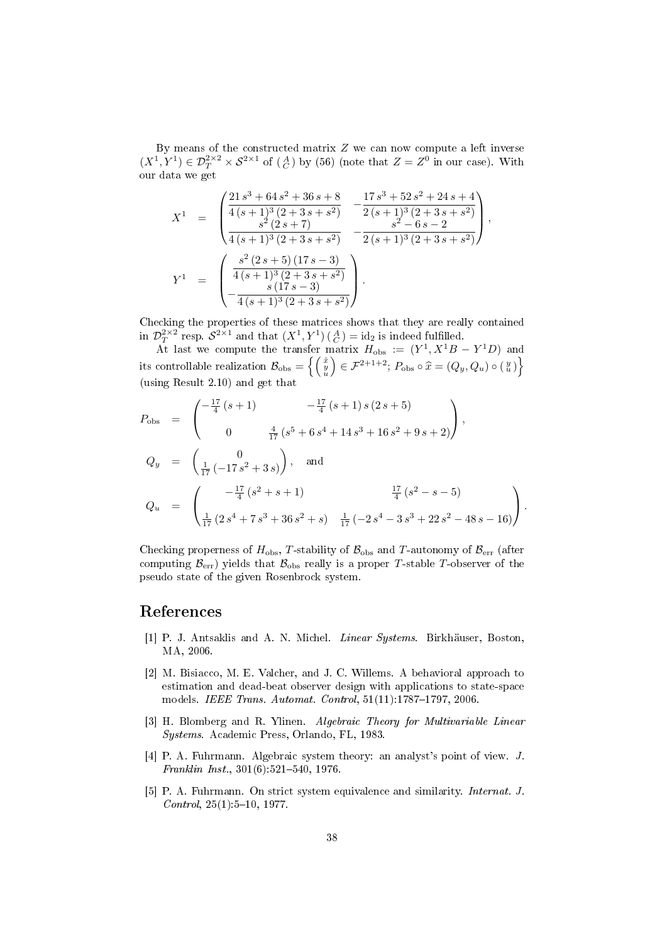By means of the constructed matrix  $Z$  we can now compute a left inverse  $(X^1, Y^1) \in \mathcal{D}_T^{2 \times 2} \times \mathcal{S}^{2 \times 1}$  of  $\begin{pmatrix} A \\ C \end{pmatrix}$  by [\(56\)](#page-36-0) (note that  $Z = Z^0$  in our case). With our data we get

$$
X^{1} = \begin{pmatrix} \frac{21 s^{3} + 64 s^{2} + 36 s + 8}{4 (s + 1)^{3} (2 + 3 s + s^{2})} & -\frac{17 s^{3} + 52 s^{2} + 24 s + 4}{2 (s + 1)^{3} (2 + 3 s + s^{2})} \\ \frac{s^{2} (2 s + 7)}{4 (s + 1)^{3} (2 + 3 s + s^{2})} & -\frac{s^{2} - 6 s - 2}{2 (s + 1)^{3} (2 + 3 s + s^{2})} \end{pmatrix},
$$
  
\n
$$
Y^{1} = \begin{pmatrix} \frac{s^{2} (2 s + 5) (17 s - 3)}{4 (s + 1)^{3} (2 + 3 s + s^{2})} \\ -\frac{s (17 s - 3)}{4 (s + 1)^{3} (2 + 3 s + s^{2})} \end{pmatrix}.
$$

Checking the properties of these matrices shows that they are really contained in  $\mathcal{D}_T^{2\times 2}$  resp.  $\mathcal{S}^{2\times 1}$  and that  $(X^1,Y^1)$   $(\begin{smallmatrix} A \\ C \end{smallmatrix}) = id_2$  is indeed fulfilled.

At last we compute the transfer matrix  $H_{\text{obs}} := (Y^1, X^1B - Y^1D)$  and its controllable realization  $\mathcal{B}_{\text{obs}} = \left\{\left(\begin{smallmatrix} \hat{x} & 0 & 0 \\ 0 & 0 & 0 \\ 0 & 0 & 0 \end{smallmatrix}\right) \right\}$  $\Big) \in \mathcal{F}^{2+1+2}; P_{\text{obs}} \circ \hat{x} = (Q_y, Q_u) \circ (\frac{y}{u}) \Big\}$ (using Result [2.10\)](#page-7-1) and get that

$$
P_{\text{obs}} = \begin{pmatrix} -\frac{17}{4} (s+1) & -\frac{17}{4} (s+1) s (2 s+5) \\ 0 & \frac{4}{17} (s^5 + 6 s^4 + 14 s^3 + 16 s^2 + 9 s + 2) \end{pmatrix},
$$
  
\n
$$
Q_y = \begin{pmatrix} 0 \\ \frac{1}{17} (-17 s^2 + 3 s) \end{pmatrix}, \text{ and}
$$
  
\n
$$
Q_u = \begin{pmatrix} -\frac{17}{4} (s^2 + s + 1) & \frac{17}{4} (s^2 - s - 5) \\ \frac{1}{17} (2 s^4 + 7 s^3 + 36 s^2 + s) & \frac{1}{17} (-2 s^4 - 3 s^3 + 22 s^2 - 48 s - 16) \end{pmatrix}.
$$

Checking properness of  $H_{\text{obs}}$ , T-stability of  $\mathcal{B}_{\text{obs}}$  and T-autonomy of  $\mathcal{B}_{\text{err}}$  (after computing  $\mathcal{B}_{err}$ ) yields that  $\mathcal{B}_{obs}$  really is a proper T-stable T-observer of the pseudo state of the given Rosenbrock system.

## References

- <span id="page-37-0"></span>[1] P. J. Antsaklis and A. N. Michel. Linear Systems. Birkhäuser, Boston, MA, 2006.
- <span id="page-37-1"></span>[2] M. Bisiacco, M. E. Valcher, and J. C. Willems. A behavioral approach to estimation and dead-beat observer design with applications to state-space models. IEEE Trans. Automat. Control,  $51(11):1787-1797, 2006$ .
- <span id="page-37-3"></span>[3] H. Blomberg and R. Ylinen. Algebraic Theory for Multivariable Linear Systems. Academic Press, Orlando, FL, 1983.
- <span id="page-37-2"></span>[4] P. A. Fuhrmann. Algebraic system theory: an analyst's point of view. J. Franklin Inst.,  $301(6):521-540, 1976$ .
- <span id="page-37-4"></span>[5] P. A. Fuhrmann. On strict system equivalence and similarity. Internat. J.  $Control, 25(1):5–10, 1977.$